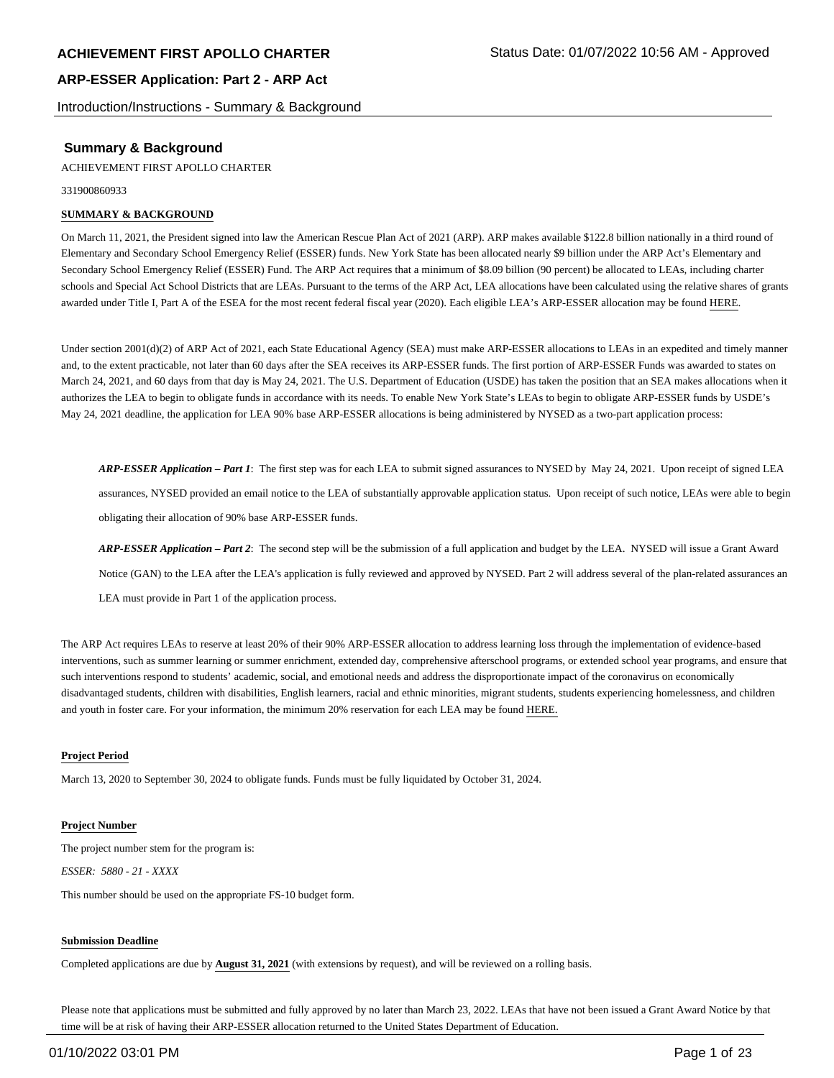Introduction/Instructions - Summary & Background

## **Summary & Background**

ACHIEVEMENT FIRST APOLLO CHARTER

331900860933

### **SUMMARY & BACKGROUND**

On March 11, 2021, the President signed into law the American Rescue Plan Act of 2021 (ARP). ARP makes available \$122.8 billion nationally in a third round of Elementary and Secondary School Emergency Relief (ESSER) funds. New York State has been allocated nearly \$9 billion under the ARP Act's Elementary and Secondary School Emergency Relief (ESSER) Fund. The ARP Act requires that a minimum of \$8.09 billion (90 percent) be allocated to LEAs, including charter schools and Special Act School Districts that are LEAs. Pursuant to the terms of the ARP Act, LEA allocations have been calculated using the relative shares of grants awarded under Title I, Part A of the ESEA for the most recent federal fiscal year (2020). Each eligible LEA's ARP-ESSER allocation may be found HERE.

Under section 2001(d)(2) of ARP Act of 2021, each State Educational Agency (SEA) must make ARP-ESSER allocations to LEAs in an expedited and timely manner and, to the extent practicable, not later than 60 days after the SEA receives its ARP-ESSER funds. The first portion of ARP-ESSER Funds was awarded to states on March 24, 2021, and 60 days from that day is May 24, 2021. The U.S. Department of Education (USDE) has taken the position that an SEA makes allocations when it authorizes the LEA to begin to obligate funds in accordance with its needs. To enable New York State's LEAs to begin to obligate ARP-ESSER funds by USDE's May 24, 2021 deadline, the application for LEA 90% base ARP-ESSER allocations is being administered by NYSED as a two-part application process:

*ARP-ESSER Application – Part 1*: The first step was for each LEA to submit signed assurances to NYSED by May 24, 2021. Upon receipt of signed LEA assurances, NYSED provided an email notice to the LEA of substantially approvable application status. Upon receipt of such notice, LEAs were able to begin obligating their allocation of 90% base ARP-ESSER funds.

*ARP-ESSER Application – Part 2*: The second step will be the submission of a full application and budget by the LEA. NYSED will issue a Grant Award Notice (GAN) to the LEA after the LEA's application is fully reviewed and approved by NYSED. Part 2 will address several of the plan-related assurances an LEA must provide in Part 1 of the application process.

The ARP Act requires LEAs to reserve at least 20% of their 90% ARP-ESSER allocation to address learning loss through the implementation of evidence-based interventions, such as summer learning or summer enrichment, extended day, comprehensive afterschool programs, or extended school year programs, and ensure that such interventions respond to students' academic, social, and emotional needs and address the disproportionate impact of the coronavirus on economically disadvantaged students, children with disabilities, English learners, racial and ethnic minorities, migrant students, students experiencing homelessness, and children and youth in foster care. For your information, the minimum 20% reservation for each LEA may be found HERE.

### **Project Period**

March 13, 2020 to September 30, 2024 to obligate funds. Funds must be fully liquidated by October 31, 2024.

### **Project Number**

The project number stem for the program is: *ESSER: 5880 - 21 - XXXX*

This number should be used on the appropriate FS-10 budget form.

### **Submission Deadline**

Completed applications are due by **August 31, 2021** (with extensions by request), and will be reviewed on a rolling basis.

Please note that applications must be submitted and fully approved by no later than March 23, 2022. LEAs that have not been issued a Grant Award Notice by that time will be at risk of having their ARP-ESSER allocation returned to the United States Department of Education.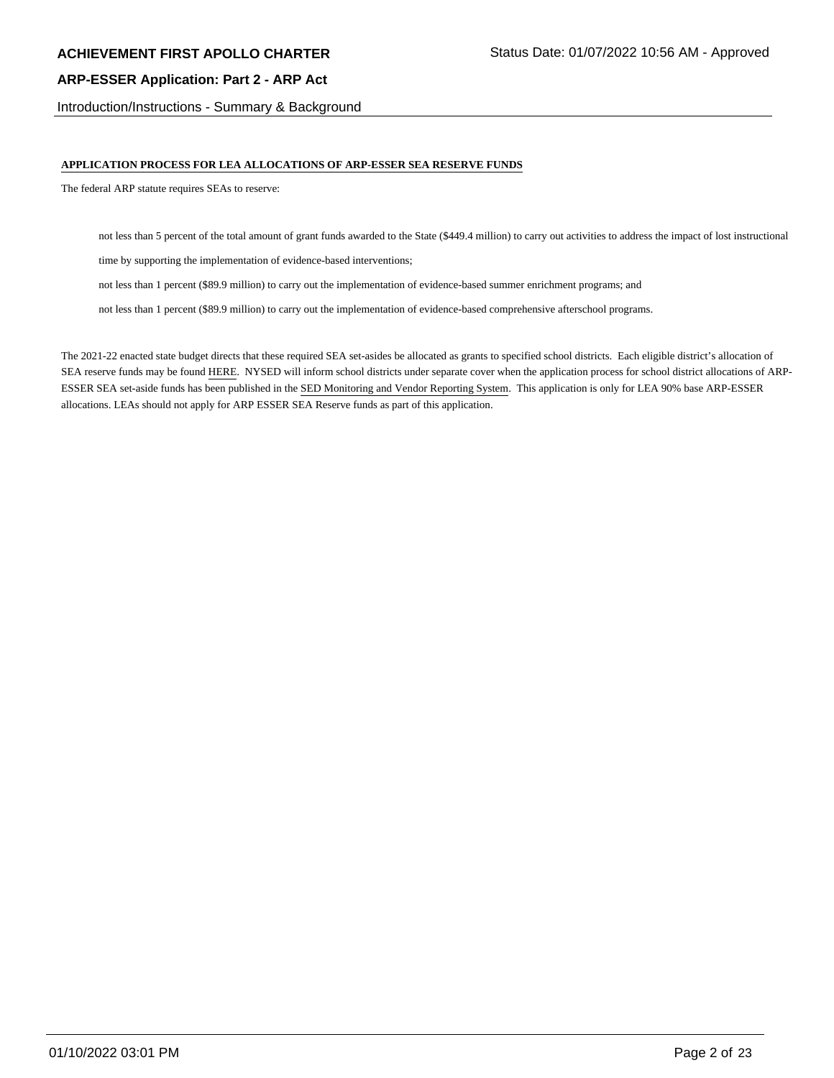Introduction/Instructions - Summary & Background

### **APPLICATION PROCESS FOR LEA ALLOCATIONS OF ARP-ESSER SEA RESERVE FUNDS**

The federal ARP statute requires SEAs to reserve:

not less than 5 percent of the total amount of grant funds awarded to the State (\$449.4 million) to carry out activities to address the impact of lost instructional

time by supporting the implementation of evidence-based interventions;

not less than 1 percent (\$89.9 million) to carry out the implementation of evidence-based summer enrichment programs; and

not less than 1 percent (\$89.9 million) to carry out the implementation of evidence-based comprehensive afterschool programs.

The 2021-22 enacted state budget directs that these required SEA set-asides be allocated as grants to specified school districts. Each eligible district's allocation of SEA reserve funds may be found HERE. NYSED will inform school districts under separate cover when the application process for school district allocations of ARP-ESSER SEA set-aside funds has been published in the SED Monitoring and Vendor Reporting System. This application is only for LEA 90% base ARP-ESSER allocations. LEAs should not apply for ARP ESSER SEA Reserve funds as part of this application.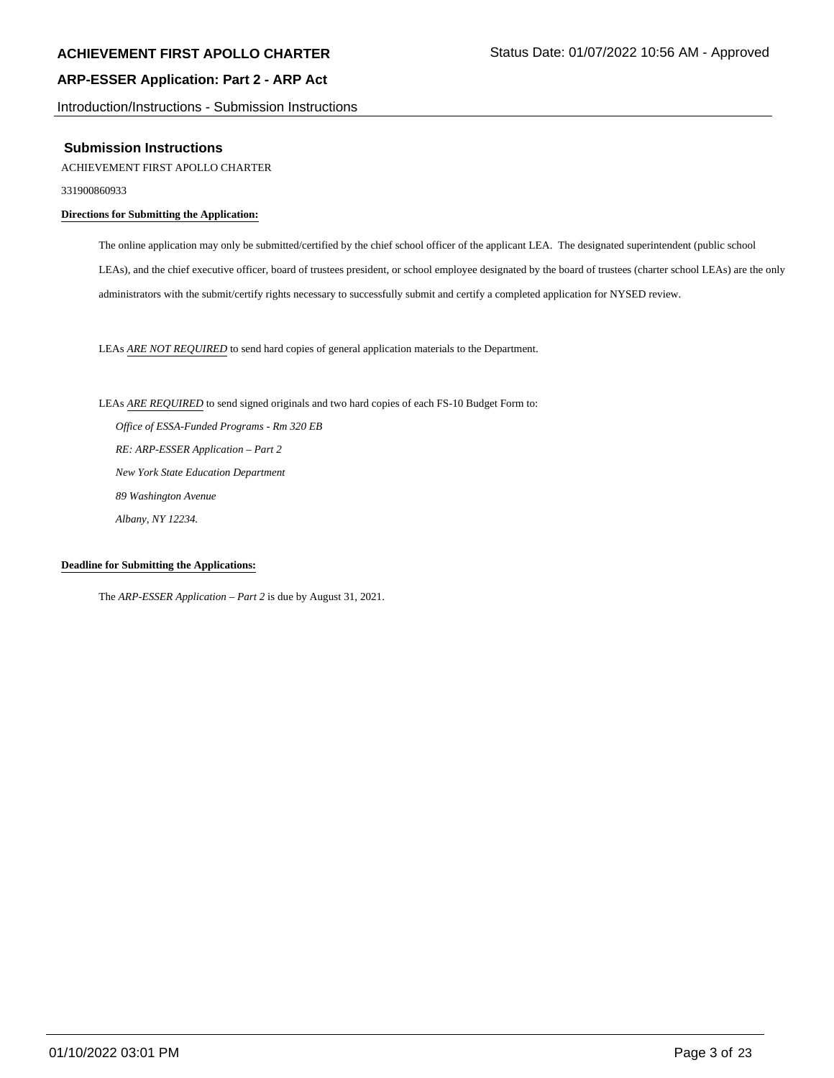Introduction/Instructions - Submission Instructions

### **Submission Instructions**

### ACHIEVEMENT FIRST APOLLO CHARTER

331900860933

### **Directions for Submitting the Application:**

The online application may only be submitted/certified by the chief school officer of the applicant LEA. The designated superintendent (public school LEAs), and the chief executive officer, board of trustees president, or school employee designated by the board of trustees (charter school LEAs) are the only administrators with the submit/certify rights necessary to successfully submit and certify a completed application for NYSED review.

LEAs *ARE NOT REQUIRED* to send hard copies of general application materials to the Department.

LEAs *ARE REQUIRED* to send signed originals and two hard copies of each FS-10 Budget Form to:  *Office of ESSA-Funded Programs - Rm 320 EB RE: ARP-ESSER Application – Part 2 New York State Education Department 89 Washington Avenue Albany, NY 12234.*

### **Deadline for Submitting the Applications:**

The *ARP-ESSER Application – Part 2* is due by August 31, 2021.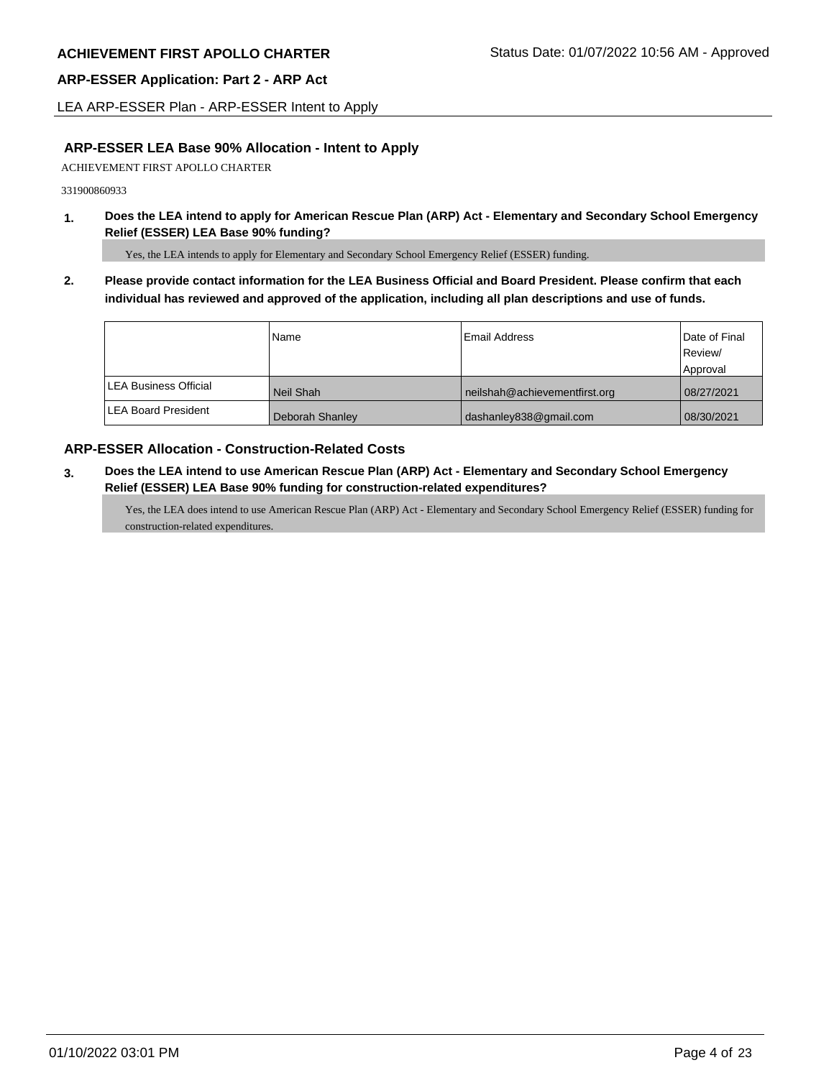LEA ARP-ESSER Plan - ARP-ESSER Intent to Apply

# **ARP-ESSER LEA Base 90% Allocation - Intent to Apply**

ACHIEVEMENT FIRST APOLLO CHARTER

331900860933

**1. Does the LEA intend to apply for American Rescue Plan (ARP) Act - Elementary and Secondary School Emergency Relief (ESSER) LEA Base 90% funding?**

Yes, the LEA intends to apply for Elementary and Secondary School Emergency Relief (ESSER) funding.

**2. Please provide contact information for the LEA Business Official and Board President. Please confirm that each individual has reviewed and approved of the application, including all plan descriptions and use of funds.** 

|                               | Name            | Email Address                 | Date of Final |
|-------------------------------|-----------------|-------------------------------|---------------|
|                               |                 |                               | Review/       |
|                               |                 |                               | Approval      |
| <b>ILEA Business Official</b> | Neil Shah       | neilshah@achievementfirst.org | 08/27/2021    |
| <b>LEA Board President</b>    | Deborah Shanley | dashanley838@gmail.com        | 08/30/2021    |

## **ARP-ESSER Allocation - Construction-Related Costs**

**3. Does the LEA intend to use American Rescue Plan (ARP) Act - Elementary and Secondary School Emergency Relief (ESSER) LEA Base 90% funding for construction-related expenditures?**

Yes, the LEA does intend to use American Rescue Plan (ARP) Act - Elementary and Secondary School Emergency Relief (ESSER) funding for construction-related expenditures.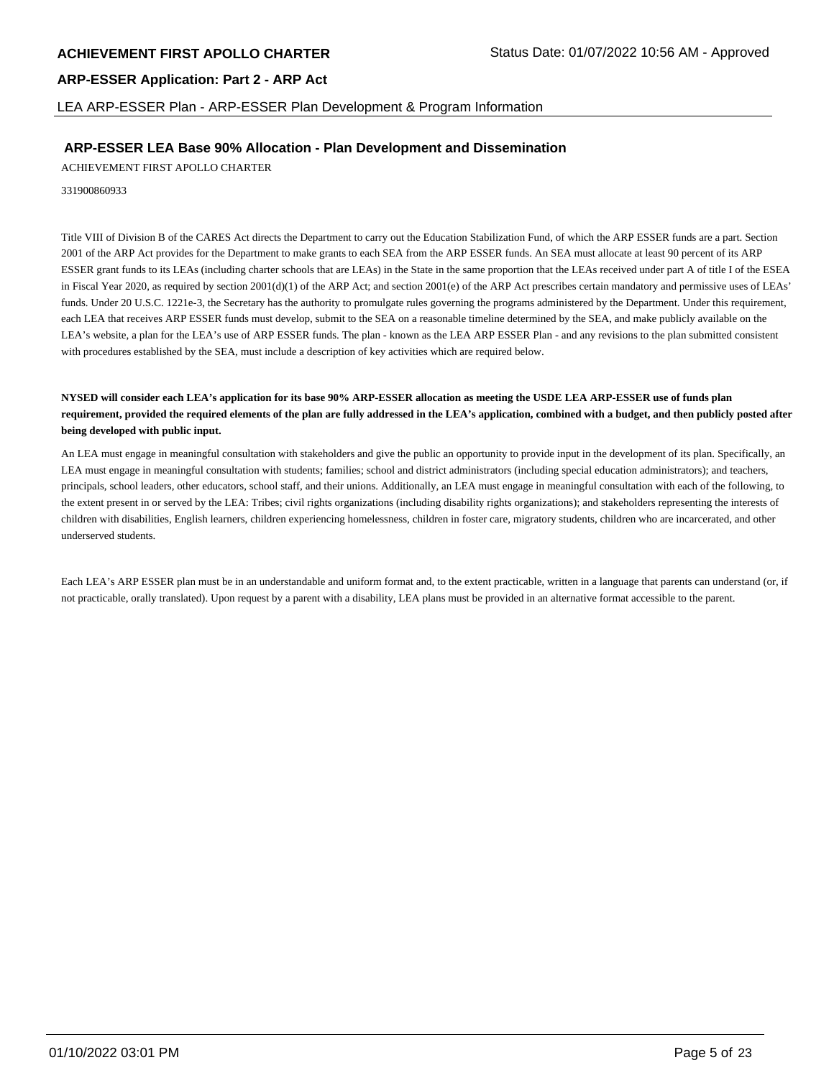LEA ARP-ESSER Plan - ARP-ESSER Plan Development & Program Information

# **ARP-ESSER LEA Base 90% Allocation - Plan Development and Dissemination**

ACHIEVEMENT FIRST APOLLO CHARTER

331900860933

Title VIII of Division B of the CARES Act directs the Department to carry out the Education Stabilization Fund, of which the ARP ESSER funds are a part. Section 2001 of the ARP Act provides for the Department to make grants to each SEA from the ARP ESSER funds. An SEA must allocate at least 90 percent of its ARP ESSER grant funds to its LEAs (including charter schools that are LEAs) in the State in the same proportion that the LEAs received under part A of title I of the ESEA in Fiscal Year 2020, as required by section  $2001(d)(1)$  of the ARP Act; and section  $2001(e)$  of the ARP Act prescribes certain mandatory and permissive uses of LEAs' funds. Under 20 U.S.C. 1221e-3, the Secretary has the authority to promulgate rules governing the programs administered by the Department. Under this requirement, each LEA that receives ARP ESSER funds must develop, submit to the SEA on a reasonable timeline determined by the SEA, and make publicly available on the LEA's website, a plan for the LEA's use of ARP ESSER funds. The plan - known as the LEA ARP ESSER Plan - and any revisions to the plan submitted consistent with procedures established by the SEA, must include a description of key activities which are required below.

### **NYSED will consider each LEA's application for its base 90% ARP-ESSER allocation as meeting the USDE LEA ARP-ESSER use of funds plan requirement, provided the required elements of the plan are fully addressed in the LEA's application, combined with a budget, and then publicly posted after being developed with public input.**

An LEA must engage in meaningful consultation with stakeholders and give the public an opportunity to provide input in the development of its plan. Specifically, an LEA must engage in meaningful consultation with students; families; school and district administrators (including special education administrators); and teachers, principals, school leaders, other educators, school staff, and their unions. Additionally, an LEA must engage in meaningful consultation with each of the following, to the extent present in or served by the LEA: Tribes; civil rights organizations (including disability rights organizations); and stakeholders representing the interests of children with disabilities, English learners, children experiencing homelessness, children in foster care, migratory students, children who are incarcerated, and other underserved students.

Each LEA's ARP ESSER plan must be in an understandable and uniform format and, to the extent practicable, written in a language that parents can understand (or, if not practicable, orally translated). Upon request by a parent with a disability, LEA plans must be provided in an alternative format accessible to the parent.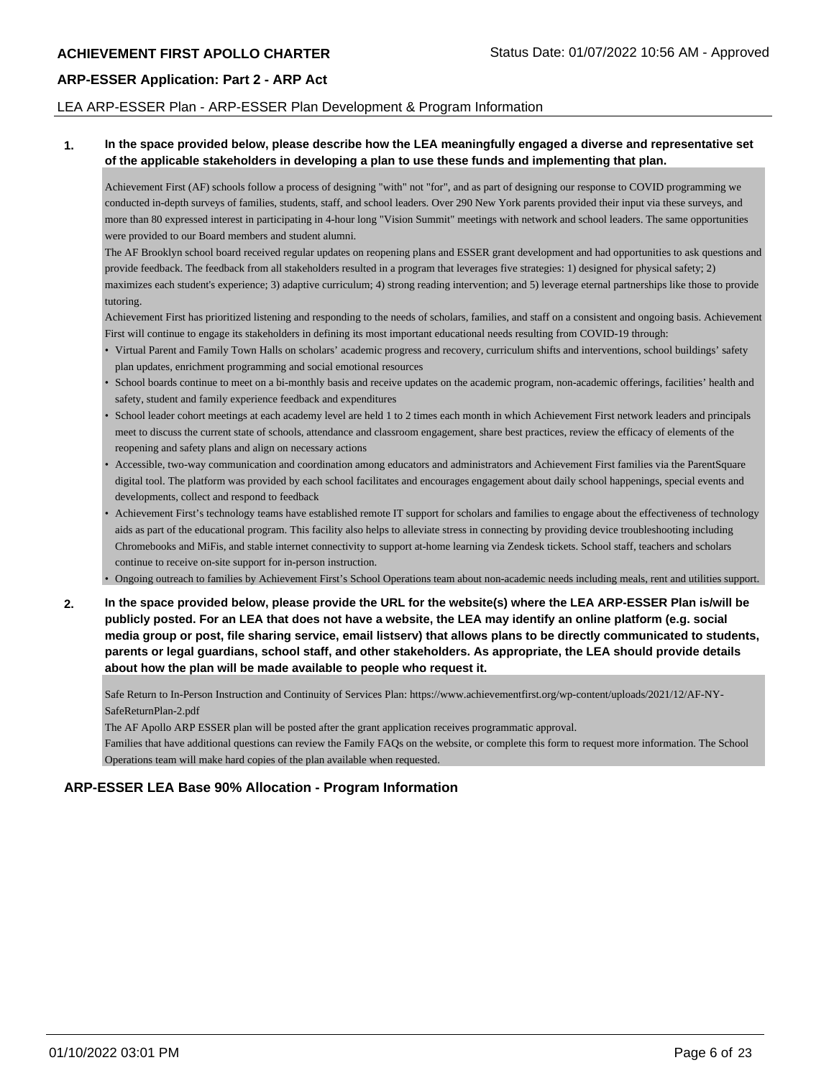### LEA ARP-ESSER Plan - ARP-ESSER Plan Development & Program Information

### **1. In the space provided below, please describe how the LEA meaningfully engaged a diverse and representative set of the applicable stakeholders in developing a plan to use these funds and implementing that plan.**

Achievement First (AF) schools follow a process of designing "with" not "for", and as part of designing our response to COVID programming we conducted in-depth surveys of families, students, staff, and school leaders. Over 290 New York parents provided their input via these surveys, and more than 80 expressed interest in participating in 4-hour long "Vision Summit" meetings with network and school leaders. The same opportunities were provided to our Board members and student alumni.

The AF Brooklyn school board received regular updates on reopening plans and ESSER grant development and had opportunities to ask questions and provide feedback. The feedback from all stakeholders resulted in a program that leverages five strategies: 1) designed for physical safety; 2) maximizes each student's experience; 3) adaptive curriculum; 4) strong reading intervention; and 5) leverage eternal partnerships like those to provide tutoring.

Achievement First has prioritized listening and responding to the needs of scholars, families, and staff on a consistent and ongoing basis. Achievement First will continue to engage its stakeholders in defining its most important educational needs resulting from COVID-19 through:

- Virtual Parent and Family Town Halls on scholars' academic progress and recovery, curriculum shifts and interventions, school buildings' safety plan updates, enrichment programming and social emotional resources
- School boards continue to meet on a bi-monthly basis and receive updates on the academic program, non-academic offerings, facilities' health and safety, student and family experience feedback and expenditures
- School leader cohort meetings at each academy level are held 1 to 2 times each month in which Achievement First network leaders and principals meet to discuss the current state of schools, attendance and classroom engagement, share best practices, review the efficacy of elements of the reopening and safety plans and align on necessary actions
- Accessible, two-way communication and coordination among educators and administrators and Achievement First families via the ParentSquare digital tool. The platform was provided by each school facilitates and encourages engagement about daily school happenings, special events and developments, collect and respond to feedback
- Achievement First's technology teams have established remote IT support for scholars and families to engage about the effectiveness of technology aids as part of the educational program. This facility also helps to alleviate stress in connecting by providing device troubleshooting including Chromebooks and MiFis, and stable internet connectivity to support at-home learning via Zendesk tickets. School staff, teachers and scholars continue to receive on-site support for in-person instruction.
- Ongoing outreach to families by Achievement First's School Operations team about non-academic needs including meals, rent and utilities support.
- **2. In the space provided below, please provide the URL for the website(s) where the LEA ARP-ESSER Plan is/will be publicly posted. For an LEA that does not have a website, the LEA may identify an online platform (e.g. social media group or post, file sharing service, email listserv) that allows plans to be directly communicated to students, parents or legal guardians, school staff, and other stakeholders. As appropriate, the LEA should provide details about how the plan will be made available to people who request it.**

Safe Return to In-Person Instruction and Continuity of Services Plan: https://www.achievementfirst.org/wp-content/uploads/2021/12/AF-NY-SafeReturnPlan-2.pdf

The AF Apollo ARP ESSER plan will be posted after the grant application receives programmatic approval.

Families that have additional questions can review the Family FAQs on the website, or complete this form to request more information. The School Operations team will make hard copies of the plan available when requested.

# **ARP-ESSER LEA Base 90% Allocation - Program Information**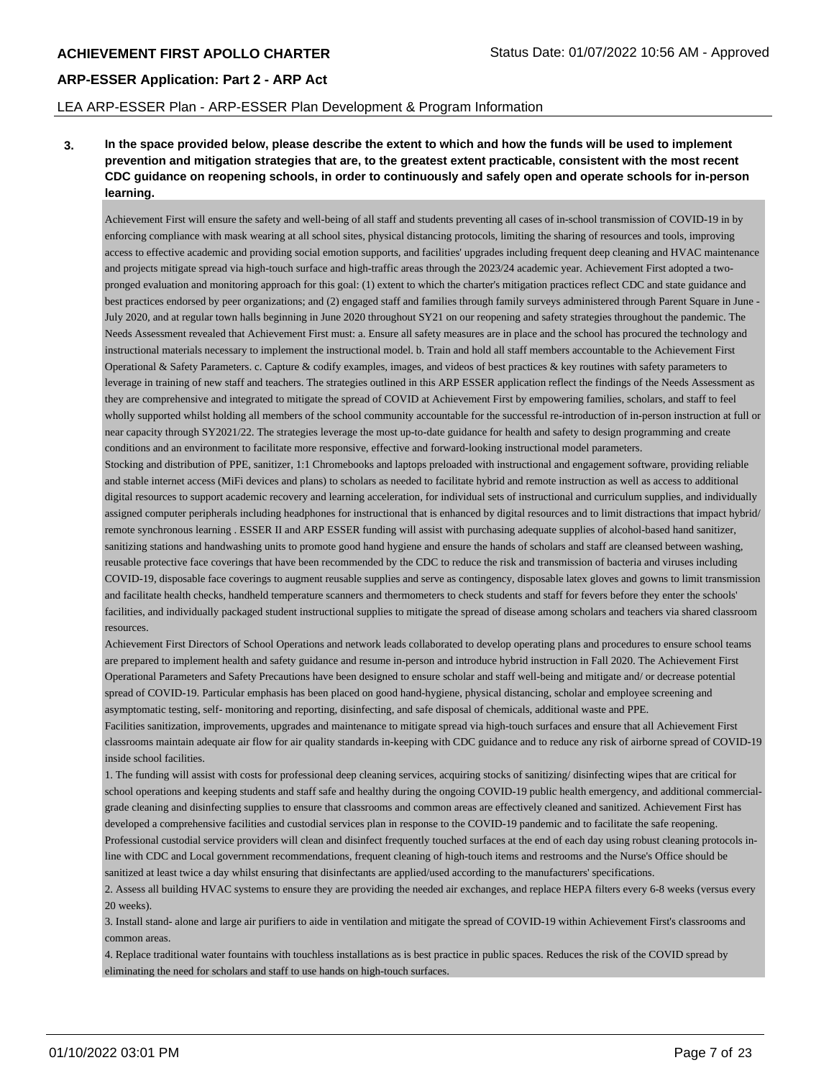### LEA ARP-ESSER Plan - ARP-ESSER Plan Development & Program Information

**3. In the space provided below, please describe the extent to which and how the funds will be used to implement prevention and mitigation strategies that are, to the greatest extent practicable, consistent with the most recent CDC guidance on reopening schools, in order to continuously and safely open and operate schools for in-person learning.**

Achievement First will ensure the safety and well-being of all staff and students preventing all cases of in-school transmission of COVID-19 in by enforcing compliance with mask wearing at all school sites, physical distancing protocols, limiting the sharing of resources and tools, improving access to effective academic and providing social emotion supports, and facilities' upgrades including frequent deep cleaning and HVAC maintenance and projects mitigate spread via high-touch surface and high-traffic areas through the 2023/24 academic year. Achievement First adopted a twopronged evaluation and monitoring approach for this goal: (1) extent to which the charter's mitigation practices reflect CDC and state guidance and best practices endorsed by peer organizations; and (2) engaged staff and families through family surveys administered through Parent Square in June - July 2020, and at regular town halls beginning in June 2020 throughout SY21 on our reopening and safety strategies throughout the pandemic. The Needs Assessment revealed that Achievement First must: a. Ensure all safety measures are in place and the school has procured the technology and instructional materials necessary to implement the instructional model. b. Train and hold all staff members accountable to the Achievement First Operational & Safety Parameters. c. Capture & codify examples, images, and videos of best practices & key routines with safety parameters to leverage in training of new staff and teachers. The strategies outlined in this ARP ESSER application reflect the findings of the Needs Assessment as they are comprehensive and integrated to mitigate the spread of COVID at Achievement First by empowering families, scholars, and staff to feel wholly supported whilst holding all members of the school community accountable for the successful re-introduction of in-person instruction at full or near capacity through SY2021/22. The strategies leverage the most up-to-date guidance for health and safety to design programming and create conditions and an environment to facilitate more responsive, effective and forward-looking instructional model parameters.

Stocking and distribution of PPE, sanitizer, 1:1 Chromebooks and laptops preloaded with instructional and engagement software, providing reliable and stable internet access (MiFi devices and plans) to scholars as needed to facilitate hybrid and remote instruction as well as access to additional digital resources to support academic recovery and learning acceleration, for individual sets of instructional and curriculum supplies, and individually assigned computer peripherals including headphones for instructional that is enhanced by digital resources and to limit distractions that impact hybrid/ remote synchronous learning . ESSER II and ARP ESSER funding will assist with purchasing adequate supplies of alcohol-based hand sanitizer, sanitizing stations and handwashing units to promote good hand hygiene and ensure the hands of scholars and staff are cleansed between washing, reusable protective face coverings that have been recommended by the CDC to reduce the risk and transmission of bacteria and viruses including COVID-19, disposable face coverings to augment reusable supplies and serve as contingency, disposable latex gloves and gowns to limit transmission and facilitate health checks, handheld temperature scanners and thermometers to check students and staff for fevers before they enter the schools' facilities, and individually packaged student instructional supplies to mitigate the spread of disease among scholars and teachers via shared classroom resources.

Achievement First Directors of School Operations and network leads collaborated to develop operating plans and procedures to ensure school teams are prepared to implement health and safety guidance and resume in-person and introduce hybrid instruction in Fall 2020. The Achievement First Operational Parameters and Safety Precautions have been designed to ensure scholar and staff well-being and mitigate and/ or decrease potential spread of COVID-19. Particular emphasis has been placed on good hand-hygiene, physical distancing, scholar and employee screening and asymptomatic testing, self- monitoring and reporting, disinfecting, and safe disposal of chemicals, additional waste and PPE.

Facilities sanitization, improvements, upgrades and maintenance to mitigate spread via high-touch surfaces and ensure that all Achievement First classrooms maintain adequate air flow for air quality standards in-keeping with CDC guidance and to reduce any risk of airborne spread of COVID-19 inside school facilities.

1. The funding will assist with costs for professional deep cleaning services, acquiring stocks of sanitizing/ disinfecting wipes that are critical for school operations and keeping students and staff safe and healthy during the ongoing COVID-19 public health emergency, and additional commercialgrade cleaning and disinfecting supplies to ensure that classrooms and common areas are effectively cleaned and sanitized. Achievement First has developed a comprehensive facilities and custodial services plan in response to the COVID-19 pandemic and to facilitate the safe reopening. Professional custodial service providers will clean and disinfect frequently touched surfaces at the end of each day using robust cleaning protocols inline with CDC and Local government recommendations, frequent cleaning of high-touch items and restrooms and the Nurse's Office should be sanitized at least twice a day whilst ensuring that disinfectants are applied/used according to the manufacturers' specifications.

2. Assess all building HVAC systems to ensure they are providing the needed air exchanges, and replace HEPA filters every 6-8 weeks (versus every 20 weeks).

3. Install stand- alone and large air purifiers to aide in ventilation and mitigate the spread of COVID-19 within Achievement First's classrooms and common areas.

4. Replace traditional water fountains with touchless installations as is best practice in public spaces. Reduces the risk of the COVID spread by eliminating the need for scholars and staff to use hands on high-touch surfaces.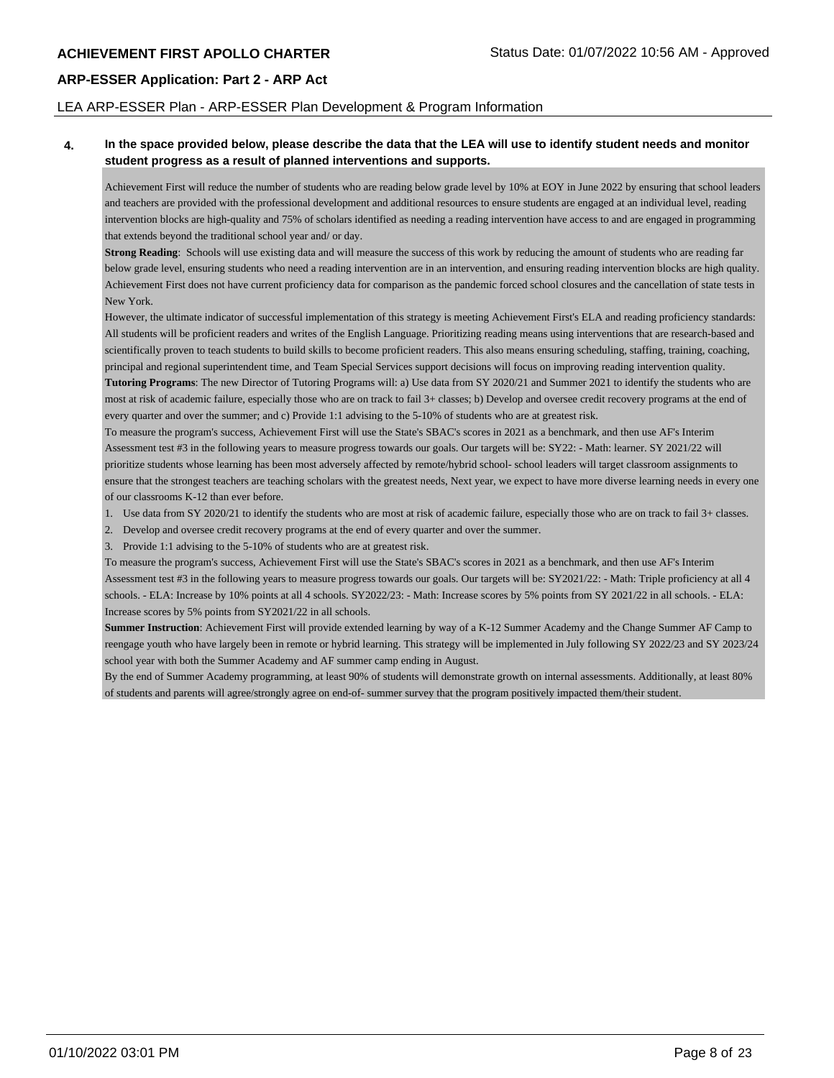### LEA ARP-ESSER Plan - ARP-ESSER Plan Development & Program Information

### **4. In the space provided below, please describe the data that the LEA will use to identify student needs and monitor student progress as a result of planned interventions and supports.**

Achievement First will reduce the number of students who are reading below grade level by 10% at EOY in June 2022 by ensuring that school leaders and teachers are provided with the professional development and additional resources to ensure students are engaged at an individual level, reading intervention blocks are high-quality and 75% of scholars identified as needing a reading intervention have access to and are engaged in programming that extends beyond the traditional school year and/ or day.

**Strong Reading**: Schools will use existing data and will measure the success of this work by reducing the amount of students who are reading far below grade level, ensuring students who need a reading intervention are in an intervention, and ensuring reading intervention blocks are high quality. Achievement First does not have current proficiency data for comparison as the pandemic forced school closures and the cancellation of state tests in New York.

However, the ultimate indicator of successful implementation of this strategy is meeting Achievement First's ELA and reading proficiency standards: All students will be proficient readers and writes of the English Language. Prioritizing reading means using interventions that are research-based and scientifically proven to teach students to build skills to become proficient readers. This also means ensuring scheduling, staffing, training, coaching, principal and regional superintendent time, and Team Special Services support decisions will focus on improving reading intervention quality. **Tutoring Programs**: The new Director of Tutoring Programs will: a) Use data from SY 2020/21 and Summer 2021 to identify the students who are

most at risk of academic failure, especially those who are on track to fail 3+ classes; b) Develop and oversee credit recovery programs at the end of every quarter and over the summer; and c) Provide 1:1 advising to the 5-10% of students who are at greatest risk.

To measure the program's success, Achievement First will use the State's SBAC's scores in 2021 as a benchmark, and then use AF's Interim Assessment test #3 in the following years to measure progress towards our goals. Our targets will be: SY22: - Math: learner. SY 2021/22 will prioritize students whose learning has been most adversely affected by remote/hybrid school- school leaders will target classroom assignments to ensure that the strongest teachers are teaching scholars with the greatest needs, Next year, we expect to have more diverse learning needs in every one of our classrooms K-12 than ever before.

- 1. Use data from SY 2020/21 to identify the students who are most at risk of academic failure, especially those who are on track to fail 3+ classes.
- 2. Develop and oversee credit recovery programs at the end of every quarter and over the summer.

3. Provide 1:1 advising to the 5-10% of students who are at greatest risk.

To measure the program's success, Achievement First will use the State's SBAC's scores in 2021 as a benchmark, and then use AF's Interim Assessment test #3 in the following years to measure progress towards our goals. Our targets will be: SY2021/22: - Math: Triple proficiency at all 4 schools. - ELA: Increase by 10% points at all 4 schools. SY2022/23: - Math: Increase scores by 5% points from SY 2021/22 in all schools. - ELA: Increase scores by 5% points from SY2021/22 in all schools.

**Summer Instruction**: Achievement First will provide extended learning by way of a K-12 Summer Academy and the Change Summer AF Camp to reengage youth who have largely been in remote or hybrid learning. This strategy will be implemented in July following SY 2022/23 and SY 2023/24 school year with both the Summer Academy and AF summer camp ending in August.

By the end of Summer Academy programming, at least 90% of students will demonstrate growth on internal assessments. Additionally, at least 80% of students and parents will agree/strongly agree on end-of- summer survey that the program positively impacted them/their student.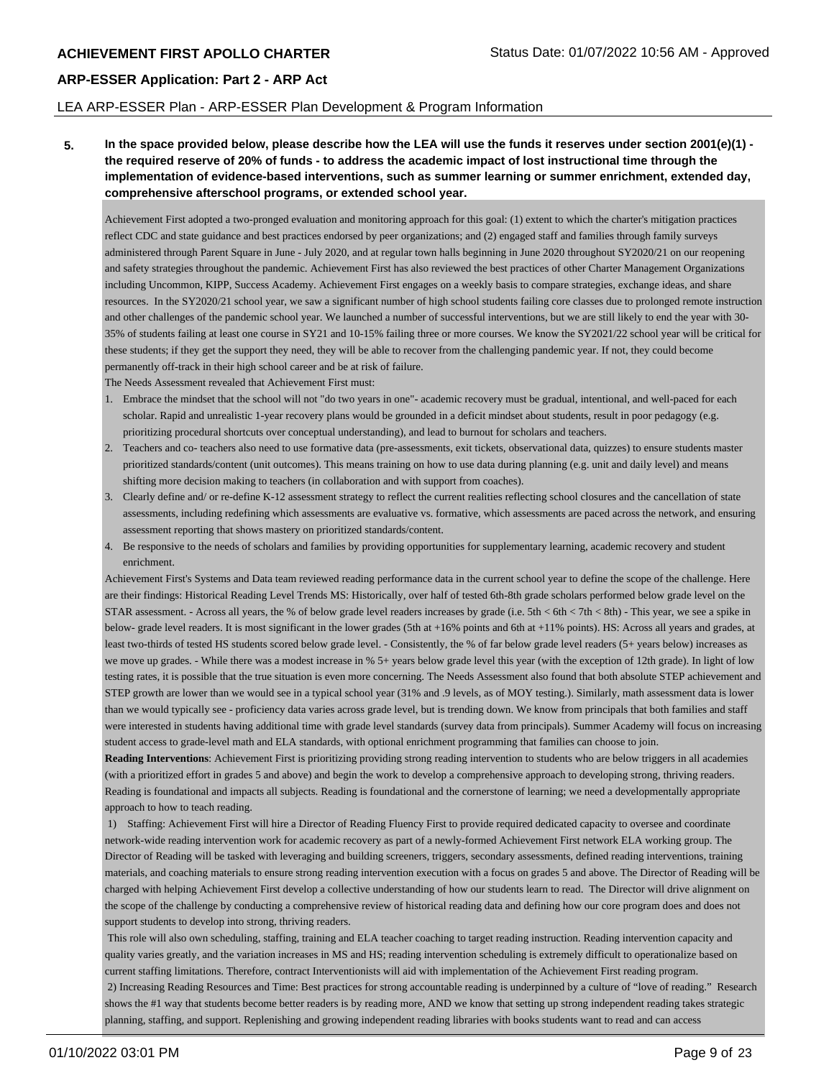### LEA ARP-ESSER Plan - ARP-ESSER Plan Development & Program Information

**5. In the space provided below, please describe how the LEA will use the funds it reserves under section 2001(e)(1) the required reserve of 20% of funds - to address the academic impact of lost instructional time through the implementation of evidence-based interventions, such as summer learning or summer enrichment, extended day, comprehensive afterschool programs, or extended school year.**

Achievement First adopted a two-pronged evaluation and monitoring approach for this goal: (1) extent to which the charter's mitigation practices reflect CDC and state guidance and best practices endorsed by peer organizations; and (2) engaged staff and families through family surveys administered through Parent Square in June - July 2020, and at regular town halls beginning in June 2020 throughout SY2020/21 on our reopening and safety strategies throughout the pandemic. Achievement First has also reviewed the best practices of other Charter Management Organizations including Uncommon, KIPP, Success Academy. Achievement First engages on a weekly basis to compare strategies, exchange ideas, and share resources. In the SY2020/21 school year, we saw a significant number of high school students failing core classes due to prolonged remote instruction and other challenges of the pandemic school year. We launched a number of successful interventions, but we are still likely to end the year with 30- 35% of students failing at least one course in SY21 and 10-15% failing three or more courses. We know the SY2021/22 school year will be critical for these students; if they get the support they need, they will be able to recover from the challenging pandemic year. If not, they could become permanently off-track in their high school career and be at risk of failure.

The Needs Assessment revealed that Achievement First must:

- 1. Embrace the mindset that the school will not "do two years in one"- academic recovery must be gradual, intentional, and well-paced for each scholar. Rapid and unrealistic 1-year recovery plans would be grounded in a deficit mindset about students, result in poor pedagogy (e.g. prioritizing procedural shortcuts over conceptual understanding), and lead to burnout for scholars and teachers.
- 2. Teachers and co- teachers also need to use formative data (pre-assessments, exit tickets, observational data, quizzes) to ensure students master prioritized standards/content (unit outcomes). This means training on how to use data during planning (e.g. unit and daily level) and means shifting more decision making to teachers (in collaboration and with support from coaches).
- 3. Clearly define and/ or re-define K-12 assessment strategy to reflect the current realities reflecting school closures and the cancellation of state assessments, including redefining which assessments are evaluative vs. formative, which assessments are paced across the network, and ensuring assessment reporting that shows mastery on prioritized standards/content.
- 4. Be responsive to the needs of scholars and families by providing opportunities for supplementary learning, academic recovery and student enrichment.

Achievement First's Systems and Data team reviewed reading performance data in the current school year to define the scope of the challenge. Here are their findings: Historical Reading Level Trends MS: Historically, over half of tested 6th-8th grade scholars performed below grade level on the STAR assessment. - Across all years, the % of below grade level readers increases by grade (i.e. 5th < 6th < 7th < 8th) - This year, we see a spike in below- grade level readers. It is most significant in the lower grades (5th at +16% points and 6th at +11% points). HS: Across all years and grades, at least two-thirds of tested HS students scored below grade level. - Consistently, the % of far below grade level readers (5+ years below) increases as we move up grades. - While there was a modest increase in % 5+ years below grade level this year (with the exception of 12th grade). In light of low testing rates, it is possible that the true situation is even more concerning. The Needs Assessment also found that both absolute STEP achievement and STEP growth are lower than we would see in a typical school year (31% and .9 levels, as of MOY testing.). Similarly, math assessment data is lower than we would typically see - proficiency data varies across grade level, but is trending down. We know from principals that both families and staff were interested in students having additional time with grade level standards (survey data from principals). Summer Academy will focus on increasing student access to grade-level math and ELA standards, with optional enrichment programming that families can choose to join.

**Reading Interventions**: Achievement First is prioritizing providing strong reading intervention to students who are below triggers in all academies (with a prioritized effort in grades 5 and above) and begin the work to develop a comprehensive approach to developing strong, thriving readers. Reading is foundational and impacts all subjects. Reading is foundational and the cornerstone of learning; we need a developmentally appropriate approach to how to teach reading.

 1) Staffing: Achievement First will hire a Director of Reading Fluency First to provide required dedicated capacity to oversee and coordinate network-wide reading intervention work for academic recovery as part of a newly-formed Achievement First network ELA working group. The Director of Reading will be tasked with leveraging and building screeners, triggers, secondary assessments, defined reading interventions, training materials, and coaching materials to ensure strong reading intervention execution with a focus on grades 5 and above. The Director of Reading will be charged with helping Achievement First develop a collective understanding of how our students learn to read. The Director will drive alignment on the scope of the challenge by conducting a comprehensive review of historical reading data and defining how our core program does and does not support students to develop into strong, thriving readers.

 This role will also own scheduling, staffing, training and ELA teacher coaching to target reading instruction. Reading intervention capacity and quality varies greatly, and the variation increases in MS and HS; reading intervention scheduling is extremely difficult to operationalize based on current staffing limitations. Therefore, contract Interventionists will aid with implementation of the Achievement First reading program. 2) Increasing Reading Resources and Time: Best practices for strong accountable reading is underpinned by a culture of "love of reading." Research shows the #1 way that students become better readers is by reading more, AND we know that setting up strong independent reading takes strategic planning, staffing, and support. Replenishing and growing independent reading libraries with books students want to read and can access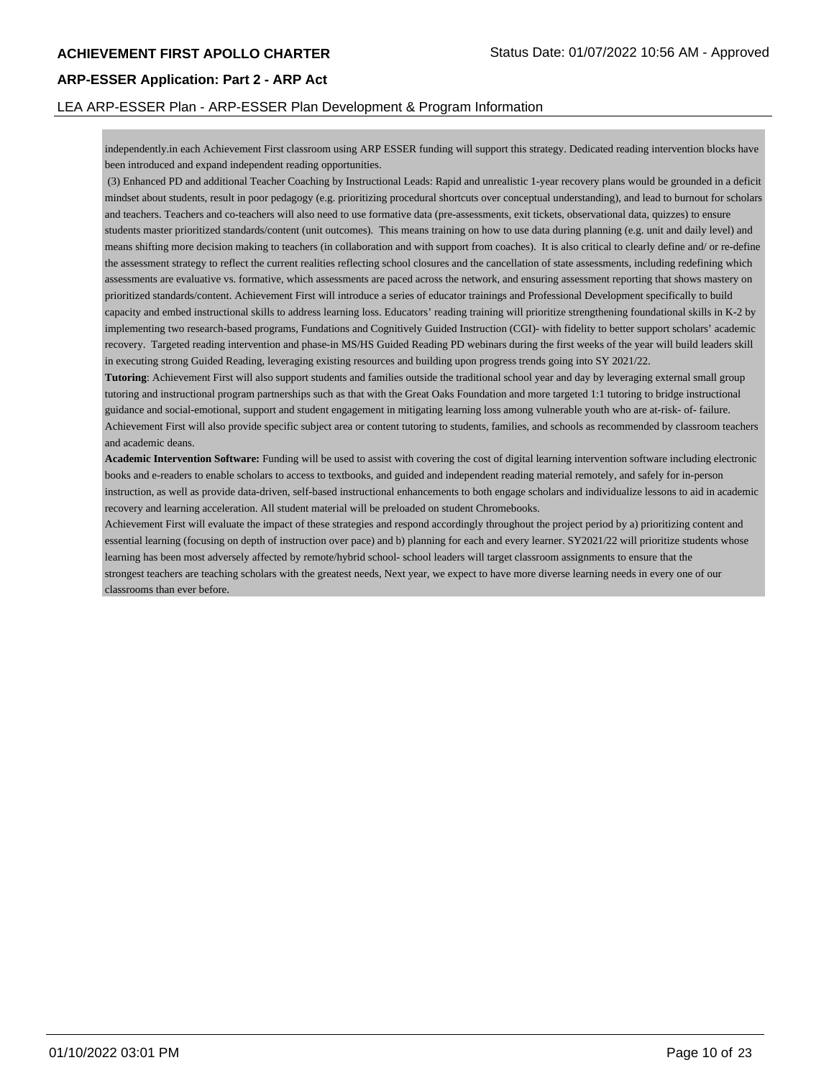### LEA ARP-ESSER Plan - ARP-ESSER Plan Development & Program Information

independently.in each Achievement First classroom using ARP ESSER funding will support this strategy. Dedicated reading intervention blocks have been introduced and expand independent reading opportunities.

 (3) Enhanced PD and additional Teacher Coaching by Instructional Leads: Rapid and unrealistic 1-year recovery plans would be grounded in a deficit mindset about students, result in poor pedagogy (e.g. prioritizing procedural shortcuts over conceptual understanding), and lead to burnout for scholars and teachers. Teachers and co-teachers will also need to use formative data (pre-assessments, exit tickets, observational data, quizzes) to ensure students master prioritized standards/content (unit outcomes). This means training on how to use data during planning (e.g. unit and daily level) and means shifting more decision making to teachers (in collaboration and with support from coaches). It is also critical to clearly define and/ or re-define the assessment strategy to reflect the current realities reflecting school closures and the cancellation of state assessments, including redefining which assessments are evaluative vs. formative, which assessments are paced across the network, and ensuring assessment reporting that shows mastery on prioritized standards/content. Achievement First will introduce a series of educator trainings and Professional Development specifically to build capacity and embed instructional skills to address learning loss. Educators' reading training will prioritize strengthening foundational skills in K-2 by implementing two research-based programs, Fundations and Cognitively Guided Instruction (CGI)- with fidelity to better support scholars' academic recovery. Targeted reading intervention and phase-in MS/HS Guided Reading PD webinars during the first weeks of the year will build leaders skill in executing strong Guided Reading, leveraging existing resources and building upon progress trends going into SY 2021/22.

**Tutoring**: Achievement First will also support students and families outside the traditional school year and day by leveraging external small group tutoring and instructional program partnerships such as that with the Great Oaks Foundation and more targeted 1:1 tutoring to bridge instructional guidance and social-emotional, support and student engagement in mitigating learning loss among vulnerable youth who are at-risk- of- failure. Achievement First will also provide specific subject area or content tutoring to students, families, and schools as recommended by classroom teachers and academic deans.

**Academic Intervention Software:** Funding will be used to assist with covering the cost of digital learning intervention software including electronic books and e-readers to enable scholars to access to textbooks, and guided and independent reading material remotely, and safely for in-person instruction, as well as provide data-driven, self-based instructional enhancements to both engage scholars and individualize lessons to aid in academic recovery and learning acceleration. All student material will be preloaded on student Chromebooks.

Achievement First will evaluate the impact of these strategies and respond accordingly throughout the project period by a) prioritizing content and essential learning (focusing on depth of instruction over pace) and b) planning for each and every learner. SY2021/22 will prioritize students whose learning has been most adversely affected by remote/hybrid school- school leaders will target classroom assignments to ensure that the strongest teachers are teaching scholars with the greatest needs, Next year, we expect to have more diverse learning needs in every one of our classrooms than ever before.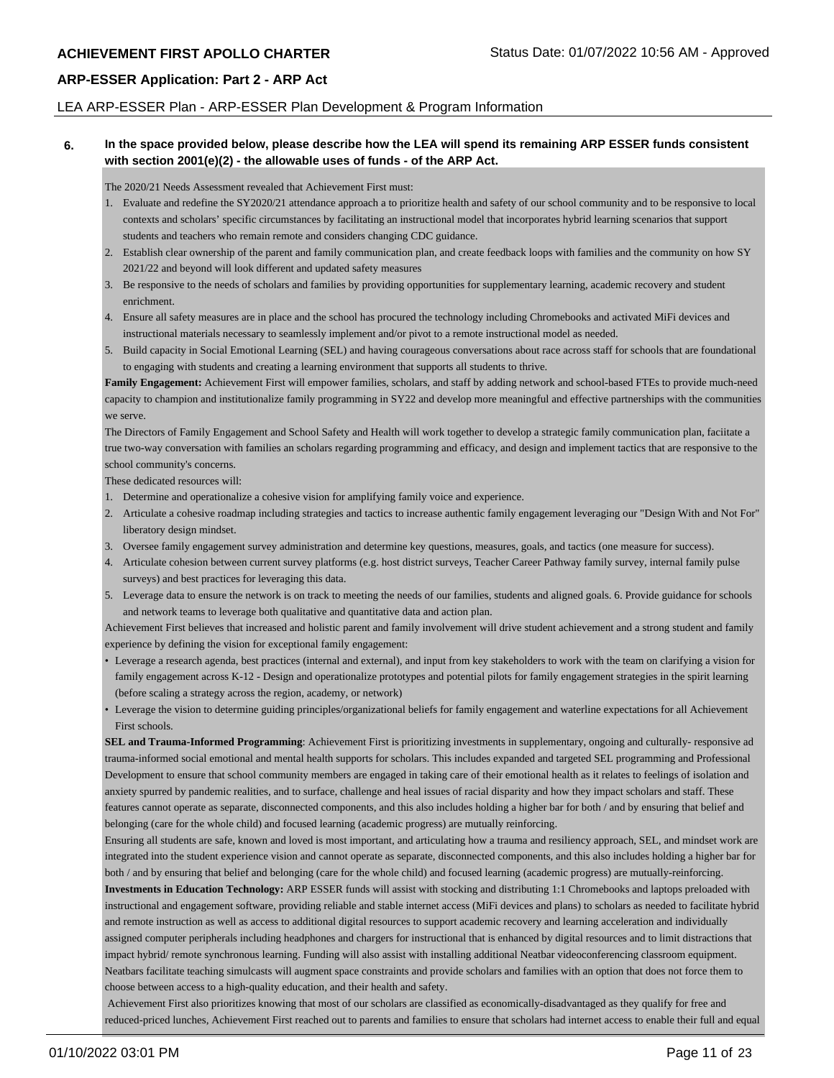### LEA ARP-ESSER Plan - ARP-ESSER Plan Development & Program Information

### **6. In the space provided below, please describe how the LEA will spend its remaining ARP ESSER funds consistent with section 2001(e)(2) - the allowable uses of funds - of the ARP Act.**

The 2020/21 Needs Assessment revealed that Achievement First must:

- 1. Evaluate and redefine the SY2020/21 attendance approach a to prioritize health and safety of our school community and to be responsive to local contexts and scholars' specific circumstances by facilitating an instructional model that incorporates hybrid learning scenarios that support students and teachers who remain remote and considers changing CDC guidance.
- 2. Establish clear ownership of the parent and family communication plan, and create feedback loops with families and the community on how SY 2021/22 and beyond will look different and updated safety measures
- 3. Be responsive to the needs of scholars and families by providing opportunities for supplementary learning, academic recovery and student enrichment.
- 4. Ensure all safety measures are in place and the school has procured the technology including Chromebooks and activated MiFi devices and instructional materials necessary to seamlessly implement and/or pivot to a remote instructional model as needed.
- 5. Build capacity in Social Emotional Learning (SEL) and having courageous conversations about race across staff for schools that are foundational to engaging with students and creating a learning environment that supports all students to thrive.

Family Engagement: Achievement First will empower families, scholars, and staff by adding network and school-based FTEs to provide much-need capacity to champion and institutionalize family programming in SY22 and develop more meaningful and effective partnerships with the communities we serve.

The Directors of Family Engagement and School Safety and Health will work together to develop a strategic family communication plan, faciitate a true two-way conversation with families an scholars regarding programming and efficacy, and design and implement tactics that are responsive to the school community's concerns.

These dedicated resources will:

- 1. Determine and operationalize a cohesive vision for amplifying family voice and experience.
- 2. Articulate a cohesive roadmap including strategies and tactics to increase authentic family engagement leveraging our "Design With and Not For" liberatory design mindset.
- 3. Oversee family engagement survey administration and determine key questions, measures, goals, and tactics (one measure for success).
- 4. Articulate cohesion between current survey platforms (e.g. host district surveys, Teacher Career Pathway family survey, internal family pulse surveys) and best practices for leveraging this data.
- 5. Leverage data to ensure the network is on track to meeting the needs of our families, students and aligned goals. 6. Provide guidance for schools and network teams to leverage both qualitative and quantitative data and action plan.

Achievement First believes that increased and holistic parent and family involvement will drive student achievement and a strong student and family experience by defining the vision for exceptional family engagement:

- Leverage a research agenda, best practices (internal and external), and input from key stakeholders to work with the team on clarifying a vision for family engagement across K-12 - Design and operationalize prototypes and potential pilots for family engagement strategies in the spirit learning (before scaling a strategy across the region, academy, or network)
- Leverage the vision to determine guiding principles/organizational beliefs for family engagement and waterline expectations for all Achievement First schools.

**SEL and Trauma-Informed Programming**: Achievement First is prioritizing investments in supplementary, ongoing and culturally- responsive ad trauma-informed social emotional and mental health supports for scholars. This includes expanded and targeted SEL programming and Professional Development to ensure that school community members are engaged in taking care of their emotional health as it relates to feelings of isolation and anxiety spurred by pandemic realities, and to surface, challenge and heal issues of racial disparity and how they impact scholars and staff. These features cannot operate as separate, disconnected components, and this also includes holding a higher bar for both / and by ensuring that belief and belonging (care for the whole child) and focused learning (academic progress) are mutually reinforcing.

Ensuring all students are safe, known and loved is most important, and articulating how a trauma and resiliency approach, SEL, and mindset work are integrated into the student experience vision and cannot operate as separate, disconnected components, and this also includes holding a higher bar for both / and by ensuring that belief and belonging (care for the whole child) and focused learning (academic progress) are mutually-reinforcing.

**Investments in Education Technology:** ARP ESSER funds will assist with stocking and distributing 1:1 Chromebooks and laptops preloaded with instructional and engagement software, providing reliable and stable internet access (MiFi devices and plans) to scholars as needed to facilitate hybrid and remote instruction as well as access to additional digital resources to support academic recovery and learning acceleration and individually assigned computer peripherals including headphones and chargers for instructional that is enhanced by digital resources and to limit distractions that impact hybrid/ remote synchronous learning. Funding will also assist with installing additional Neatbar videoconferencing classroom equipment. Neatbars facilitate teaching simulcasts will augment space constraints and provide scholars and families with an option that does not force them to choose between access to a high-quality education, and their health and safety.

 Achievement First also prioritizes knowing that most of our scholars are classified as economically-disadvantaged as they qualify for free and reduced-priced lunches, Achievement First reached out to parents and families to ensure that scholars had internet access to enable their full and equal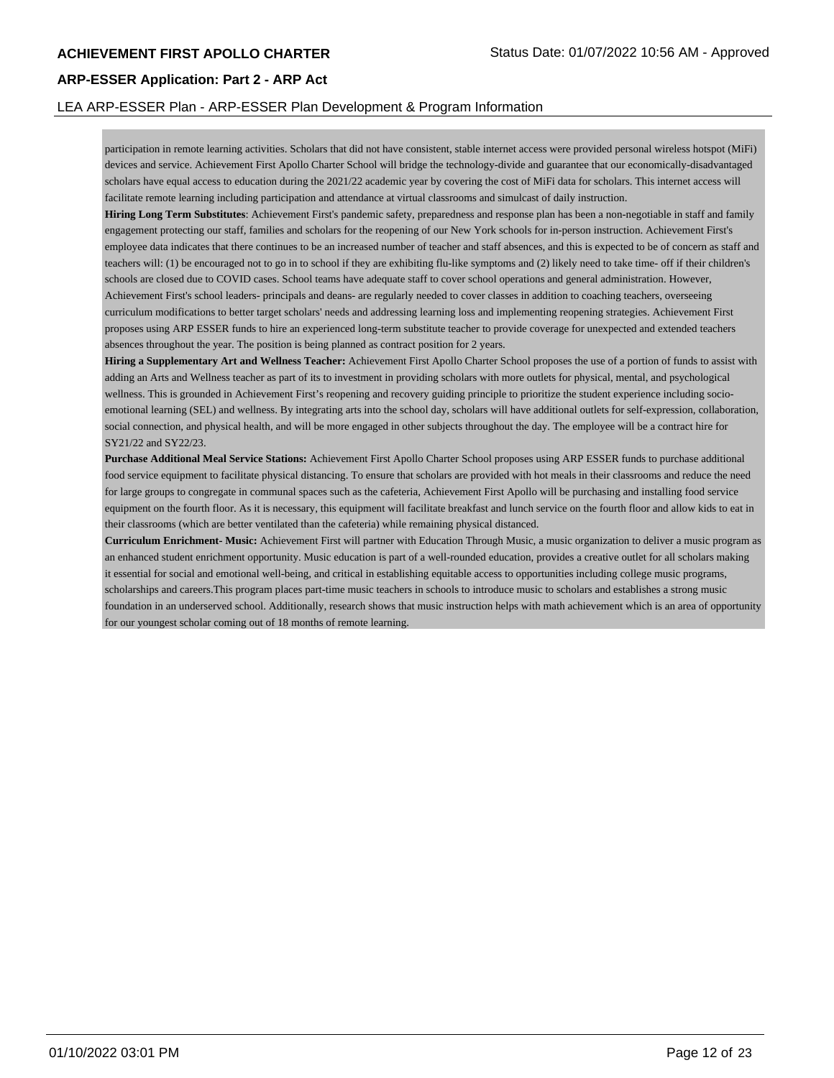### LEA ARP-ESSER Plan - ARP-ESSER Plan Development & Program Information

participation in remote learning activities. Scholars that did not have consistent, stable internet access were provided personal wireless hotspot (MiFi) devices and service. Achievement First Apollo Charter School will bridge the technology-divide and guarantee that our economically-disadvantaged scholars have equal access to education during the 2021/22 academic year by covering the cost of MiFi data for scholars. This internet access will facilitate remote learning including participation and attendance at virtual classrooms and simulcast of daily instruction.

**Hiring Long Term Substitutes**: Achievement First's pandemic safety, preparedness and response plan has been a non-negotiable in staff and family engagement protecting our staff, families and scholars for the reopening of our New York schools for in-person instruction. Achievement First's employee data indicates that there continues to be an increased number of teacher and staff absences, and this is expected to be of concern as staff and teachers will: (1) be encouraged not to go in to school if they are exhibiting flu-like symptoms and (2) likely need to take time- off if their children's schools are closed due to COVID cases. School teams have adequate staff to cover school operations and general administration. However, Achievement First's school leaders- principals and deans- are regularly needed to cover classes in addition to coaching teachers, overseeing curriculum modifications to better target scholars' needs and addressing learning loss and implementing reopening strategies. Achievement First proposes using ARP ESSER funds to hire an experienced long-term substitute teacher to provide coverage for unexpected and extended teachers absences throughout the year. The position is being planned as contract position for 2 years.

**Hiring a Supplementary Art and Wellness Teacher:** Achievement First Apollo Charter School proposes the use of a portion of funds to assist with adding an Arts and Wellness teacher as part of its to investment in providing scholars with more outlets for physical, mental, and psychological wellness. This is grounded in Achievement First's reopening and recovery guiding principle to prioritize the student experience including socioemotional learning (SEL) and wellness. By integrating arts into the school day, scholars will have additional outlets for self-expression, collaboration, social connection, and physical health, and will be more engaged in other subjects throughout the day. The employee will be a contract hire for SY21/22 and SY22/23.

**Purchase Additional Meal Service Stations:** Achievement First Apollo Charter School proposes using ARP ESSER funds to purchase additional food service equipment to facilitate physical distancing. To ensure that scholars are provided with hot meals in their classrooms and reduce the need for large groups to congregate in communal spaces such as the cafeteria, Achievement First Apollo will be purchasing and installing food service equipment on the fourth floor. As it is necessary, this equipment will facilitate breakfast and lunch service on the fourth floor and allow kids to eat in their classrooms (which are better ventilated than the cafeteria) while remaining physical distanced.

**Curriculum Enrichment- Music:** Achievement First will partner with Education Through Music, a music organization to deliver a music program as an enhanced student enrichment opportunity. Music education is part of a well-rounded education, provides a creative outlet for all scholars making it essential for social and emotional well-being, and critical in establishing equitable access to opportunities including college music programs, scholarships and careers.This program places part-time music teachers in schools to introduce music to scholars and establishes a strong music foundation in an underserved school. Additionally, research shows that music instruction helps with math achievement which is an area of opportunity for our youngest scholar coming out of 18 months of remote learning.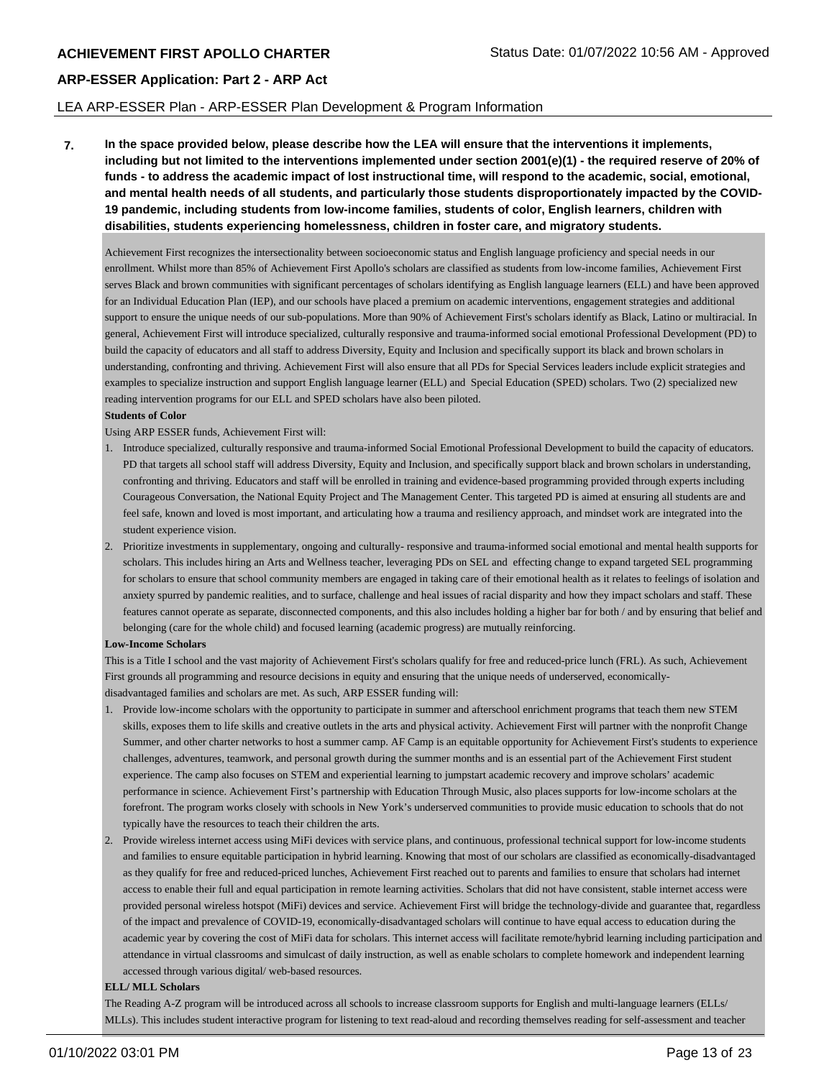### LEA ARP-ESSER Plan - ARP-ESSER Plan Development & Program Information

**7. In the space provided below, please describe how the LEA will ensure that the interventions it implements, including but not limited to the interventions implemented under section 2001(e)(1) - the required reserve of 20% of funds - to address the academic impact of lost instructional time, will respond to the academic, social, emotional, and mental health needs of all students, and particularly those students disproportionately impacted by the COVID-19 pandemic, including students from low-income families, students of color, English learners, children with disabilities, students experiencing homelessness, children in foster care, and migratory students.**

Achievement First recognizes the intersectionality between socioeconomic status and English language proficiency and special needs in our enrollment. Whilst more than 85% of Achievement First Apollo's scholars are classified as students from low-income families, Achievement First serves Black and brown communities with significant percentages of scholars identifying as English language learners (ELL) and have been approved for an Individual Education Plan (IEP), and our schools have placed a premium on academic interventions, engagement strategies and additional support to ensure the unique needs of our sub-populations. More than 90% of Achievement First's scholars identify as Black, Latino or multiracial. In general, Achievement First will introduce specialized, culturally responsive and trauma-informed social emotional Professional Development (PD) to build the capacity of educators and all staff to address Diversity, Equity and Inclusion and specifically support its black and brown scholars in understanding, confronting and thriving. Achievement First will also ensure that all PDs for Special Services leaders include explicit strategies and examples to specialize instruction and support English language learner (ELL) and Special Education (SPED) scholars. Two (2) specialized new reading intervention programs for our ELL and SPED scholars have also been piloted.

### **Students of Color**

Using ARP ESSER funds, Achievement First will:

- 1. Introduce specialized, culturally responsive and trauma-informed Social Emotional Professional Development to build the capacity of educators. PD that targets all school staff will address Diversity, Equity and Inclusion, and specifically support black and brown scholars in understanding, confronting and thriving. Educators and staff will be enrolled in training and evidence-based programming provided through experts including Courageous Conversation, the National Equity Project and The Management Center. This targeted PD is aimed at ensuring all students are and feel safe, known and loved is most important, and articulating how a trauma and resiliency approach, and mindset work are integrated into the student experience vision.
- 2. Prioritize investments in supplementary, ongoing and culturally- responsive and trauma-informed social emotional and mental health supports for scholars. This includes hiring an Arts and Wellness teacher, leveraging PDs on SEL and effecting change to expand targeted SEL programming for scholars to ensure that school community members are engaged in taking care of their emotional health as it relates to feelings of isolation and anxiety spurred by pandemic realities, and to surface, challenge and heal issues of racial disparity and how they impact scholars and staff. These features cannot operate as separate, disconnected components, and this also includes holding a higher bar for both / and by ensuring that belief and belonging (care for the whole child) and focused learning (academic progress) are mutually reinforcing.

### **Low-Income Scholars**

This is a Title I school and the vast majority of Achievement First's scholars qualify for free and reduced-price lunch (FRL). As such, Achievement First grounds all programming and resource decisions in equity and ensuring that the unique needs of underserved, economicallydisadvantaged families and scholars are met. As such, ARP ESSER funding will:

- 1. Provide low-income scholars with the opportunity to participate in summer and afterschool enrichment programs that teach them new STEM skills, exposes them to life skills and creative outlets in the arts and physical activity. Achievement First will partner with the nonprofit Change Summer, and other charter networks to host a summer camp. AF Camp is an equitable opportunity for Achievement First's students to experience challenges, adventures, teamwork, and personal growth during the summer months and is an essential part of the Achievement First student experience. The camp also focuses on STEM and experiential learning to jumpstart academic recovery and improve scholars' academic performance in science. Achievement First's partnership with Education Through Music, also places supports for low-income scholars at the forefront. The program works closely with schools in New York's underserved communities to provide music education to schools that do not typically have the resources to teach their children the arts.
- 2. Provide wireless internet access using MiFi devices with service plans, and continuous, professional technical support for low-income students and families to ensure equitable participation in hybrid learning. Knowing that most of our scholars are classified as economically-disadvantaged as they qualify for free and reduced-priced lunches, Achievement First reached out to parents and families to ensure that scholars had internet access to enable their full and equal participation in remote learning activities. Scholars that did not have consistent, stable internet access were provided personal wireless hotspot (MiFi) devices and service. Achievement First will bridge the technology-divide and guarantee that, regardless of the impact and prevalence of COVID-19, economically-disadvantaged scholars will continue to have equal access to education during the academic year by covering the cost of MiFi data for scholars. This internet access will facilitate remote/hybrid learning including participation and attendance in virtual classrooms and simulcast of daily instruction, as well as enable scholars to complete homework and independent learning accessed through various digital/ web-based resources.

### **ELL/ MLL Scholars**

The Reading A-Z program will be introduced across all schools to increase classroom supports for English and multi-language learners (ELLs/ MLLs). This includes student interactive program for listening to text read-aloud and recording themselves reading for self-assessment and teacher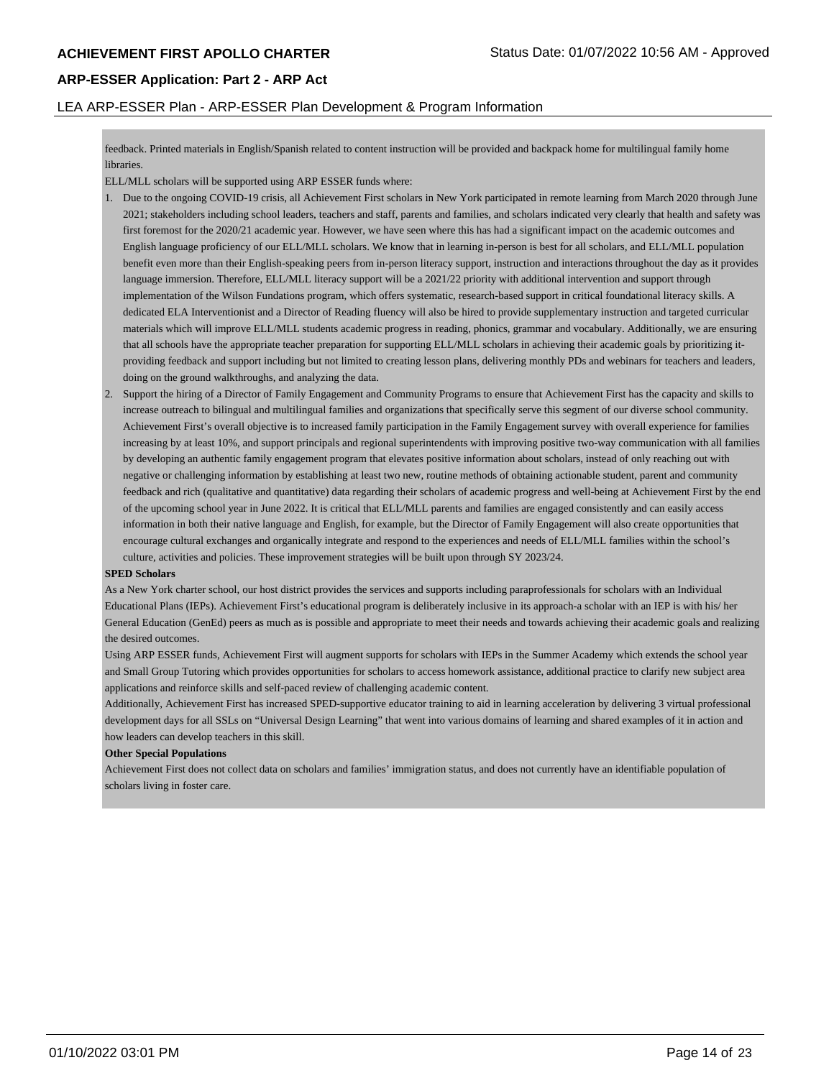### LEA ARP-ESSER Plan - ARP-ESSER Plan Development & Program Information

feedback. Printed materials in English/Spanish related to content instruction will be provided and backpack home for multilingual family home libraries.

ELL/MLL scholars will be supported using ARP ESSER funds where:

- 1. Due to the ongoing COVID-19 crisis, all Achievement First scholars in New York participated in remote learning from March 2020 through June 2021; stakeholders including school leaders, teachers and staff, parents and families, and scholars indicated very clearly that health and safety was first foremost for the 2020/21 academic year. However, we have seen where this has had a significant impact on the academic outcomes and English language proficiency of our ELL/MLL scholars. We know that in learning in-person is best for all scholars, and ELL/MLL population benefit even more than their English-speaking peers from in-person literacy support, instruction and interactions throughout the day as it provides language immersion. Therefore, ELL/MLL literacy support will be a 2021/22 priority with additional intervention and support through implementation of the Wilson Fundations program, which offers systematic, research-based support in critical foundational literacy skills. A dedicated ELA Interventionist and a Director of Reading fluency will also be hired to provide supplementary instruction and targeted curricular materials which will improve ELL/MLL students academic progress in reading, phonics, grammar and vocabulary. Additionally, we are ensuring that all schools have the appropriate teacher preparation for supporting ELL/MLL scholars in achieving their academic goals by prioritizing itproviding feedback and support including but not limited to creating lesson plans, delivering monthly PDs and webinars for teachers and leaders, doing on the ground walkthroughs, and analyzing the data.
- 2. Support the hiring of a Director of Family Engagement and Community Programs to ensure that Achievement First has the capacity and skills to increase outreach to bilingual and multilingual families and organizations that specifically serve this segment of our diverse school community. Achievement First's overall objective is to increased family participation in the Family Engagement survey with overall experience for families increasing by at least 10%, and support principals and regional superintendents with improving positive two-way communication with all families by developing an authentic family engagement program that elevates positive information about scholars, instead of only reaching out with negative or challenging information by establishing at least two new, routine methods of obtaining actionable student, parent and community feedback and rich (qualitative and quantitative) data regarding their scholars of academic progress and well-being at Achievement First by the end of the upcoming school year in June 2022. It is critical that ELL/MLL parents and families are engaged consistently and can easily access information in both their native language and English, for example, but the Director of Family Engagement will also create opportunities that encourage cultural exchanges and organically integrate and respond to the experiences and needs of ELL/MLL families within the school's culture, activities and policies. These improvement strategies will be built upon through SY 2023/24.

### **SPED Scholars**

As a New York charter school, our host district provides the services and supports including paraprofessionals for scholars with an Individual Educational Plans (IEPs). Achievement First's educational program is deliberately inclusive in its approach-a scholar with an IEP is with his/ her General Education (GenEd) peers as much as is possible and appropriate to meet their needs and towards achieving their academic goals and realizing the desired outcomes.

Using ARP ESSER funds, Achievement First will augment supports for scholars with IEPs in the Summer Academy which extends the school year and Small Group Tutoring which provides opportunities for scholars to access homework assistance, additional practice to clarify new subject area applications and reinforce skills and self-paced review of challenging academic content.

Additionally, Achievement First has increased SPED-supportive educator training to aid in learning acceleration by delivering 3 virtual professional development days for all SSLs on "Universal Design Learning" that went into various domains of learning and shared examples of it in action and how leaders can develop teachers in this skill.

### **Other Special Populations**

Achievement First does not collect data on scholars and families' immigration status, and does not currently have an identifiable population of scholars living in foster care.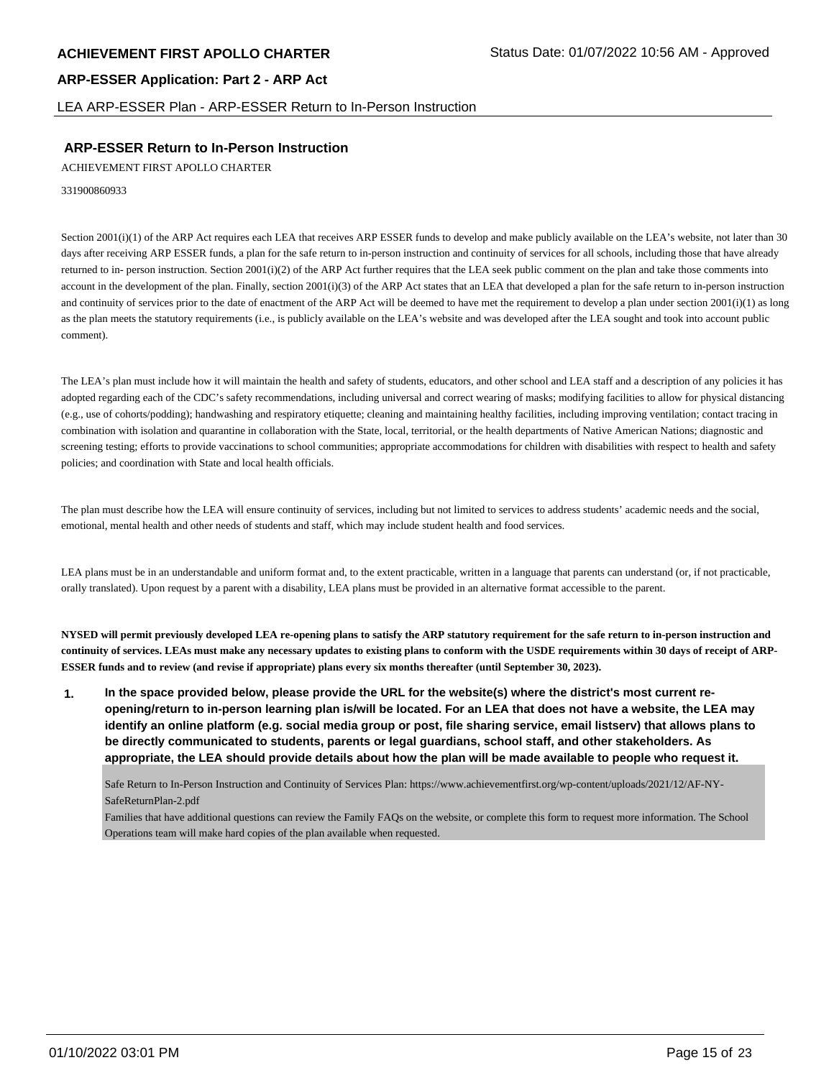LEA ARP-ESSER Plan - ARP-ESSER Return to In-Person Instruction

## **ARP-ESSER Return to In-Person Instruction**

ACHIEVEMENT FIRST APOLLO CHARTER

331900860933

Section 2001(i)(1) of the ARP Act requires each LEA that receives ARP ESSER funds to develop and make publicly available on the LEA's website, not later than 30 days after receiving ARP ESSER funds, a plan for the safe return to in-person instruction and continuity of services for all schools, including those that have already returned to in- person instruction. Section 2001(i)(2) of the ARP Act further requires that the LEA seek public comment on the plan and take those comments into account in the development of the plan. Finally, section 2001(i)(3) of the ARP Act states that an LEA that developed a plan for the safe return to in-person instruction and continuity of services prior to the date of enactment of the ARP Act will be deemed to have met the requirement to develop a plan under section  $2001(i)(1)$  as long as the plan meets the statutory requirements (i.e., is publicly available on the LEA's website and was developed after the LEA sought and took into account public comment).

The LEA's plan must include how it will maintain the health and safety of students, educators, and other school and LEA staff and a description of any policies it has adopted regarding each of the CDC's safety recommendations, including universal and correct wearing of masks; modifying facilities to allow for physical distancing (e.g., use of cohorts/podding); handwashing and respiratory etiquette; cleaning and maintaining healthy facilities, including improving ventilation; contact tracing in combination with isolation and quarantine in collaboration with the State, local, territorial, or the health departments of Native American Nations; diagnostic and screening testing; efforts to provide vaccinations to school communities; appropriate accommodations for children with disabilities with respect to health and safety policies; and coordination with State and local health officials.

The plan must describe how the LEA will ensure continuity of services, including but not limited to services to address students' academic needs and the social, emotional, mental health and other needs of students and staff, which may include student health and food services.

LEA plans must be in an understandable and uniform format and, to the extent practicable, written in a language that parents can understand (or, if not practicable, orally translated). Upon request by a parent with a disability, LEA plans must be provided in an alternative format accessible to the parent.

**NYSED will permit previously developed LEA re-opening plans to satisfy the ARP statutory requirement for the safe return to in-person instruction and continuity of services. LEAs must make any necessary updates to existing plans to conform with the USDE requirements within 30 days of receipt of ARP-ESSER funds and to review (and revise if appropriate) plans every six months thereafter (until September 30, 2023).**

**1. In the space provided below, please provide the URL for the website(s) where the district's most current reopening/return to in-person learning plan is/will be located. For an LEA that does not have a website, the LEA may identify an online platform (e.g. social media group or post, file sharing service, email listserv) that allows plans to be directly communicated to students, parents or legal guardians, school staff, and other stakeholders. As appropriate, the LEA should provide details about how the plan will be made available to people who request it.**

Safe Return to In-Person Instruction and Continuity of Services Plan: https://www.achievementfirst.org/wp-content/uploads/2021/12/AF-NY-SafeReturnPlan-2.pdf

Families that have additional questions can review the Family FAQs on the website, or complete this form to request more information. The School Operations team will make hard copies of the plan available when requested.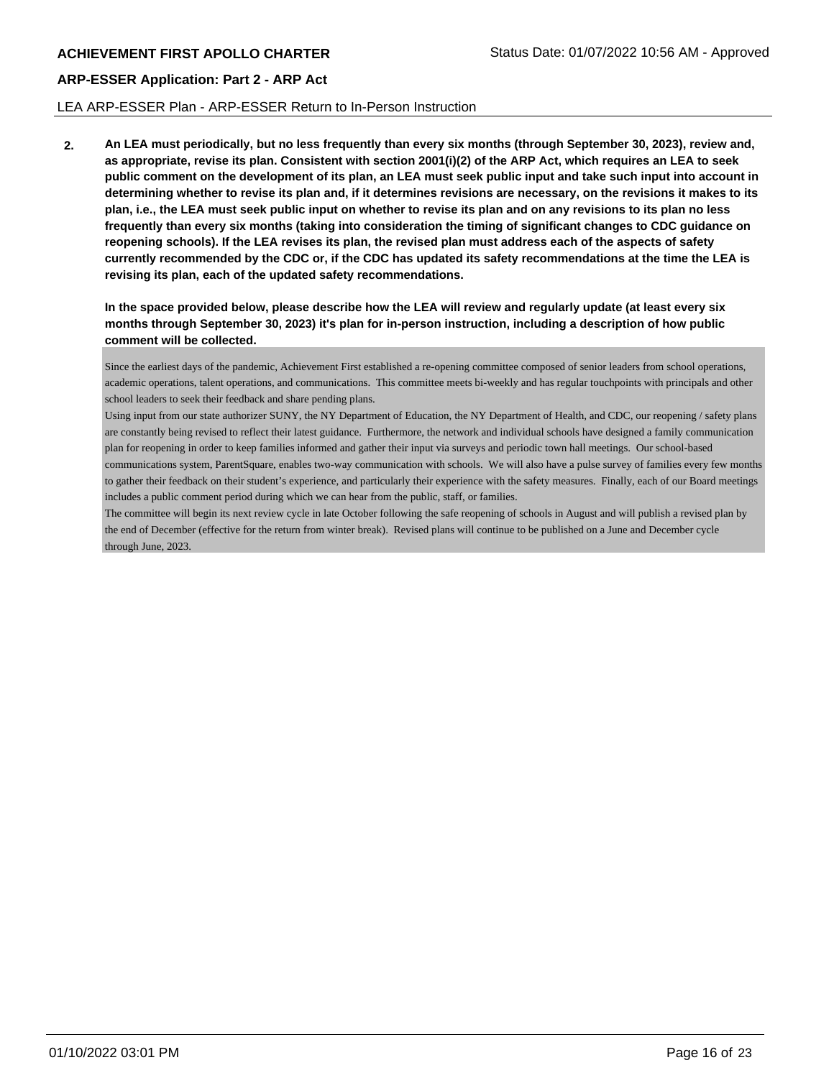### LEA ARP-ESSER Plan - ARP-ESSER Return to In-Person Instruction

**2. An LEA must periodically, but no less frequently than every six months (through September 30, 2023), review and, as appropriate, revise its plan. Consistent with section 2001(i)(2) of the ARP Act, which requires an LEA to seek public comment on the development of its plan, an LEA must seek public input and take such input into account in determining whether to revise its plan and, if it determines revisions are necessary, on the revisions it makes to its plan, i.e., the LEA must seek public input on whether to revise its plan and on any revisions to its plan no less frequently than every six months (taking into consideration the timing of significant changes to CDC guidance on reopening schools). If the LEA revises its plan, the revised plan must address each of the aspects of safety currently recommended by the CDC or, if the CDC has updated its safety recommendations at the time the LEA is revising its plan, each of the updated safety recommendations.**

**In the space provided below, please describe how the LEA will review and regularly update (at least every six months through September 30, 2023) it's plan for in-person instruction, including a description of how public comment will be collected.**

Since the earliest days of the pandemic, Achievement First established a re-opening committee composed of senior leaders from school operations, academic operations, talent operations, and communications. This committee meets bi-weekly and has regular touchpoints with principals and other school leaders to seek their feedback and share pending plans.

Using input from our state authorizer SUNY, the NY Department of Education, the NY Department of Health, and CDC, our reopening / safety plans are constantly being revised to reflect their latest guidance. Furthermore, the network and individual schools have designed a family communication plan for reopening in order to keep families informed and gather their input via surveys and periodic town hall meetings. Our school-based communications system, ParentSquare, enables two-way communication with schools. We will also have a pulse survey of families every few months to gather their feedback on their student's experience, and particularly their experience with the safety measures. Finally, each of our Board meetings includes a public comment period during which we can hear from the public, staff, or families.

The committee will begin its next review cycle in late October following the safe reopening of schools in August and will publish a revised plan by the end of December (effective for the return from winter break). Revised plans will continue to be published on a June and December cycle through June, 2023.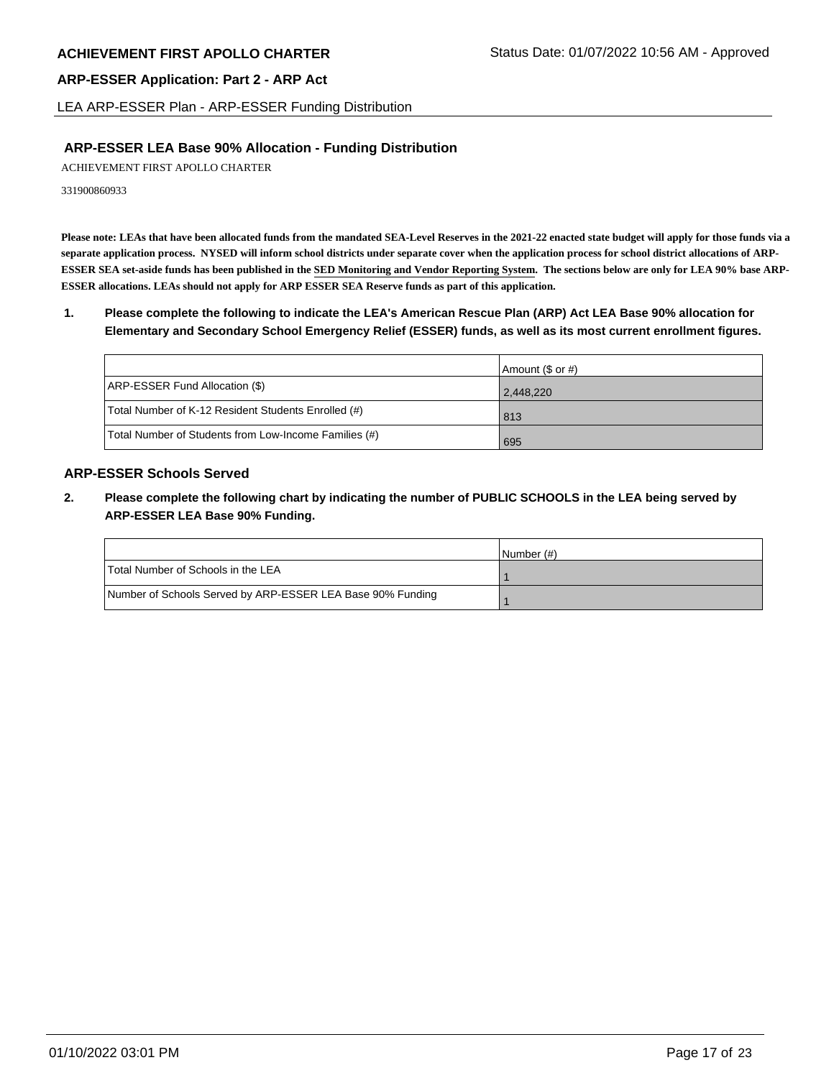LEA ARP-ESSER Plan - ARP-ESSER Funding Distribution

# **ARP-ESSER LEA Base 90% Allocation - Funding Distribution**

ACHIEVEMENT FIRST APOLLO CHARTER

331900860933

**Please note: LEAs that have been allocated funds from the mandated SEA-Level Reserves in the 2021-22 enacted state budget will apply for those funds via a separate application process. NYSED will inform school districts under separate cover when the application process for school district allocations of ARP-ESSER SEA set-aside funds has been published in the SED Monitoring and Vendor Reporting System. The sections below are only for LEA 90% base ARP-ESSER allocations. LEAs should not apply for ARP ESSER SEA Reserve funds as part of this application.**

**1. Please complete the following to indicate the LEA's American Rescue Plan (ARP) Act LEA Base 90% allocation for Elementary and Secondary School Emergency Relief (ESSER) funds, as well as its most current enrollment figures.**

|                                                       | Amount (\$ or #) |
|-------------------------------------------------------|------------------|
| ARP-ESSER Fund Allocation (\$)                        | 2,448,220        |
| Total Number of K-12 Resident Students Enrolled (#)   | 813              |
| Total Number of Students from Low-Income Families (#) | 695              |

# **ARP-ESSER Schools Served**

**2. Please complete the following chart by indicating the number of PUBLIC SCHOOLS in the LEA being served by ARP-ESSER LEA Base 90% Funding.**

|                                                            | INumber (#) |
|------------------------------------------------------------|-------------|
| Total Number of Schools in the LEA                         |             |
| Number of Schools Served by ARP-ESSER LEA Base 90% Funding |             |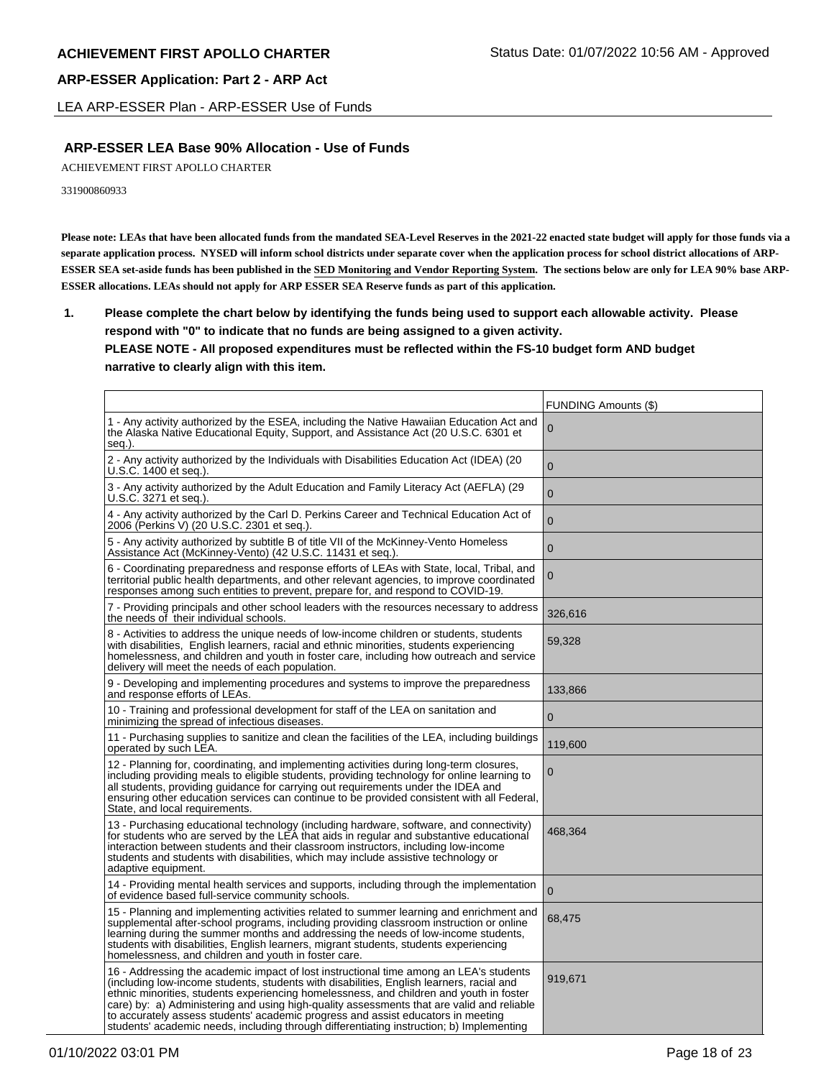LEA ARP-ESSER Plan - ARP-ESSER Use of Funds

# **ARP-ESSER LEA Base 90% Allocation - Use of Funds**

ACHIEVEMENT FIRST APOLLO CHARTER

331900860933

**Please note: LEAs that have been allocated funds from the mandated SEA-Level Reserves in the 2021-22 enacted state budget will apply for those funds via a separate application process. NYSED will inform school districts under separate cover when the application process for school district allocations of ARP-ESSER SEA set-aside funds has been published in the SED Monitoring and Vendor Reporting System. The sections below are only for LEA 90% base ARP-ESSER allocations. LEAs should not apply for ARP ESSER SEA Reserve funds as part of this application.**

**1. Please complete the chart below by identifying the funds being used to support each allowable activity. Please respond with "0" to indicate that no funds are being assigned to a given activity. PLEASE NOTE - All proposed expenditures must be reflected within the FS-10 budget form AND budget narrative to clearly align with this item.**

|                                                                                                                                                                                                                                                                                                                                                                                                                                                                                                                                                            | FUNDING Amounts (\$) |
|------------------------------------------------------------------------------------------------------------------------------------------------------------------------------------------------------------------------------------------------------------------------------------------------------------------------------------------------------------------------------------------------------------------------------------------------------------------------------------------------------------------------------------------------------------|----------------------|
| 1 - Any activity authorized by the ESEA, including the Native Hawaiian Education Act and<br>the Alaska Native Educational Equity, Support, and Assistance Act (20 U.S.C. 6301 et<br>seq.).                                                                                                                                                                                                                                                                                                                                                                 | 0                    |
| 2 - Any activity authorized by the Individuals with Disabilities Education Act (IDEA) (20<br>U.S.C. 1400 et seq.).                                                                                                                                                                                                                                                                                                                                                                                                                                         | $\overline{0}$       |
| 3 - Any activity authorized by the Adult Education and Family Literacy Act (AEFLA) (29<br>U.S.C. 3271 et seq.).                                                                                                                                                                                                                                                                                                                                                                                                                                            | $\mathbf{0}$         |
| 4 - Any activity authorized by the Carl D. Perkins Career and Technical Education Act of<br>2006 (Perkins V) (20 U.S.C. 2301 et seq.).                                                                                                                                                                                                                                                                                                                                                                                                                     | $\mathbf 0$          |
| 5 - Any activity authorized by subtitle B of title VII of the McKinney-Vento Homeless<br>Assistance Act (McKinney-Vento) (42 U.S.C. 11431 et seg.).                                                                                                                                                                                                                                                                                                                                                                                                        | $\mathbf{0}$         |
| 6 - Coordinating preparedness and response efforts of LEAs with State, local, Tribal, and<br>territorial public health departments, and other relevant agencies, to improve coordinated<br>responses among such entities to prevent, prepare for, and respond to COVID-19.                                                                                                                                                                                                                                                                                 | $\boldsymbol{0}$     |
| 7 - Providing principals and other school leaders with the resources necessary to address<br>the needs of their individual schools.                                                                                                                                                                                                                                                                                                                                                                                                                        | 326,616              |
| 8 - Activities to address the unique needs of low-income children or students, students<br>with disabilities, English learners, racial and ethnic minorities, students experiencing<br>homelessness, and children and youth in foster care, including how outreach and service<br>delivery will meet the needs of each population.                                                                                                                                                                                                                         | 59,328               |
| 9 - Developing and implementing procedures and systems to improve the preparedness<br>and response efforts of LEAs.                                                                                                                                                                                                                                                                                                                                                                                                                                        | 133,866              |
| 10 - Training and professional development for staff of the LEA on sanitation and<br>minimizing the spread of infectious diseases.                                                                                                                                                                                                                                                                                                                                                                                                                         | $\mathbf{0}$         |
| 11 - Purchasing supplies to sanitize and clean the facilities of the LEA, including buildings<br>operated by such LEA.                                                                                                                                                                                                                                                                                                                                                                                                                                     | 119,600              |
| 12 - Planning for, coordinating, and implementing activities during long-term closures,<br>including providing meals to eligible students, providing technology for online learning to<br>all students, providing guidance for carrying out requirements under the IDEA and<br>ensuring other education services can continue to be provided consistent with all Federal,<br>State, and local requirements.                                                                                                                                                | 0                    |
| 13 - Purchasing educational technology (including hardware, software, and connectivity)<br>for students who are served by the LEA that aids in regular and substantive educational<br>interaction between students and their classroom instructors, including low-income<br>students and students with disabilities, which may include assistive technology or<br>adaptive equipment.                                                                                                                                                                      | 468,364              |
| 14 - Providing mental health services and supports, including through the implementation<br>of evidence based full-service community schools.                                                                                                                                                                                                                                                                                                                                                                                                              | $\overline{0}$       |
| 15 - Planning and implementing activities related to summer learning and enrichment and<br>supplemental after-school programs, including providing classroom instruction or online<br>learning during the summer months and addressing the needs of low-income students,<br>students with disabilities, English learners, migrant students, students experiencing<br>homelessness, and children and youth in foster care.                                                                                                                                  | 68,475               |
| 16 - Addressing the academic impact of lost instructional time among an LEA's students<br>(including low-income students, students with disabilities, English learners, racial and<br>ethnic minorities, students experiencing homelessness, and children and youth in foster<br>care) by: a) Administering and using high-quality assessments that are valid and reliable<br>to accurately assess students' academic progress and assist educators in meeting<br>students' academic needs, including through differentiating instruction; b) Implementing | 919,671              |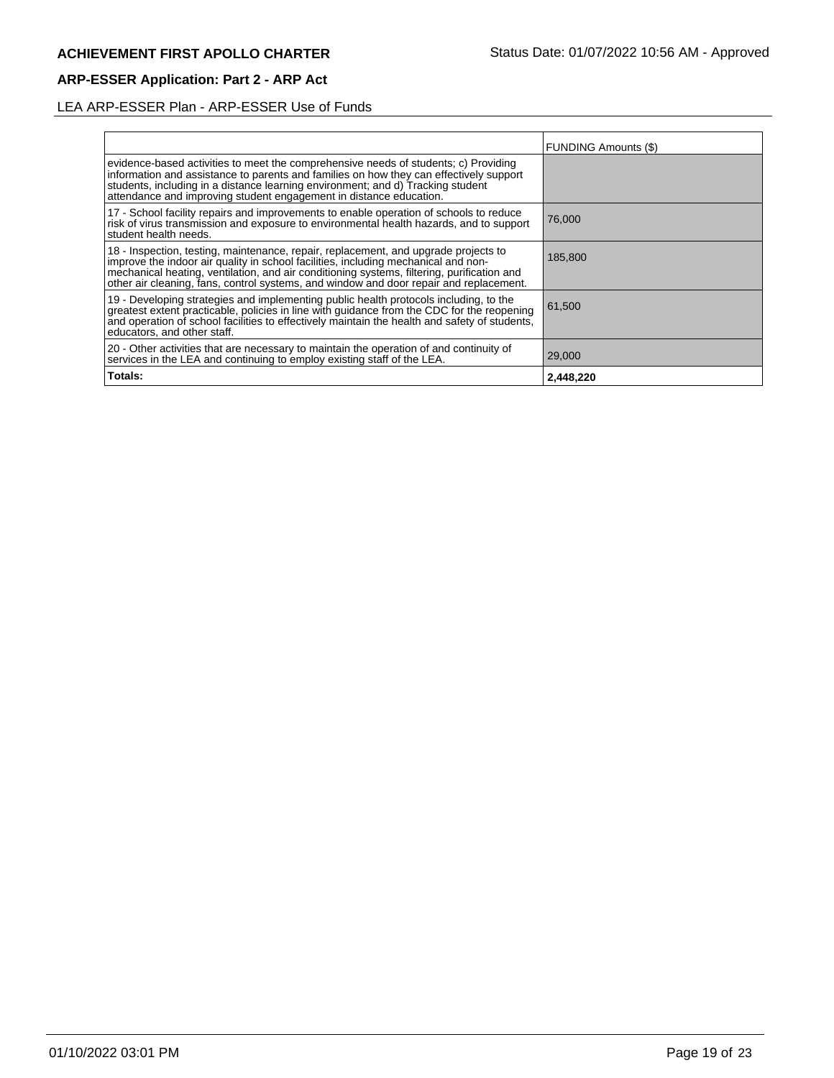# LEA ARP-ESSER Plan - ARP-ESSER Use of Funds

|                                                                                                                                                                                                                                                                                                                                                                   | <b>FUNDING Amounts (\$)</b> |
|-------------------------------------------------------------------------------------------------------------------------------------------------------------------------------------------------------------------------------------------------------------------------------------------------------------------------------------------------------------------|-----------------------------|
| evidence-based activities to meet the comprehensive needs of students; c) Providing<br>information and assistance to parents and families on how they can effectively support<br>students, including in a distance learning environment; and d) Tracking student<br>attendance and improving student engagement in distance education.                            |                             |
| 17 - School facility repairs and improvements to enable operation of schools to reduce<br>risk of virus transmission and exposure to environmental health hazards, and to support<br>student health needs.                                                                                                                                                        | 76,000                      |
| 18 - Inspection, testing, maintenance, repair, replacement, and upgrade projects to<br>improve the indoor air quality in school facilities, including mechanical and non-<br>mechanical heating, ventilation, and air conditioning systems, filtering, purification and<br>other air cleaning, fans, control systems, and window and door repair and replacement. | 185,800                     |
| 19 - Developing strategies and implementing public health protocols including, to the<br>greatest extent practicable, policies in line with guidance from the CDC for the reopening<br>and operation of school facilities to effectively maintain the health and safety of students,<br>educators, and other staff.                                               | 61,500                      |
| 20 - Other activities that are necessary to maintain the operation of and continuity of<br>services in the LEA and continuing to employ existing staff of the LEA.                                                                                                                                                                                                | 29,000                      |
| Totals:                                                                                                                                                                                                                                                                                                                                                           | 2,448,220                   |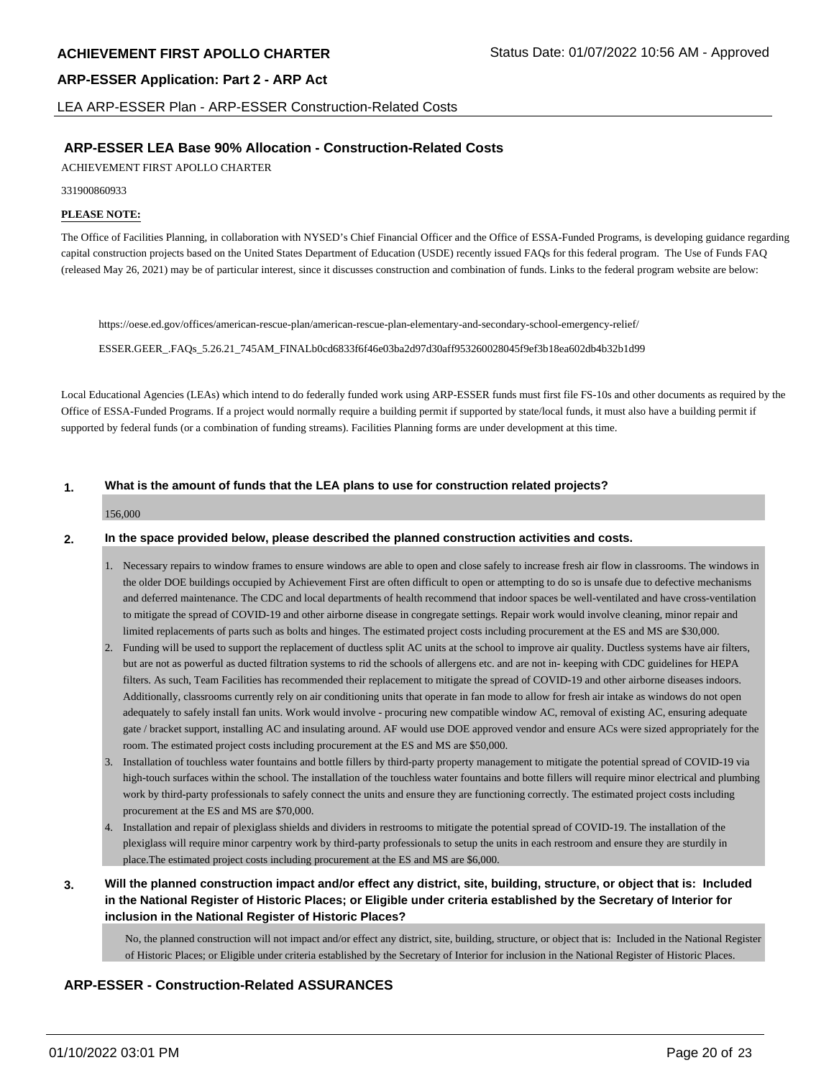LEA ARP-ESSER Plan - ARP-ESSER Construction-Related Costs

# **ARP-ESSER LEA Base 90% Allocation - Construction-Related Costs**

ACHIEVEMENT FIRST APOLLO CHARTER

331900860933

### **PLEASE NOTE:**

The Office of Facilities Planning, in collaboration with NYSED's Chief Financial Officer and the Office of ESSA-Funded Programs, is developing guidance regarding capital construction projects based on the United States Department of Education (USDE) recently issued FAQs for this federal program. The Use of Funds FAQ (released May 26, 2021) may be of particular interest, since it discusses construction and combination of funds. Links to the federal program website are below:

https://oese.ed.gov/offices/american-rescue-plan/american-rescue-plan-elementary-and-secondary-school-emergency-relief/

ESSER.GEER\_.FAQs\_5.26.21\_745AM\_FINALb0cd6833f6f46e03ba2d97d30aff953260028045f9ef3b18ea602db4b32b1d99

Local Educational Agencies (LEAs) which intend to do federally funded work using ARP-ESSER funds must first file FS-10s and other documents as required by the Office of ESSA-Funded Programs. If a project would normally require a building permit if supported by state/local funds, it must also have a building permit if supported by federal funds (or a combination of funding streams). Facilities Planning forms are under development at this time.

### **1. What is the amount of funds that the LEA plans to use for construction related projects?**

### 156,000

### **2. In the space provided below, please described the planned construction activities and costs.**

- 1. Necessary repairs to window frames to ensure windows are able to open and close safely to increase fresh air flow in classrooms. The windows in the older DOE buildings occupied by Achievement First are often difficult to open or attempting to do so is unsafe due to defective mechanisms and deferred maintenance. The CDC and local departments of health recommend that indoor spaces be well-ventilated and have cross-ventilation to mitigate the spread of COVID-19 and other airborne disease in congregate settings. Repair work would involve cleaning, minor repair and limited replacements of parts such as bolts and hinges. The estimated project costs including procurement at the ES and MS are \$30,000.
- 2. Funding will be used to support the replacement of ductless split AC units at the school to improve air quality. Ductless systems have air filters, but are not as powerful as ducted filtration systems to rid the schools of allergens etc. and are not in- keeping with CDC guidelines for HEPA filters. As such, Team Facilities has recommended their replacement to mitigate the spread of COVID-19 and other airborne diseases indoors. Additionally, classrooms currently rely on air conditioning units that operate in fan mode to allow for fresh air intake as windows do not open adequately to safely install fan units. Work would involve - procuring new compatible window AC, removal of existing AC, ensuring adequate gate / bracket support, installing AC and insulating around. AF would use DOE approved vendor and ensure ACs were sized appropriately for the room. The estimated project costs including procurement at the ES and MS are \$50,000.
- 3. Installation of touchless water fountains and bottle fillers by third-party property management to mitigate the potential spread of COVID-19 via high-touch surfaces within the school. The installation of the touchless water fountains and botte fillers will require minor electrical and plumbing work by third-party professionals to safely connect the units and ensure they are functioning correctly. The estimated project costs including procurement at the ES and MS are \$70,000.
- 4. Installation and repair of plexiglass shields and dividers in restrooms to mitigate the potential spread of COVID-19. The installation of the plexiglass will require minor carpentry work by third-party professionals to setup the units in each restroom and ensure they are sturdily in place.The estimated project costs including procurement at the ES and MS are \$6,000.
- **3. Will the planned construction impact and/or effect any district, site, building, structure, or object that is: Included in the National Register of Historic Places; or Eligible under criteria established by the Secretary of Interior for inclusion in the National Register of Historic Places?**

No, the planned construction will not impact and/or effect any district, site, building, structure, or object that is: Included in the National Register of Historic Places; or Eligible under criteria established by the Secretary of Interior for inclusion in the National Register of Historic Places.

# **ARP-ESSER - Construction-Related ASSURANCES**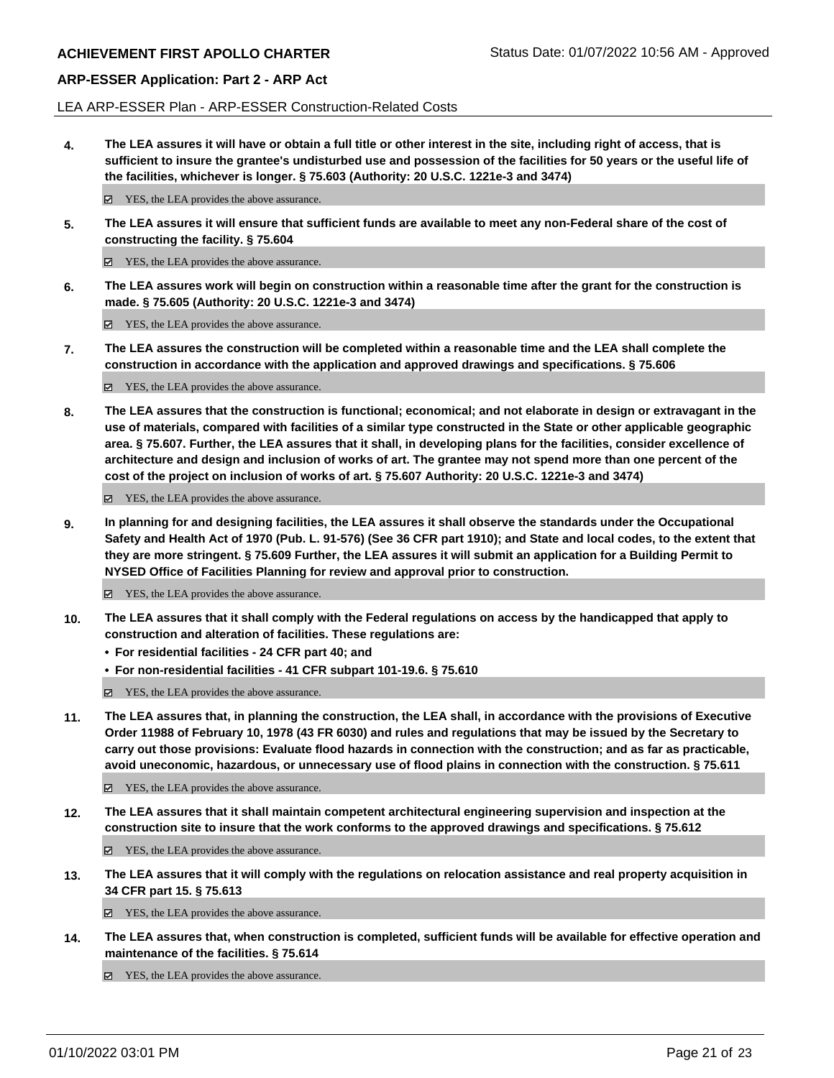LEA ARP-ESSER Plan - ARP-ESSER Construction-Related Costs

**4. The LEA assures it will have or obtain a full title or other interest in the site, including right of access, that is sufficient to insure the grantee's undisturbed use and possession of the facilities for 50 years or the useful life of the facilities, whichever is longer. § 75.603 (Authority: 20 U.S.C. 1221e-3 and 3474)**

 $✓$  YES, the LEA provides the above assurance.

**5. The LEA assures it will ensure that sufficient funds are available to meet any non-Federal share of the cost of constructing the facility. § 75.604**

YES, the LEA provides the above assurance.

**6. The LEA assures work will begin on construction within a reasonable time after the grant for the construction is made. § 75.605 (Authority: 20 U.S.C. 1221e-3 and 3474)**

■ YES, the LEA provides the above assurance.

**7. The LEA assures the construction will be completed within a reasonable time and the LEA shall complete the construction in accordance with the application and approved drawings and specifications. § 75.606**

YES, the LEA provides the above assurance.

**8. The LEA assures that the construction is functional; economical; and not elaborate in design or extravagant in the use of materials, compared with facilities of a similar type constructed in the State or other applicable geographic area. § 75.607. Further, the LEA assures that it shall, in developing plans for the facilities, consider excellence of architecture and design and inclusion of works of art. The grantee may not spend more than one percent of the cost of the project on inclusion of works of art. § 75.607 Authority: 20 U.S.C. 1221e-3 and 3474)**

YES, the LEA provides the above assurance.

**9. In planning for and designing facilities, the LEA assures it shall observe the standards under the Occupational Safety and Health Act of 1970 (Pub. L. 91-576) (See 36 CFR part 1910); and State and local codes, to the extent that they are more stringent. § 75.609 Further, the LEA assures it will submit an application for a Building Permit to NYSED Office of Facilities Planning for review and approval prior to construction.**

■ YES, the LEA provides the above assurance.

- **10. The LEA assures that it shall comply with the Federal regulations on access by the handicapped that apply to construction and alteration of facilities. These regulations are:**
	- **• For residential facilities 24 CFR part 40; and**
	- **• For non-residential facilities 41 CFR subpart 101-19.6. § 75.610**

YES, the LEA provides the above assurance.

**11. The LEA assures that, in planning the construction, the LEA shall, in accordance with the provisions of Executive Order 11988 of February 10, 1978 (43 FR 6030) and rules and regulations that may be issued by the Secretary to carry out those provisions: Evaluate flood hazards in connection with the construction; and as far as practicable, avoid uneconomic, hazardous, or unnecessary use of flood plains in connection with the construction. § 75.611**

YES, the LEA provides the above assurance.

**12. The LEA assures that it shall maintain competent architectural engineering supervision and inspection at the construction site to insure that the work conforms to the approved drawings and specifications. § 75.612**

YES, the LEA provides the above assurance.

**13. The LEA assures that it will comply with the regulations on relocation assistance and real property acquisition in 34 CFR part 15. § 75.613**

YES, the LEA provides the above assurance.

**14. The LEA assures that, when construction is completed, sufficient funds will be available for effective operation and maintenance of the facilities. § 75.614**

■ YES, the LEA provides the above assurance.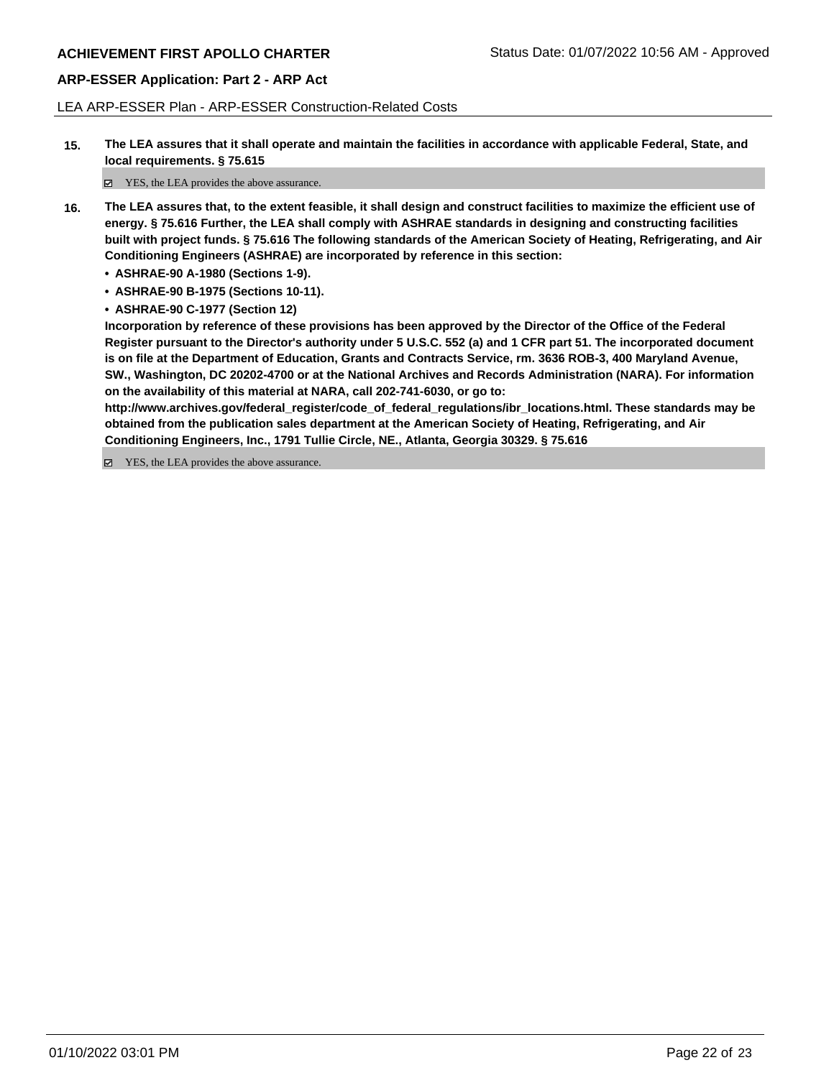LEA ARP-ESSER Plan - ARP-ESSER Construction-Related Costs

**15. The LEA assures that it shall operate and maintain the facilities in accordance with applicable Federal, State, and local requirements. § 75.615**

YES, the LEA provides the above assurance.

- **16. The LEA assures that, to the extent feasible, it shall design and construct facilities to maximize the efficient use of energy. § 75.616 Further, the LEA shall comply with ASHRAE standards in designing and constructing facilities built with project funds. § 75.616 The following standards of the American Society of Heating, Refrigerating, and Air Conditioning Engineers (ASHRAE) are incorporated by reference in this section:**
	- **• ASHRAE-90 A-1980 (Sections 1-9).**
	- **• ASHRAE-90 B-1975 (Sections 10-11).**
	- **• ASHRAE-90 C-1977 (Section 12)**

**Incorporation by reference of these provisions has been approved by the Director of the Office of the Federal Register pursuant to the Director's authority under 5 U.S.C. 552 (a) and 1 CFR part 51. The incorporated document is on file at the Department of Education, Grants and Contracts Service, rm. 3636 ROB-3, 400 Maryland Avenue, SW., Washington, DC 20202-4700 or at the National Archives and Records Administration (NARA). For information on the availability of this material at NARA, call 202-741-6030, or go to:**

**http://www.archives.gov/federal\_register/code\_of\_federal\_regulations/ibr\_locations.html. These standards may be obtained from the publication sales department at the American Society of Heating, Refrigerating, and Air Conditioning Engineers, Inc., 1791 Tullie Circle, NE., Atlanta, Georgia 30329. § 75.616**

YES, the LEA provides the above assurance.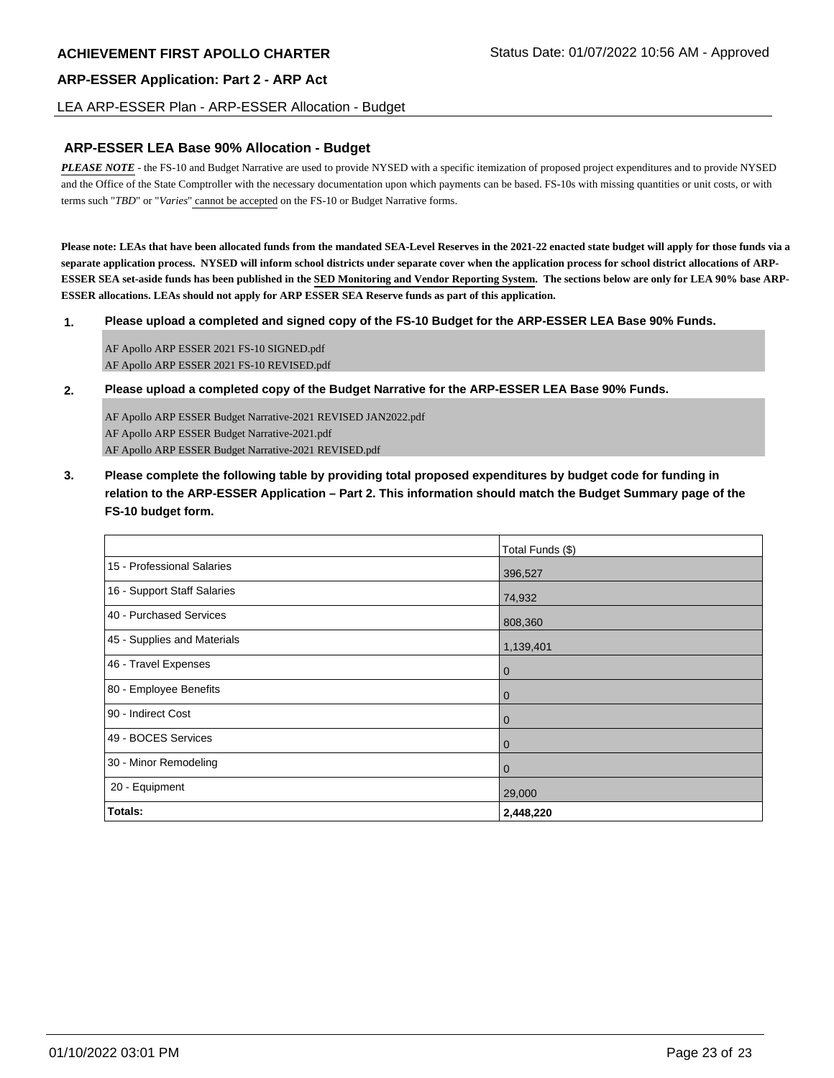LEA ARP-ESSER Plan - ARP-ESSER Allocation - Budget

### **ARP-ESSER LEA Base 90% Allocation - Budget**

*PLEASE NOTE* - the FS-10 and Budget Narrative are used to provide NYSED with a specific itemization of proposed project expenditures and to provide NYSED and the Office of the State Comptroller with the necessary documentation upon which payments can be based. FS-10s with missing quantities or unit costs, or with terms such "*TBD*" or "*Varies*" cannot be accepted on the FS-10 or Budget Narrative forms.

**Please note: LEAs that have been allocated funds from the mandated SEA-Level Reserves in the 2021-22 enacted state budget will apply for those funds via a separate application process. NYSED will inform school districts under separate cover when the application process for school district allocations of ARP-ESSER SEA set-aside funds has been published in the SED Monitoring and Vendor Reporting System. The sections below are only for LEA 90% base ARP-ESSER allocations. LEAs should not apply for ARP ESSER SEA Reserve funds as part of this application.**

**1. Please upload a completed and signed copy of the FS-10 Budget for the ARP-ESSER LEA Base 90% Funds.**

AF Apollo ARP ESSER 2021 FS-10 SIGNED.pdf AF Apollo ARP ESSER 2021 FS-10 REVISED.pdf

**2. Please upload a completed copy of the Budget Narrative for the ARP-ESSER LEA Base 90% Funds.**

AF Apollo ARP ESSER Budget Narrative-2021 REVISED JAN2022.pdf AF Apollo ARP ESSER Budget Narrative-2021.pdf AF Apollo ARP ESSER Budget Narrative-2021 REVISED.pdf

**3. Please complete the following table by providing total proposed expenditures by budget code for funding in relation to the ARP-ESSER Application – Part 2. This information should match the Budget Summary page of the FS-10 budget form.**

|                             | Total Funds (\$) |
|-----------------------------|------------------|
| 15 - Professional Salaries  | 396,527          |
| 16 - Support Staff Salaries | 74,932           |
| 40 - Purchased Services     | 808,360          |
| 45 - Supplies and Materials | 1,139,401        |
| 46 - Travel Expenses        | $\overline{0}$   |
| 80 - Employee Benefits      | $\overline{0}$   |
| 90 - Indirect Cost          | $\overline{0}$   |
| 49 - BOCES Services         | $\overline{0}$   |
| 30 - Minor Remodeling       | l 0              |
| 20 - Equipment              | 29,000           |
| <b>Totals:</b>              | 2,448,220        |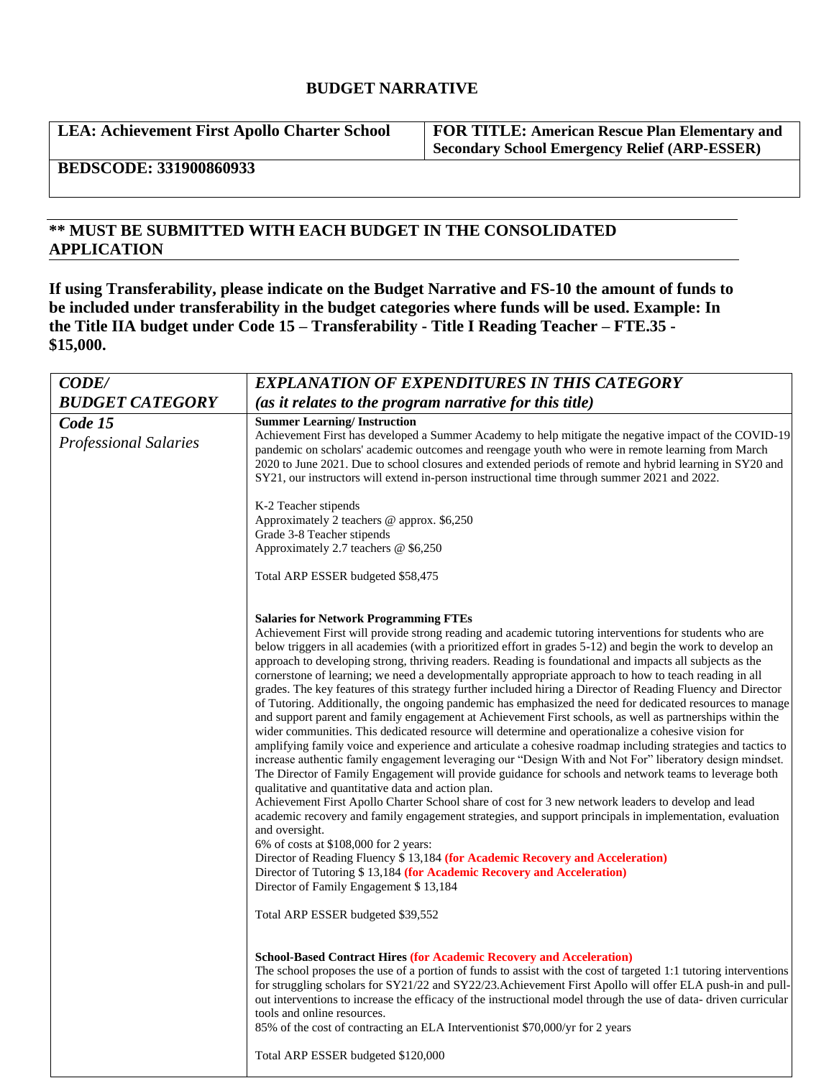# **BUDGET NARRATIVE**

**LEA: Achievement First Apollo Charter School FOR TITLE: American Rescue Plan Elementary and** 

**Secondary School Emergency Relief (ARP-ESSER)**

**BEDSCODE: 331900860933**

# **\*\* MUST BE SUBMITTED WITH EACH BUDGET IN THE CONSOLIDATED APPLICATION**

**If using Transferability, please indicate on the Budget Narrative and FS-10 the amount of funds to be included under transferability in the budget categories where funds will be used. Example: In the Title IIA budget under Code 15 – Transferability - Title I Reading Teacher – FTE.35 - \$15,000.**

| <b>CODE/</b>                            | <b>EXPLANATION OF EXPENDITURES IN THIS CATEGORY</b>                                                                                                                                                                                                                                                                                                                                                                                                                                                                                                                                                                                                                                                                                                                                                                                                                                                                                                                                                                                                                                                                                                                                                                                                                                                                                                                                                                                                                                                                                                                                                                                                                                                                                                                                                                                                                |
|-----------------------------------------|--------------------------------------------------------------------------------------------------------------------------------------------------------------------------------------------------------------------------------------------------------------------------------------------------------------------------------------------------------------------------------------------------------------------------------------------------------------------------------------------------------------------------------------------------------------------------------------------------------------------------------------------------------------------------------------------------------------------------------------------------------------------------------------------------------------------------------------------------------------------------------------------------------------------------------------------------------------------------------------------------------------------------------------------------------------------------------------------------------------------------------------------------------------------------------------------------------------------------------------------------------------------------------------------------------------------------------------------------------------------------------------------------------------------------------------------------------------------------------------------------------------------------------------------------------------------------------------------------------------------------------------------------------------------------------------------------------------------------------------------------------------------------------------------------------------------------------------------------------------------|
| <b>BUDGET CATEGORY</b>                  | (as it relates to the program narrative for this title)                                                                                                                                                                                                                                                                                                                                                                                                                                                                                                                                                                                                                                                                                                                                                                                                                                                                                                                                                                                                                                                                                                                                                                                                                                                                                                                                                                                                                                                                                                                                                                                                                                                                                                                                                                                                            |
| Code 15<br><b>Professional Salaries</b> | <b>Summer Learning/Instruction</b><br>Achievement First has developed a Summer Academy to help mitigate the negative impact of the COVID-19<br>pandemic on scholars' academic outcomes and reengage youth who were in remote learning from March<br>2020 to June 2021. Due to school closures and extended periods of remote and hybrid learning in SY20 and<br>SY21, our instructors will extend in-person instructional time through summer 2021 and 2022.                                                                                                                                                                                                                                                                                                                                                                                                                                                                                                                                                                                                                                                                                                                                                                                                                                                                                                                                                                                                                                                                                                                                                                                                                                                                                                                                                                                                       |
|                                         | K-2 Teacher stipends<br>Approximately 2 teachers @ approx. \$6,250<br>Grade 3-8 Teacher stipends<br>Approximately 2.7 teachers @ \$6,250                                                                                                                                                                                                                                                                                                                                                                                                                                                                                                                                                                                                                                                                                                                                                                                                                                                                                                                                                                                                                                                                                                                                                                                                                                                                                                                                                                                                                                                                                                                                                                                                                                                                                                                           |
|                                         | Total ARP ESSER budgeted \$58,475                                                                                                                                                                                                                                                                                                                                                                                                                                                                                                                                                                                                                                                                                                                                                                                                                                                                                                                                                                                                                                                                                                                                                                                                                                                                                                                                                                                                                                                                                                                                                                                                                                                                                                                                                                                                                                  |
|                                         | <b>Salaries for Network Programming FTEs</b><br>Achievement First will provide strong reading and academic tutoring interventions for students who are<br>below triggers in all academies (with a prioritized effort in grades 5-12) and begin the work to develop an<br>approach to developing strong, thriving readers. Reading is foundational and impacts all subjects as the<br>cornerstone of learning; we need a developmentally appropriate approach to how to teach reading in all<br>grades. The key features of this strategy further included hiring a Director of Reading Fluency and Director<br>of Tutoring. Additionally, the ongoing pandemic has emphasized the need for dedicated resources to manage<br>and support parent and family engagement at Achievement First schools, as well as partnerships within the<br>wider communities. This dedicated resource will determine and operationalize a cohesive vision for<br>amplifying family voice and experience and articulate a cohesive roadmap including strategies and tactics to<br>increase authentic family engagement leveraging our "Design With and Not For" liberatory design mindset.<br>The Director of Family Engagement will provide guidance for schools and network teams to leverage both<br>qualitative and quantitative data and action plan.<br>Achievement First Apollo Charter School share of cost for 3 new network leaders to develop and lead<br>academic recovery and family engagement strategies, and support principals in implementation, evaluation<br>and oversight.<br>$6\%$ of costs at \$108,000 for 2 years:<br>Director of Reading Fluency \$13,184 (for Academic Recovery and Acceleration)<br>Director of Tutoring \$13,184 (for Academic Recovery and Acceleration)<br>Director of Family Engagement \$13,184<br>Total ARP ESSER budgeted \$39,552 |
|                                         | <b>School-Based Contract Hires (for Academic Recovery and Acceleration)</b><br>The school proposes the use of a portion of funds to assist with the cost of targeted 1:1 tutoring interventions<br>for struggling scholars for SY21/22 and SY22/23. Achievement First Apollo will offer ELA push-in and pull-<br>out interventions to increase the efficacy of the instructional model through the use of data-driven curricular<br>tools and online resources.<br>85% of the cost of contracting an ELA Interventionist \$70,000/yr for 2 years<br>Total ARP ESSER budgeted \$120,000                                                                                                                                                                                                                                                                                                                                                                                                                                                                                                                                                                                                                                                                                                                                                                                                                                                                                                                                                                                                                                                                                                                                                                                                                                                                             |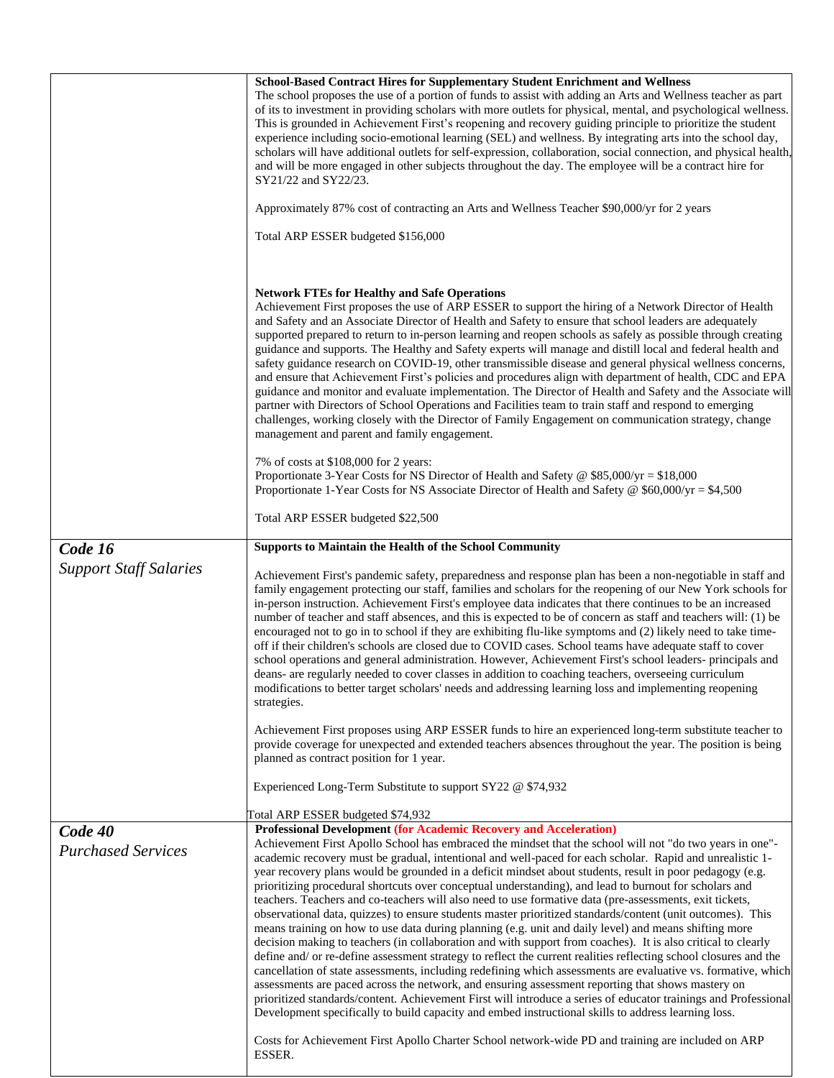|                                      | School-Based Contract Hires for Supplementary Student Enrichment and Wellness<br>The school proposes the use of a portion of funds to assist with adding an Arts and Wellness teacher as part<br>of its to investment in providing scholars with more outlets for physical, mental, and psychological wellness.<br>This is grounded in Achievement First's reopening and recovery guiding principle to prioritize the student<br>experience including socio-emotional learning (SEL) and wellness. By integrating arts into the school day,<br>scholars will have additional outlets for self-expression, collaboration, social connection, and physical health,<br>and will be more engaged in other subjects throughout the day. The employee will be a contract hire for<br>SY21/22 and SY22/23.                                                                                                                                                                                                                                                                                                                                                                                                                                                                                                                                                                                                                                                                                                                                                                                                                                                |
|--------------------------------------|----------------------------------------------------------------------------------------------------------------------------------------------------------------------------------------------------------------------------------------------------------------------------------------------------------------------------------------------------------------------------------------------------------------------------------------------------------------------------------------------------------------------------------------------------------------------------------------------------------------------------------------------------------------------------------------------------------------------------------------------------------------------------------------------------------------------------------------------------------------------------------------------------------------------------------------------------------------------------------------------------------------------------------------------------------------------------------------------------------------------------------------------------------------------------------------------------------------------------------------------------------------------------------------------------------------------------------------------------------------------------------------------------------------------------------------------------------------------------------------------------------------------------------------------------------------------------------------------------------------------------------------------------|
|                                      | Approximately 87% cost of contracting an Arts and Wellness Teacher \$90,000/yr for 2 years                                                                                                                                                                                                                                                                                                                                                                                                                                                                                                                                                                                                                                                                                                                                                                                                                                                                                                                                                                                                                                                                                                                                                                                                                                                                                                                                                                                                                                                                                                                                                         |
|                                      | Total ARP ESSER budgeted \$156,000                                                                                                                                                                                                                                                                                                                                                                                                                                                                                                                                                                                                                                                                                                                                                                                                                                                                                                                                                                                                                                                                                                                                                                                                                                                                                                                                                                                                                                                                                                                                                                                                                 |
|                                      | <b>Network FTEs for Healthy and Safe Operations</b><br>Achievement First proposes the use of ARP ESSER to support the hiring of a Network Director of Health<br>and Safety and an Associate Director of Health and Safety to ensure that school leaders are adequately<br>supported prepared to return to in-person learning and reopen schools as safely as possible through creating<br>guidance and supports. The Healthy and Safety experts will manage and distill local and federal health and<br>safety guidance research on COVID-19, other transmissible disease and general physical wellness concerns,<br>and ensure that Achievement First's policies and procedures align with department of health, CDC and EPA<br>guidance and monitor and evaluate implementation. The Director of Health and Safety and the Associate will<br>partner with Directors of School Operations and Facilities team to train staff and respond to emerging<br>challenges, working closely with the Director of Family Engagement on communication strategy, change<br>management and parent and family engagement.                                                                                                                                                                                                                                                                                                                                                                                                                                                                                                                                      |
|                                      | 7% of costs at \$108,000 for 2 years:<br>Proportionate 3-Year Costs for NS Director of Health and Safety @ \$85,000/yr = \$18,000<br>Proportionate 1-Year Costs for NS Associate Director of Health and Safety $\circ$ \$60,000/yr = \$4,500                                                                                                                                                                                                                                                                                                                                                                                                                                                                                                                                                                                                                                                                                                                                                                                                                                                                                                                                                                                                                                                                                                                                                                                                                                                                                                                                                                                                       |
|                                      | Total ARP ESSER budgeted \$22,500                                                                                                                                                                                                                                                                                                                                                                                                                                                                                                                                                                                                                                                                                                                                                                                                                                                                                                                                                                                                                                                                                                                                                                                                                                                                                                                                                                                                                                                                                                                                                                                                                  |
| Code 16                              | <b>Supports to Maintain the Health of the School Community</b>                                                                                                                                                                                                                                                                                                                                                                                                                                                                                                                                                                                                                                                                                                                                                                                                                                                                                                                                                                                                                                                                                                                                                                                                                                                                                                                                                                                                                                                                                                                                                                                     |
| <b>Support Staff Salaries</b>        | Achievement First's pandemic safety, preparedness and response plan has been a non-negotiable in staff and<br>family engagement protecting our staff, families and scholars for the reopening of our New York schools for<br>in-person instruction. Achievement First's employee data indicates that there continues to be an increased<br>number of teacher and staff absences, and this is expected to be of concern as staff and teachers will: (1) be<br>encouraged not to go in to school if they are exhibiting flu-like symptoms and (2) likely need to take time-<br>off if their children's schools are closed due to COVID cases. School teams have adequate staff to cover<br>school operations and general administration. However, Achievement First's school leaders- principals and<br>deans- are regularly needed to cover classes in addition to coaching teachers, overseeing curriculum<br>modifications to better target scholars' needs and addressing learning loss and implementing reopening<br>strategies.                                                                                                                                                                                                                                                                                                                                                                                                                                                                                                                                                                                                                |
|                                      | Achievement First proposes using ARP ESSER funds to hire an experienced long-term substitute teacher to<br>provide coverage for unexpected and extended teachers absences throughout the year. The position is being<br>planned as contract position for 1 year.                                                                                                                                                                                                                                                                                                                                                                                                                                                                                                                                                                                                                                                                                                                                                                                                                                                                                                                                                                                                                                                                                                                                                                                                                                                                                                                                                                                   |
|                                      | Experienced Long-Term Substitute to support SY22 @ \$74,932                                                                                                                                                                                                                                                                                                                                                                                                                                                                                                                                                                                                                                                                                                                                                                                                                                                                                                                                                                                                                                                                                                                                                                                                                                                                                                                                                                                                                                                                                                                                                                                        |
|                                      | Total ARP ESSER budgeted \$74,932                                                                                                                                                                                                                                                                                                                                                                                                                                                                                                                                                                                                                                                                                                                                                                                                                                                                                                                                                                                                                                                                                                                                                                                                                                                                                                                                                                                                                                                                                                                                                                                                                  |
| Code 40<br><b>Purchased Services</b> | <b>Professional Development (for Academic Recovery and Acceleration)</b><br>Achievement First Apollo School has embraced the mindset that the school will not "do two years in one"-<br>academic recovery must be gradual, intentional and well-paced for each scholar. Rapid and unrealistic 1-<br>year recovery plans would be grounded in a deficit mindset about students, result in poor pedagogy (e.g.<br>prioritizing procedural shortcuts over conceptual understanding), and lead to burnout for scholars and<br>teachers. Teachers and co-teachers will also need to use formative data (pre-assessments, exit tickets,<br>observational data, quizzes) to ensure students master prioritized standards/content (unit outcomes). This<br>means training on how to use data during planning (e.g. unit and daily level) and means shifting more<br>decision making to teachers (in collaboration and with support from coaches). It is also critical to clearly<br>define and/ or re-define assessment strategy to reflect the current realities reflecting school closures and the<br>cancellation of state assessments, including redefining which assessments are evaluative vs. formative, which<br>assessments are paced across the network, and ensuring assessment reporting that shows mastery on<br>prioritized standards/content. Achievement First will introduce a series of educator trainings and Professional<br>Development specifically to build capacity and embed instructional skills to address learning loss.<br>Costs for Achievement First Apollo Charter School network-wide PD and training are included on ARP |
|                                      | ESSER.                                                                                                                                                                                                                                                                                                                                                                                                                                                                                                                                                                                                                                                                                                                                                                                                                                                                                                                                                                                                                                                                                                                                                                                                                                                                                                                                                                                                                                                                                                                                                                                                                                             |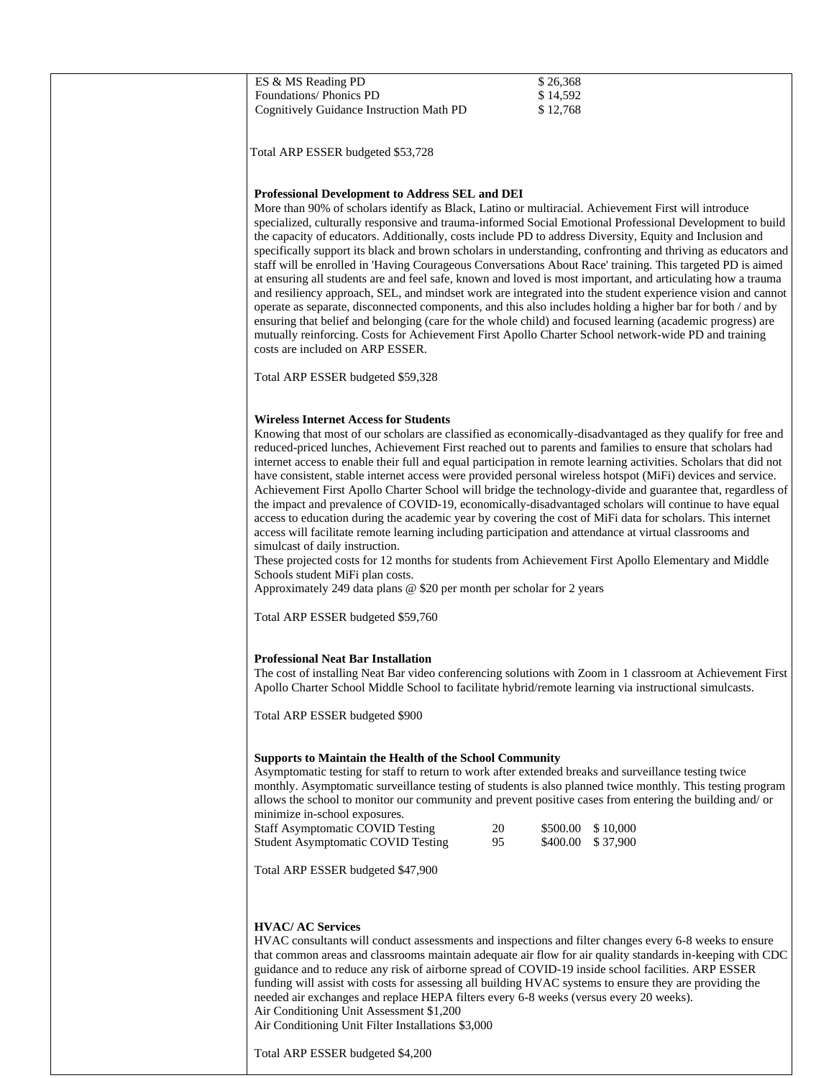| ES & MS Reading PD                                                                                                                                                                                                                                                                                                                                                                                                                                                                                                                                                                                                                                                                                                                                                                                                                                                                                                                                                                                                                                                                                                                                                                                                                                                  | \$26,368                               |
|---------------------------------------------------------------------------------------------------------------------------------------------------------------------------------------------------------------------------------------------------------------------------------------------------------------------------------------------------------------------------------------------------------------------------------------------------------------------------------------------------------------------------------------------------------------------------------------------------------------------------------------------------------------------------------------------------------------------------------------------------------------------------------------------------------------------------------------------------------------------------------------------------------------------------------------------------------------------------------------------------------------------------------------------------------------------------------------------------------------------------------------------------------------------------------------------------------------------------------------------------------------------|----------------------------------------|
| Foundations/ Phonics PD<br>Cognitively Guidance Instruction Math PD                                                                                                                                                                                                                                                                                                                                                                                                                                                                                                                                                                                                                                                                                                                                                                                                                                                                                                                                                                                                                                                                                                                                                                                                 | \$14,592<br>\$12,768                   |
|                                                                                                                                                                                                                                                                                                                                                                                                                                                                                                                                                                                                                                                                                                                                                                                                                                                                                                                                                                                                                                                                                                                                                                                                                                                                     |                                        |
| Total ARP ESSER budgeted \$53,728                                                                                                                                                                                                                                                                                                                                                                                                                                                                                                                                                                                                                                                                                                                                                                                                                                                                                                                                                                                                                                                                                                                                                                                                                                   |                                        |
| <b>Professional Development to Address SEL and DEI</b><br>More than 90% of scholars identify as Black, Latino or multiracial. Achievement First will introduce<br>specialized, culturally responsive and trauma-informed Social Emotional Professional Development to build<br>the capacity of educators. Additionally, costs include PD to address Diversity, Equity and Inclusion and<br>specifically support its black and brown scholars in understanding, confronting and thriving as educators and<br>staff will be enrolled in 'Having Courageous Conversations About Race' training. This targeted PD is aimed<br>at ensuring all students are and feel safe, known and loved is most important, and articulating how a trauma<br>and resiliency approach, SEL, and mindset work are integrated into the student experience vision and cannot<br>operate as separate, disconnected components, and this also includes holding a higher bar for both / and by<br>ensuring that belief and belonging (care for the whole child) and focused learning (academic progress) are<br>mutually reinforcing. Costs for Achievement First Apollo Charter School network-wide PD and training<br>costs are included on ARP ESSER.<br>Total ARP ESSER budgeted \$59,328 |                                        |
|                                                                                                                                                                                                                                                                                                                                                                                                                                                                                                                                                                                                                                                                                                                                                                                                                                                                                                                                                                                                                                                                                                                                                                                                                                                                     |                                        |
| <b>Wireless Internet Access for Students</b><br>Knowing that most of our scholars are classified as economically-disadvantaged as they qualify for free and<br>reduced-priced lunches, Achievement First reached out to parents and families to ensure that scholars had<br>internet access to enable their full and equal participation in remote learning activities. Scholars that did not<br>have consistent, stable internet access were provided personal wireless hotspot (MiFi) devices and service.<br>Achievement First Apollo Charter School will bridge the technology-divide and guarantee that, regardless of<br>the impact and prevalence of COVID-19, economically-disadvantaged scholars will continue to have equal<br>access to education during the academic year by covering the cost of MiFi data for scholars. This internet<br>access will facilitate remote learning including participation and attendance at virtual classrooms and<br>simulcast of daily instruction.                                                                                                                                                                                                                                                                   |                                        |
| These projected costs for 12 months for students from Achievement First Apollo Elementary and Middle                                                                                                                                                                                                                                                                                                                                                                                                                                                                                                                                                                                                                                                                                                                                                                                                                                                                                                                                                                                                                                                                                                                                                                |                                        |
| Schools student MiFi plan costs.<br>Approximately 249 data plans @ \$20 per month per scholar for 2 years                                                                                                                                                                                                                                                                                                                                                                                                                                                                                                                                                                                                                                                                                                                                                                                                                                                                                                                                                                                                                                                                                                                                                           |                                        |
|                                                                                                                                                                                                                                                                                                                                                                                                                                                                                                                                                                                                                                                                                                                                                                                                                                                                                                                                                                                                                                                                                                                                                                                                                                                                     |                                        |
| Total ARP ESSER budgeted \$59,760                                                                                                                                                                                                                                                                                                                                                                                                                                                                                                                                                                                                                                                                                                                                                                                                                                                                                                                                                                                                                                                                                                                                                                                                                                   |                                        |
| <b>Professional Neat Bar Installation</b><br>The cost of installing Neat Bar video conferencing solutions with Zoom in 1 classroom at Achievement First<br>Apollo Charter School Middle School to facilitate hybrid/remote learning via instructional simulcasts.                                                                                                                                                                                                                                                                                                                                                                                                                                                                                                                                                                                                                                                                                                                                                                                                                                                                                                                                                                                                   |                                        |
| Total ARP ESSER budgeted \$900                                                                                                                                                                                                                                                                                                                                                                                                                                                                                                                                                                                                                                                                                                                                                                                                                                                                                                                                                                                                                                                                                                                                                                                                                                      |                                        |
| <b>Supports to Maintain the Health of the School Community</b><br>Asymptomatic testing for staff to return to work after extended breaks and surveillance testing twice<br>monthly. Asymptomatic surveillance testing of students is also planned twice monthly. This testing program<br>allows the school to monitor our community and prevent positive cases from entering the building and/ or<br>minimize in-school exposures.<br><b>Staff Asymptomatic COVID Testing</b><br>20<br>95<br><b>Student Asymptomatic COVID Testing</b><br>Total ARP ESSER budgeted \$47,900                                                                                                                                                                                                                                                                                                                                                                                                                                                                                                                                                                                                                                                                                         | \$500.00 \$10,000<br>\$400.00 \$37,900 |
| <b>HVAC/ AC Services</b><br>HVAC consultants will conduct assessments and inspections and filter changes every 6-8 weeks to ensure<br>that common areas and classrooms maintain adequate air flow for air quality standards in-keeping with CDC<br>guidance and to reduce any risk of airborne spread of COVID-19 inside school facilities. ARP ESSER<br>funding will assist with costs for assessing all building HVAC systems to ensure they are providing the<br>needed air exchanges and replace HEPA filters every 6-8 weeks (versus every 20 weeks).<br>Air Conditioning Unit Assessment \$1,200<br>Air Conditioning Unit Filter Installations \$3,000<br>Total ARP ESSER budgeted \$4,200                                                                                                                                                                                                                                                                                                                                                                                                                                                                                                                                                                    |                                        |
|                                                                                                                                                                                                                                                                                                                                                                                                                                                                                                                                                                                                                                                                                                                                                                                                                                                                                                                                                                                                                                                                                                                                                                                                                                                                     |                                        |
|                                                                                                                                                                                                                                                                                                                                                                                                                                                                                                                                                                                                                                                                                                                                                                                                                                                                                                                                                                                                                                                                                                                                                                                                                                                                     |                                        |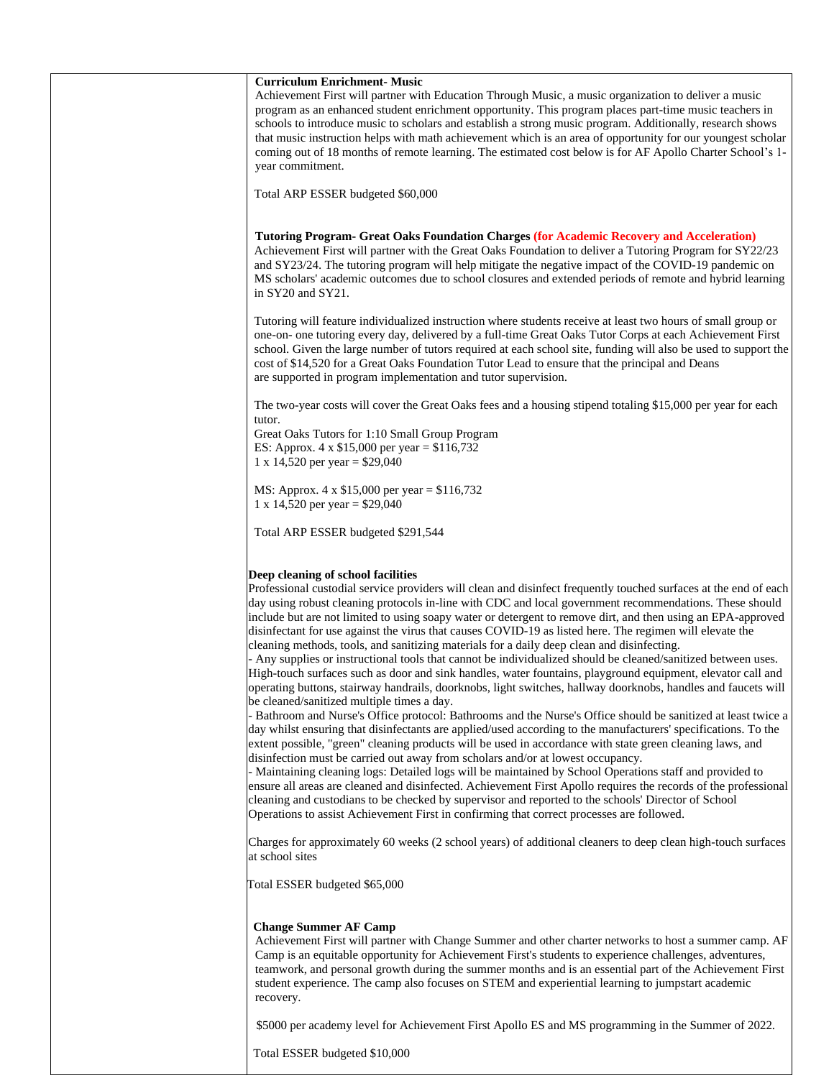| <b>Curriculum Enrichment- Music</b><br>Achievement First will partner with Education Through Music, a music organization to deliver a music<br>program as an enhanced student enrichment opportunity. This program places part-time music teachers in<br>schools to introduce music to scholars and establish a strong music program. Additionally, research shows<br>that music instruction helps with math achievement which is an area of opportunity for our youngest scholar<br>coming out of 18 months of remote learning. The estimated cost below is for AF Apollo Charter School's 1-<br>year commitment.                                                                                                                                                                                                                                                                                                                                                                                                                                                                                                                                                                                                                                                                                                                                                                                                                                                                                                                                                                                                                                                                                                                                                                                                                                                                                                                                                                                  |
|-----------------------------------------------------------------------------------------------------------------------------------------------------------------------------------------------------------------------------------------------------------------------------------------------------------------------------------------------------------------------------------------------------------------------------------------------------------------------------------------------------------------------------------------------------------------------------------------------------------------------------------------------------------------------------------------------------------------------------------------------------------------------------------------------------------------------------------------------------------------------------------------------------------------------------------------------------------------------------------------------------------------------------------------------------------------------------------------------------------------------------------------------------------------------------------------------------------------------------------------------------------------------------------------------------------------------------------------------------------------------------------------------------------------------------------------------------------------------------------------------------------------------------------------------------------------------------------------------------------------------------------------------------------------------------------------------------------------------------------------------------------------------------------------------------------------------------------------------------------------------------------------------------------------------------------------------------------------------------------------------------|
| Total ARP ESSER budgeted \$60,000                                                                                                                                                                                                                                                                                                                                                                                                                                                                                                                                                                                                                                                                                                                                                                                                                                                                                                                                                                                                                                                                                                                                                                                                                                                                                                                                                                                                                                                                                                                                                                                                                                                                                                                                                                                                                                                                                                                                                                   |
| <b>Tutoring Program- Great Oaks Foundation Charges (for Academic Recovery and Acceleration)</b><br>Achievement First will partner with the Great Oaks Foundation to deliver a Tutoring Program for SY22/23<br>and SY23/24. The tutoring program will help mitigate the negative impact of the COVID-19 pandemic on<br>MS scholars' academic outcomes due to school closures and extended periods of remote and hybrid learning<br>in SY20 and SY21.                                                                                                                                                                                                                                                                                                                                                                                                                                                                                                                                                                                                                                                                                                                                                                                                                                                                                                                                                                                                                                                                                                                                                                                                                                                                                                                                                                                                                                                                                                                                                 |
| Tutoring will feature individualized instruction where students receive at least two hours of small group or<br>one-on- one tutoring every day, delivered by a full-time Great Oaks Tutor Corps at each Achievement First<br>school. Given the large number of tutors required at each school site, funding will also be used to support the<br>cost of \$14,520 for a Great Oaks Foundation Tutor Lead to ensure that the principal and Deans<br>are supported in program implementation and tutor supervision.                                                                                                                                                                                                                                                                                                                                                                                                                                                                                                                                                                                                                                                                                                                                                                                                                                                                                                                                                                                                                                                                                                                                                                                                                                                                                                                                                                                                                                                                                    |
| The two-year costs will cover the Great Oaks fees and a housing stipend totaling \$15,000 per year for each<br>tutor.                                                                                                                                                                                                                                                                                                                                                                                                                                                                                                                                                                                                                                                                                                                                                                                                                                                                                                                                                                                                                                                                                                                                                                                                                                                                                                                                                                                                                                                                                                                                                                                                                                                                                                                                                                                                                                                                               |
| Great Oaks Tutors for 1:10 Small Group Program<br>ES: Approx. $4 \times $15,000$ per year = \$116,732<br>1 x 14,520 per year = $$29,040$                                                                                                                                                                                                                                                                                                                                                                                                                                                                                                                                                                                                                                                                                                                                                                                                                                                                                                                                                                                                                                                                                                                                                                                                                                                                                                                                                                                                                                                                                                                                                                                                                                                                                                                                                                                                                                                            |
| MS: Approx. 4 x \$15,000 per year = \$116,732<br>1 x 14,520 per year = $$29,040$                                                                                                                                                                                                                                                                                                                                                                                                                                                                                                                                                                                                                                                                                                                                                                                                                                                                                                                                                                                                                                                                                                                                                                                                                                                                                                                                                                                                                                                                                                                                                                                                                                                                                                                                                                                                                                                                                                                    |
| Total ARP ESSER budgeted \$291,544                                                                                                                                                                                                                                                                                                                                                                                                                                                                                                                                                                                                                                                                                                                                                                                                                                                                                                                                                                                                                                                                                                                                                                                                                                                                                                                                                                                                                                                                                                                                                                                                                                                                                                                                                                                                                                                                                                                                                                  |
| Deep cleaning of school facilities<br>Professional custodial service providers will clean and disinfect frequently touched surfaces at the end of each<br>day using robust cleaning protocols in-line with CDC and local government recommendations. These should<br>include but are not limited to using soapy water or detergent to remove dirt, and then using an EPA-approved<br>disinfectant for use against the virus that causes COVID-19 as listed here. The regimen will elevate the<br>cleaning methods, tools, and sanitizing materials for a daily deep clean and disinfecting.<br>- Any supplies or instructional tools that cannot be individualized should be cleaned/sanitized between uses.<br>High-touch surfaces such as door and sink handles, water fountains, playground equipment, elevator call and<br>operating buttons, stairway handrails, doorknobs, light switches, hallway doorknobs, handles and faucets will<br>be cleaned/sanitized multiple times a day.<br>- Bathroom and Nurse's Office protocol: Bathrooms and the Nurse's Office should be sanitized at least twice a<br>day whilst ensuring that disinfectants are applied/used according to the manufacturers' specifications. To the<br>extent possible, "green" cleaning products will be used in accordance with state green cleaning laws, and<br>disinfection must be carried out away from scholars and/or at lowest occupancy.<br>- Maintaining cleaning logs: Detailed logs will be maintained by School Operations staff and provided to<br>ensure all areas are cleaned and disinfected. Achievement First Apollo requires the records of the professional<br>cleaning and custodians to be checked by supervisor and reported to the schools' Director of School<br>Operations to assist Achievement First in confirming that correct processes are followed.<br>Charges for approximately 60 weeks (2 school years) of additional cleaners to deep clean high-touch surfaces<br>at school sites |
| Total ESSER budgeted \$65,000                                                                                                                                                                                                                                                                                                                                                                                                                                                                                                                                                                                                                                                                                                                                                                                                                                                                                                                                                                                                                                                                                                                                                                                                                                                                                                                                                                                                                                                                                                                                                                                                                                                                                                                                                                                                                                                                                                                                                                       |
| <b>Change Summer AF Camp</b><br>Achievement First will partner with Change Summer and other charter networks to host a summer camp. AF<br>Camp is an equitable opportunity for Achievement First's students to experience challenges, adventures,<br>teamwork, and personal growth during the summer months and is an essential part of the Achievement First<br>student experience. The camp also focuses on STEM and experiential learning to jumpstart academic<br>recovery.                                                                                                                                                                                                                                                                                                                                                                                                                                                                                                                                                                                                                                                                                                                                                                                                                                                                                                                                                                                                                                                                                                                                                                                                                                                                                                                                                                                                                                                                                                                     |
| \$5000 per academy level for Achievement First Apollo ES and MS programming in the Summer of 2022.                                                                                                                                                                                                                                                                                                                                                                                                                                                                                                                                                                                                                                                                                                                                                                                                                                                                                                                                                                                                                                                                                                                                                                                                                                                                                                                                                                                                                                                                                                                                                                                                                                                                                                                                                                                                                                                                                                  |
| Total ESSER budgeted \$10,000                                                                                                                                                                                                                                                                                                                                                                                                                                                                                                                                                                                                                                                                                                                                                                                                                                                                                                                                                                                                                                                                                                                                                                                                                                                                                                                                                                                                                                                                                                                                                                                                                                                                                                                                                                                                                                                                                                                                                                       |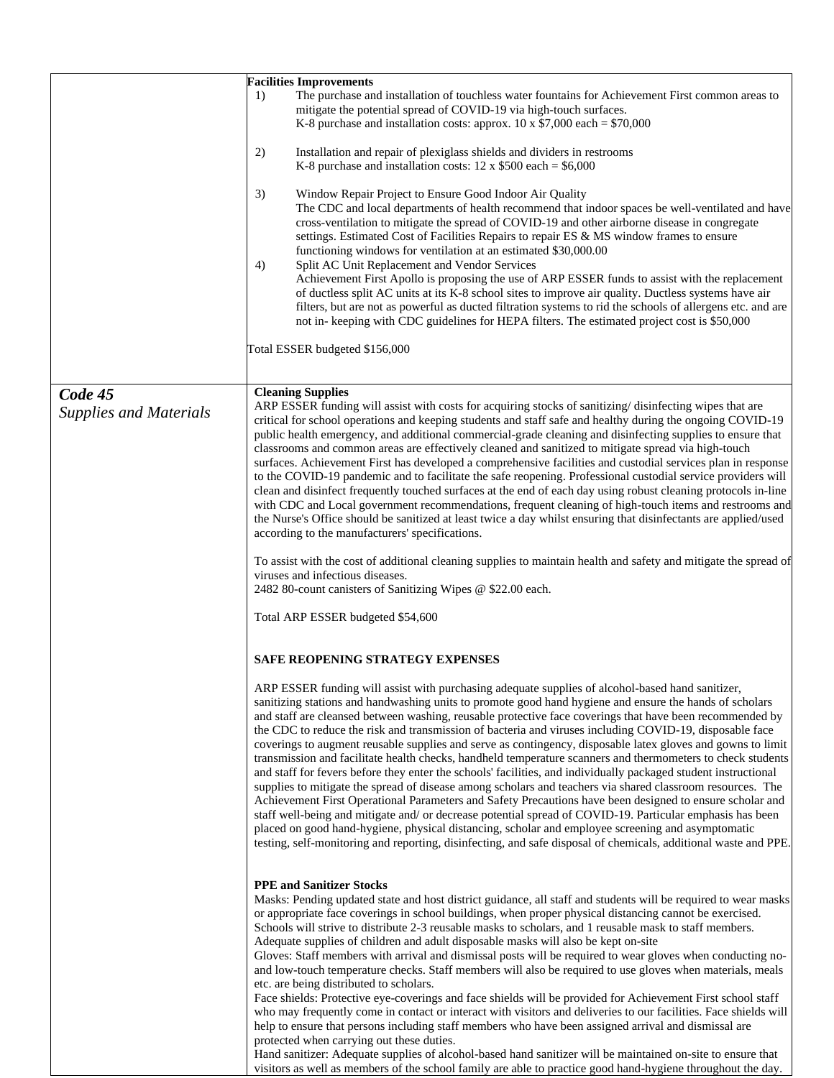|                                          | <b>Facilities Improvements</b><br>The purchase and installation of touchless water fountains for Achievement First common areas to<br>1)<br>mitigate the potential spread of COVID-19 via high-touch surfaces.<br>K-8 purchase and installation costs: approx. 10 x $$7,000$ each = \$70,000                                                                                                                                                                                                                                                                                                                                                                                                                                                                                                                                                                                                                                                                                                                                                                                                                                                                                                                                                                                                                                                              |
|------------------------------------------|-----------------------------------------------------------------------------------------------------------------------------------------------------------------------------------------------------------------------------------------------------------------------------------------------------------------------------------------------------------------------------------------------------------------------------------------------------------------------------------------------------------------------------------------------------------------------------------------------------------------------------------------------------------------------------------------------------------------------------------------------------------------------------------------------------------------------------------------------------------------------------------------------------------------------------------------------------------------------------------------------------------------------------------------------------------------------------------------------------------------------------------------------------------------------------------------------------------------------------------------------------------------------------------------------------------------------------------------------------------|
|                                          | 2)<br>Installation and repair of plexiglass shields and dividers in restrooms<br>K-8 purchase and installation costs: $12 \times $500$ each = \$6,000                                                                                                                                                                                                                                                                                                                                                                                                                                                                                                                                                                                                                                                                                                                                                                                                                                                                                                                                                                                                                                                                                                                                                                                                     |
|                                          | 3)<br>Window Repair Project to Ensure Good Indoor Air Quality<br>The CDC and local departments of health recommend that indoor spaces be well-ventilated and have<br>cross-ventilation to mitigate the spread of COVID-19 and other airborne disease in congregate<br>settings. Estimated Cost of Facilities Repairs to repair ES & MS window frames to ensure<br>functioning windows for ventilation at an estimated \$30,000.00<br>Split AC Unit Replacement and Vendor Services<br>4)<br>Achievement First Apollo is proposing the use of ARP ESSER funds to assist with the replacement<br>of ductless split AC units at its K-8 school sites to improve air quality. Ductless systems have air<br>filters, but are not as powerful as ducted filtration systems to rid the schools of allergens etc. and are<br>not in- keeping with CDC guidelines for HEPA filters. The estimated project cost is \$50,000                                                                                                                                                                                                                                                                                                                                                                                                                                         |
|                                          | Total ESSER budgeted \$156,000                                                                                                                                                                                                                                                                                                                                                                                                                                                                                                                                                                                                                                                                                                                                                                                                                                                                                                                                                                                                                                                                                                                                                                                                                                                                                                                            |
| Code 45<br><b>Supplies and Materials</b> | <b>Cleaning Supplies</b><br>ARP ESSER funding will assist with costs for acquiring stocks of sanitizing/disinfecting wipes that are<br>critical for school operations and keeping students and staff safe and healthy during the ongoing COVID-19<br>public health emergency, and additional commercial-grade cleaning and disinfecting supplies to ensure that<br>classrooms and common areas are effectively cleaned and sanitized to mitigate spread via high-touch<br>surfaces. Achievement First has developed a comprehensive facilities and custodial services plan in response<br>to the COVID-19 pandemic and to facilitate the safe reopening. Professional custodial service providers will<br>clean and disinfect frequently touched surfaces at the end of each day using robust cleaning protocols in-line<br>with CDC and Local government recommendations, frequent cleaning of high-touch items and restrooms and<br>the Nurse's Office should be sanitized at least twice a day whilst ensuring that disinfectants are applied/used<br>according to the manufacturers' specifications.                                                                                                                                                                                                                                                  |
|                                          | To assist with the cost of additional cleaning supplies to maintain health and safety and mitigate the spread of<br>viruses and infectious diseases.<br>2482 80-count canisters of Sanitizing Wipes @ \$22.00 each.                                                                                                                                                                                                                                                                                                                                                                                                                                                                                                                                                                                                                                                                                                                                                                                                                                                                                                                                                                                                                                                                                                                                       |
|                                          | Total ARP ESSER budgeted \$54,600                                                                                                                                                                                                                                                                                                                                                                                                                                                                                                                                                                                                                                                                                                                                                                                                                                                                                                                                                                                                                                                                                                                                                                                                                                                                                                                         |
|                                          | SAFE REOPENING STRATEGY EXPENSES                                                                                                                                                                                                                                                                                                                                                                                                                                                                                                                                                                                                                                                                                                                                                                                                                                                                                                                                                                                                                                                                                                                                                                                                                                                                                                                          |
|                                          | ARP ESSER funding will assist with purchasing adequate supplies of alcohol-based hand sanitizer,<br>sanitizing stations and handwashing units to promote good hand hygiene and ensure the hands of scholars<br>and staff are cleansed between washing, reusable protective face coverings that have been recommended by<br>the CDC to reduce the risk and transmission of bacteria and viruses including COVID-19, disposable face<br>coverings to augment reusable supplies and serve as contingency, disposable latex gloves and gowns to limit<br>transmission and facilitate health checks, handheld temperature scanners and thermometers to check students<br>and staff for fevers before they enter the schools' facilities, and individually packaged student instructional<br>supplies to mitigate the spread of disease among scholars and teachers via shared classroom resources. The<br>Achievement First Operational Parameters and Safety Precautions have been designed to ensure scholar and<br>staff well-being and mitigate and/ or decrease potential spread of COVID-19. Particular emphasis has been<br>placed on good hand-hygiene, physical distancing, scholar and employee screening and asymptomatic<br>testing, self-monitoring and reporting, disinfecting, and safe disposal of chemicals, additional waste and PPE.        |
|                                          | <b>PPE and Sanitizer Stocks</b><br>Masks: Pending updated state and host district guidance, all staff and students will be required to wear masks<br>or appropriate face coverings in school buildings, when proper physical distancing cannot be exercised.<br>Schools will strive to distribute 2-3 reusable masks to scholars, and 1 reusable mask to staff members.<br>Adequate supplies of children and adult disposable masks will also be kept on-site<br>Gloves: Staff members with arrival and dismissal posts will be required to wear gloves when conducting no-<br>and low-touch temperature checks. Staff members will also be required to use gloves when materials, meals<br>etc. are being distributed to scholars.<br>Face shields: Protective eye-coverings and face shields will be provided for Achievement First school staff<br>who may frequently come in contact or interact with visitors and deliveries to our facilities. Face shields will<br>help to ensure that persons including staff members who have been assigned arrival and dismissal are<br>protected when carrying out these duties.<br>Hand sanitizer: Adequate supplies of alcohol-based hand sanitizer will be maintained on-site to ensure that<br>visitors as well as members of the school family are able to practice good hand-hygiene throughout the day. |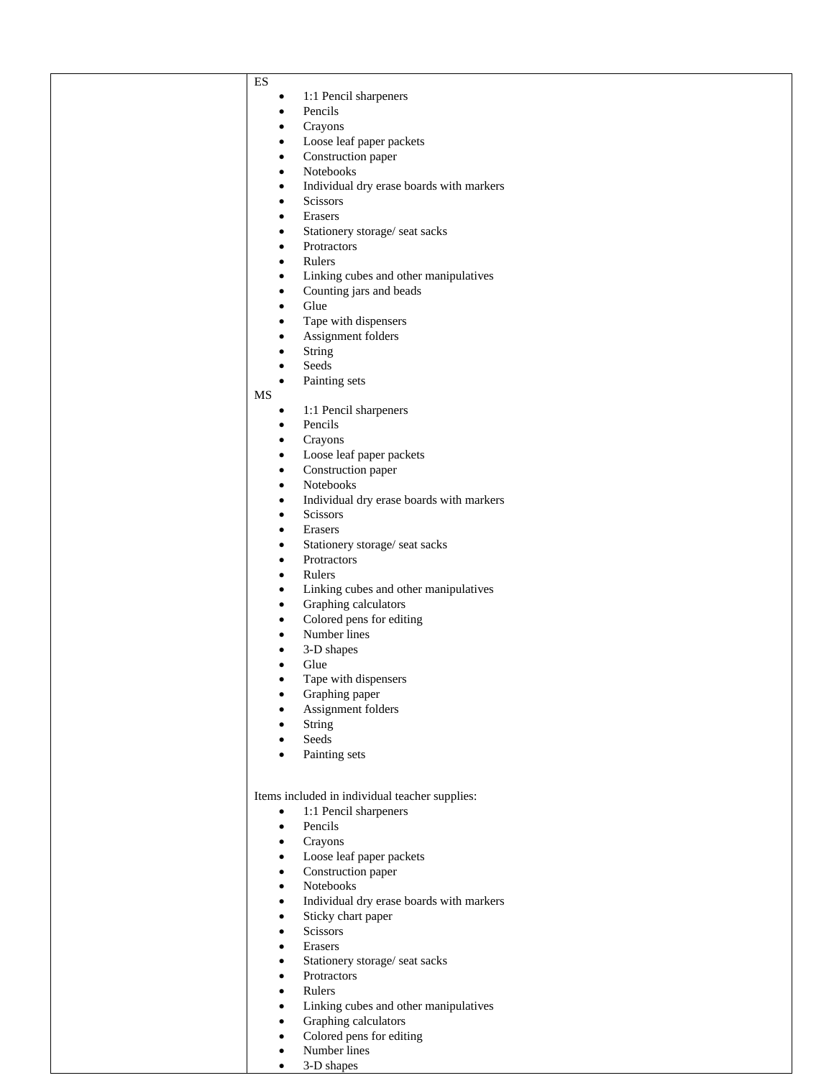| v<br>٠ |
|--------|

- 1:1 Pencil sharpeners
- Pencils
- Crayons
- Loose leaf paper packets
- Construction paper
- Notebooks
- Individual dry erase boards with markers
- Scissors
- Erasers
- Stationery storage/ seat sacks
- Protractors
- Rulers
- Linking cubes and other manipulatives
- Counting jars and beads
- Glue
- Tape with dispensers
- Assignment folders
- String
- Seeds
- Painting sets
- MS
	- 1:1 Pencil sharpeners
	- Pencils
	- Crayons
	- Loose leaf paper packets
	- Construction paper
	- Notebooks
	- Individual dry erase boards with markers
	- Scissors
	- Erasers
	- Stationery storage/ seat sacks
	- Protractors
	- Rulers
	- Linking cubes and other manipulatives
	- Graphing calculators
	- Colored pens for editing
	- Number lines
	- 3-D shapes
	- Glue
	- Tape with dispensers
	- Graphing paper
	- Assignment folders
	- String
	- Seeds
	- Painting sets

Items included in individual teacher supplies:

- 1:1 Pencil sharpeners
- Pencils
- Crayons
- Loose leaf paper packets
- Construction paper
- Notebooks
- Individual dry erase boards with markers
- Sticky chart paper
- Scissors
- Erasers
- Stationery storage/ seat sacks
- Protractors
- Rulers
- Linking cubes and other manipulatives
- Graphing calculators
- Colored pens for editing
- Number lines
- 3-D shapes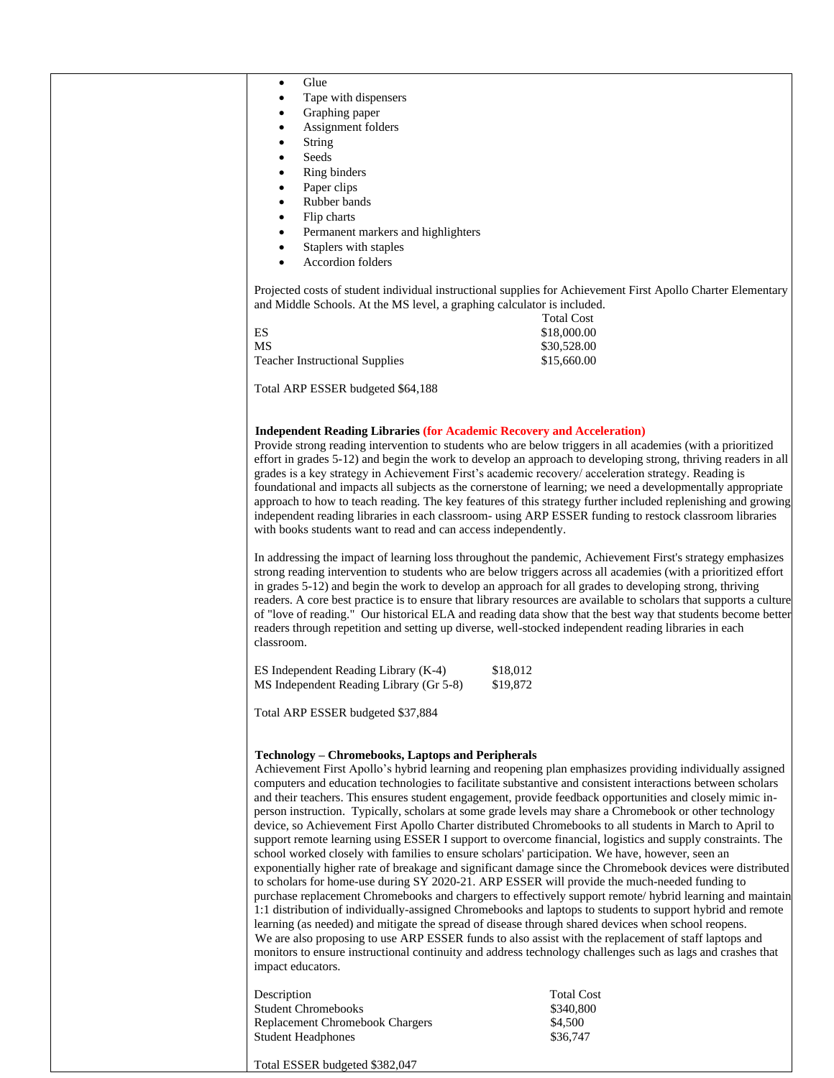| Glue<br>$\bullet$                                                                                                                                                                                                         |                   |
|---------------------------------------------------------------------------------------------------------------------------------------------------------------------------------------------------------------------------|-------------------|
| Tape with dispensers                                                                                                                                                                                                      |                   |
| Graphing paper<br>$\bullet$                                                                                                                                                                                               |                   |
| Assignment folders<br>$\bullet$                                                                                                                                                                                           |                   |
| String<br>٠<br>Seeds<br>$\bullet$                                                                                                                                                                                         |                   |
| Ring binders<br>$\bullet$                                                                                                                                                                                                 |                   |
| Paper clips<br>$\bullet$                                                                                                                                                                                                  |                   |
| Rubber bands<br>$\bullet$                                                                                                                                                                                                 |                   |
| Flip charts<br>$\bullet$                                                                                                                                                                                                  |                   |
| Permanent markers and highlighters<br>٠                                                                                                                                                                                   |                   |
| Staplers with staples<br>$\bullet$                                                                                                                                                                                        |                   |
| <b>Accordion folders</b><br>$\bullet$                                                                                                                                                                                     |                   |
| Projected costs of student individual instructional supplies for Achievement First Apollo Charter Elementary<br>and Middle Schools. At the MS level, a graphing calculator is included.                                   | <b>Total Cost</b> |
| ES                                                                                                                                                                                                                        | \$18,000.00       |
| MS                                                                                                                                                                                                                        | \$30,528.00       |
| <b>Teacher Instructional Supplies</b>                                                                                                                                                                                     | \$15,660.00       |
|                                                                                                                                                                                                                           |                   |
| Total ARP ESSER budgeted \$64,188                                                                                                                                                                                         |                   |
|                                                                                                                                                                                                                           |                   |
| <b>Independent Reading Libraries (for Academic Recovery and Acceleration)</b>                                                                                                                                             |                   |
| Provide strong reading intervention to students who are below triggers in all academies (with a prioritized                                                                                                               |                   |
| effort in grades 5-12) and begin the work to develop an approach to developing strong, thriving readers in all                                                                                                            |                   |
| grades is a key strategy in Achievement First's academic recovery/ acceleration strategy. Reading is<br>foundational and impacts all subjects as the cornerstone of learning; we need a developmentally appropriate       |                   |
| approach to how to teach reading. The key features of this strategy further included replenishing and growing                                                                                                             |                   |
| independent reading libraries in each classroom- using ARP ESSER funding to restock classroom libraries                                                                                                                   |                   |
| with books students want to read and can access independently.                                                                                                                                                            |                   |
|                                                                                                                                                                                                                           |                   |
| In addressing the impact of learning loss throughout the pandemic, Achievement First's strategy emphasizes                                                                                                                |                   |
| strong reading intervention to students who are below triggers across all academies (with a prioritized effort<br>in grades 5-12) and begin the work to develop an approach for all grades to developing strong, thriving |                   |
| readers. A core best practice is to ensure that library resources are available to scholars that supports a culture                                                                                                       |                   |
| of "love of reading." Our historical ELA and reading data show that the best way that students become better                                                                                                              |                   |
| readers through repetition and setting up diverse, well-stocked independent reading libraries in each                                                                                                                     |                   |
| classroom.                                                                                                                                                                                                                |                   |
|                                                                                                                                                                                                                           |                   |
| ES Independent Reading Library (K-4)<br>\$18,012<br>MS Independent Reading Library (Gr 5-8)<br>\$19,872                                                                                                                   |                   |
|                                                                                                                                                                                                                           |                   |
| Total ARP ESSER budgeted \$37,884                                                                                                                                                                                         |                   |
|                                                                                                                                                                                                                           |                   |
|                                                                                                                                                                                                                           |                   |
| <b>Technology – Chromebooks, Laptops and Peripherals</b><br>Achievement First Apollo's hybrid learning and reopening plan emphasizes providing individually assigned                                                      |                   |
| computers and education technologies to facilitate substantive and consistent interactions between scholars                                                                                                               |                   |
| and their teachers. This ensures student engagement, provide feedback opportunities and closely mimic in-                                                                                                                 |                   |
| person instruction. Typically, scholars at some grade levels may share a Chromebook or other technology                                                                                                                   |                   |
| device, so Achievement First Apollo Charter distributed Chromebooks to all students in March to April to                                                                                                                  |                   |
| support remote learning using ESSER I support to overcome financial, logistics and supply constraints. The                                                                                                                |                   |
| school worked closely with families to ensure scholars' participation. We have, however, seen an                                                                                                                          |                   |
| exponentially higher rate of breakage and significant damage since the Chromebook devices were distributed<br>to scholars for home-use during SY 2020-21. ARP ESSER will provide the much-needed funding to               |                   |
| purchase replacement Chromebooks and chargers to effectively support remote/ hybrid learning and maintain                                                                                                                 |                   |
| 1:1 distribution of individually-assigned Chromebooks and laptops to students to support hybrid and remote                                                                                                                |                   |
| learning (as needed) and mitigate the spread of disease through shared devices when school reopens.                                                                                                                       |                   |
| We are also proposing to use ARP ESSER funds to also assist with the replacement of staff laptops and                                                                                                                     |                   |
| monitors to ensure instructional continuity and address technology challenges such as lags and crashes that                                                                                                               |                   |
| impact educators.                                                                                                                                                                                                         |                   |
| Description                                                                                                                                                                                                               | <b>Total Cost</b> |
| <b>Student Chromebooks</b>                                                                                                                                                                                                | \$340,800         |
| Replacement Chromebook Chargers                                                                                                                                                                                           | \$4,500           |
| <b>Student Headphones</b>                                                                                                                                                                                                 | \$36,747          |
| Total ESSER budgeted \$382,047                                                                                                                                                                                            |                   |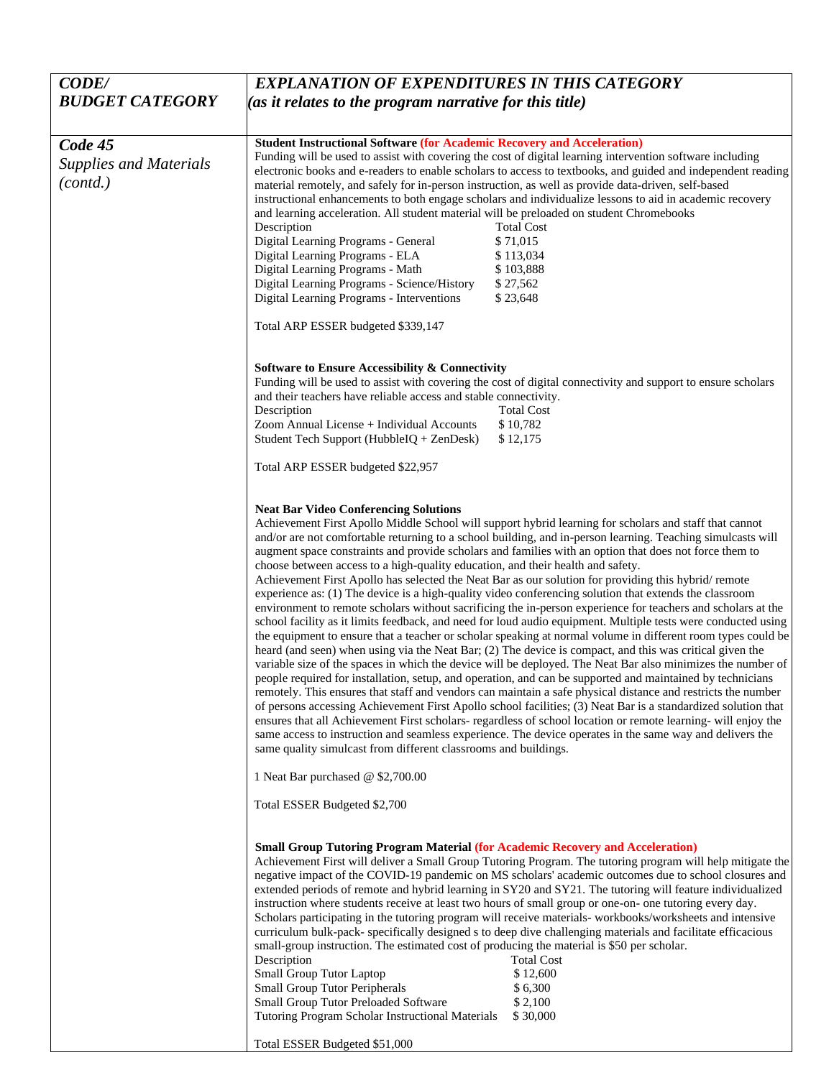| <b>CODE/</b>                                         | <b>EXPLANATION OF EXPENDITURES IN THIS CATEGORY</b>                                                                                                                                                                                                                                                                                                                                                                                                                                                                                                                                                                                                                                                                                                                                                                                                                                                                                                                                                                                                                                                                                                                                                                                                                                                                                                                                                                                                                                                                                                                                                                                                                                                                                                                                                                                                                                                                                                 |  |  |
|------------------------------------------------------|-----------------------------------------------------------------------------------------------------------------------------------------------------------------------------------------------------------------------------------------------------------------------------------------------------------------------------------------------------------------------------------------------------------------------------------------------------------------------------------------------------------------------------------------------------------------------------------------------------------------------------------------------------------------------------------------------------------------------------------------------------------------------------------------------------------------------------------------------------------------------------------------------------------------------------------------------------------------------------------------------------------------------------------------------------------------------------------------------------------------------------------------------------------------------------------------------------------------------------------------------------------------------------------------------------------------------------------------------------------------------------------------------------------------------------------------------------------------------------------------------------------------------------------------------------------------------------------------------------------------------------------------------------------------------------------------------------------------------------------------------------------------------------------------------------------------------------------------------------------------------------------------------------------------------------------------------------|--|--|
| <b>BUDGET CATEGORY</b>                               | (as it relates to the program narrative for this title)                                                                                                                                                                                                                                                                                                                                                                                                                                                                                                                                                                                                                                                                                                                                                                                                                                                                                                                                                                                                                                                                                                                                                                                                                                                                                                                                                                                                                                                                                                                                                                                                                                                                                                                                                                                                                                                                                             |  |  |
|                                                      |                                                                                                                                                                                                                                                                                                                                                                                                                                                                                                                                                                                                                                                                                                                                                                                                                                                                                                                                                                                                                                                                                                                                                                                                                                                                                                                                                                                                                                                                                                                                                                                                                                                                                                                                                                                                                                                                                                                                                     |  |  |
| Code 45<br><b>Supplies and Materials</b><br>(contd.) | <b>Student Instructional Software (for Academic Recovery and Acceleration)</b><br>Funding will be used to assist with covering the cost of digital learning intervention software including<br>electronic books and e-readers to enable scholars to access to textbooks, and guided and independent reading<br>material remotely, and safely for in-person instruction, as well as provide data-driven, self-based<br>instructional enhancements to both engage scholars and individualize lessons to aid in academic recovery                                                                                                                                                                                                                                                                                                                                                                                                                                                                                                                                                                                                                                                                                                                                                                                                                                                                                                                                                                                                                                                                                                                                                                                                                                                                                                                                                                                                                      |  |  |
|                                                      | and learning acceleration. All student material will be preloaded on student Chromebooks<br>Description<br><b>Total Cost</b><br>Digital Learning Programs - General<br>\$71,015<br>Digital Learning Programs - ELA<br>\$113,034<br>Digital Learning Programs - Math<br>\$103,888                                                                                                                                                                                                                                                                                                                                                                                                                                                                                                                                                                                                                                                                                                                                                                                                                                                                                                                                                                                                                                                                                                                                                                                                                                                                                                                                                                                                                                                                                                                                                                                                                                                                    |  |  |
|                                                      | Digital Learning Programs - Science/History<br>\$27,562<br>Digital Learning Programs - Interventions<br>\$23,648                                                                                                                                                                                                                                                                                                                                                                                                                                                                                                                                                                                                                                                                                                                                                                                                                                                                                                                                                                                                                                                                                                                                                                                                                                                                                                                                                                                                                                                                                                                                                                                                                                                                                                                                                                                                                                    |  |  |
|                                                      | Total ARP ESSER budgeted \$339,147                                                                                                                                                                                                                                                                                                                                                                                                                                                                                                                                                                                                                                                                                                                                                                                                                                                                                                                                                                                                                                                                                                                                                                                                                                                                                                                                                                                                                                                                                                                                                                                                                                                                                                                                                                                                                                                                                                                  |  |  |
|                                                      | <b>Software to Ensure Accessibility &amp; Connectivity</b><br>Funding will be used to assist with covering the cost of digital connectivity and support to ensure scholars<br>and their teachers have reliable access and stable connectivity.<br>Description<br><b>Total Cost</b><br>\$10,782<br>Zoom Annual License + Individual Accounts<br>Student Tech Support (HubbleIQ + ZenDesk)<br>\$12,175<br>Total ARP ESSER budgeted \$22,957                                                                                                                                                                                                                                                                                                                                                                                                                                                                                                                                                                                                                                                                                                                                                                                                                                                                                                                                                                                                                                                                                                                                                                                                                                                                                                                                                                                                                                                                                                           |  |  |
|                                                      | <b>Neat Bar Video Conferencing Solutions</b><br>Achievement First Apollo Middle School will support hybrid learning for scholars and staff that cannot<br>and/or are not comfortable returning to a school building, and in-person learning. Teaching simulcasts will<br>augment space constraints and provide scholars and families with an option that does not force them to<br>choose between access to a high-quality education, and their health and safety.<br>Achievement First Apollo has selected the Neat Bar as our solution for providing this hybrid/remote<br>experience as: (1) The device is a high-quality video conferencing solution that extends the classroom<br>environment to remote scholars without sacrificing the in-person experience for teachers and scholars at the<br>school facility as it limits feedback, and need for loud audio equipment. Multiple tests were conducted using<br>the equipment to ensure that a teacher or scholar speaking at normal volume in different room types could be<br>heard (and seen) when using via the Neat Bar; (2) The device is compact, and this was critical given the<br>variable size of the spaces in which the device will be deployed. The Neat Bar also minimizes the number of<br>people required for installation, setup, and operation, and can be supported and maintained by technicians<br>remotely. This ensures that staff and vendors can maintain a safe physical distance and restricts the number<br>of persons accessing Achievement First Apollo school facilities; (3) Neat Bar is a standardized solution that<br>ensures that all Achievement First scholars- regardless of school location or remote learning- will enjoy the<br>same access to instruction and seamless experience. The device operates in the same way and delivers the<br>same quality simulcast from different classrooms and buildings.<br>1 Neat Bar purchased @ \$2,700.00 |  |  |
|                                                      | Total ESSER Budgeted \$2,700                                                                                                                                                                                                                                                                                                                                                                                                                                                                                                                                                                                                                                                                                                                                                                                                                                                                                                                                                                                                                                                                                                                                                                                                                                                                                                                                                                                                                                                                                                                                                                                                                                                                                                                                                                                                                                                                                                                        |  |  |
|                                                      | <b>Small Group Tutoring Program Material (for Academic Recovery and Acceleration)</b><br>Achievement First will deliver a Small Group Tutoring Program. The tutoring program will help mitigate the<br>negative impact of the COVID-19 pandemic on MS scholars' academic outcomes due to school closures and<br>extended periods of remote and hybrid learning in SY20 and SY21. The tutoring will feature individualized<br>instruction where students receive at least two hours of small group or one-on- one tutoring every day.<br>Scholars participating in the tutoring program will receive materials-workbooks/worksheets and intensive<br>curriculum bulk-pack- specifically designed s to deep dive challenging materials and facilitate efficacious<br>small-group instruction. The estimated cost of producing the material is \$50 per scholar.<br>Description<br><b>Total Cost</b><br>Small Group Tutor Laptop<br>\$12,600<br><b>Small Group Tutor Peripherals</b><br>\$6,300<br>Small Group Tutor Preloaded Software<br>\$2,100<br>Tutoring Program Scholar Instructional Materials<br>\$30,000<br>Total ESSER Budgeted \$51,000                                                                                                                                                                                                                                                                                                                                                                                                                                                                                                                                                                                                                                                                                                                                                                                                    |  |  |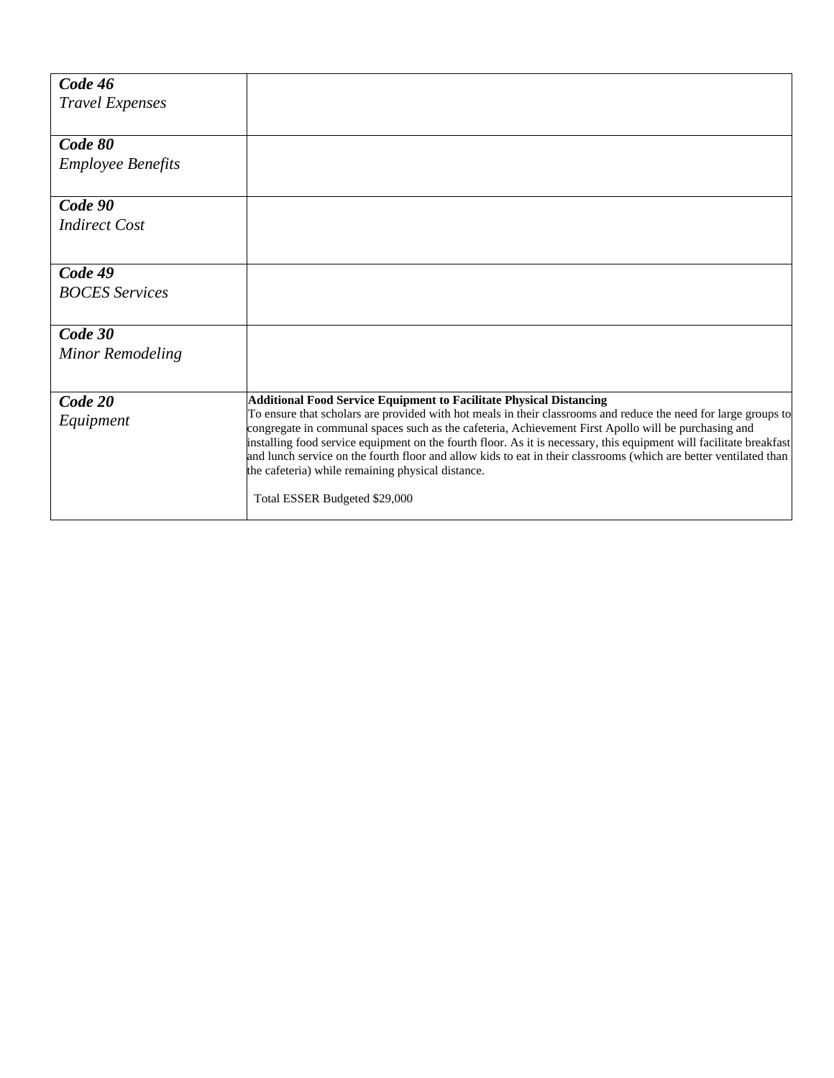| <b>Additional Food Service Equipment to Facilitate Physical Distancing</b>                                          |
|---------------------------------------------------------------------------------------------------------------------|
| To ensure that scholars are provided with hot meals in their classrooms and reduce the need for large groups to     |
| congregate in communal spaces such as the cafeteria, Achievement First Apollo will be purchasing and                |
| installing food service equipment on the fourth floor. As it is necessary, this equipment will facilitate breakfast |
| and lunch service on the fourth floor and allow kids to eat in their classrooms (which are better ventilated than   |
| the cafeteria) while remaining physical distance.                                                                   |
| Total ESSER Budgeted \$29,000                                                                                       |
|                                                                                                                     |
|                                                                                                                     |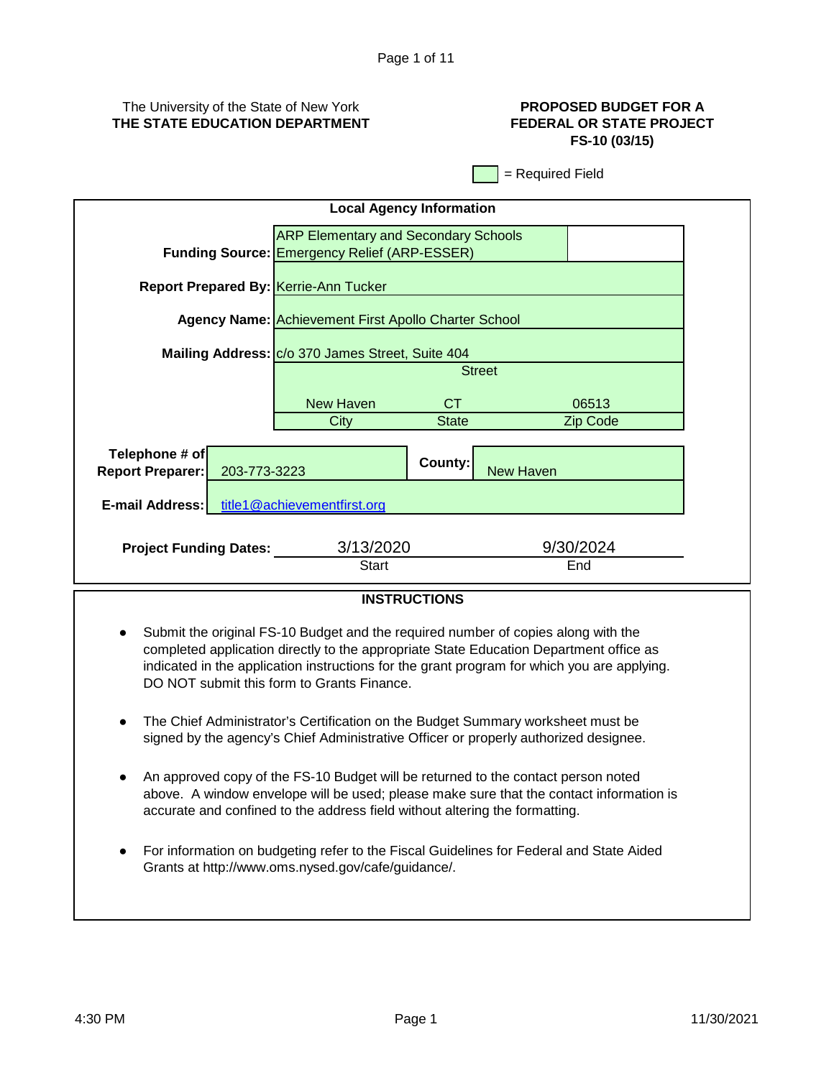# The University of the State of New York **THE STATE EDUCATION DEPARTMENT**

# **PROPOSED BUDGET FOR A FEDERAL OR STATE PROJECT FS-10 (03/15)**

= Required Field

| <b>Local Agency Information</b>                                                                    |                                                  |         |                  |  |  |
|----------------------------------------------------------------------------------------------------|--------------------------------------------------|---------|------------------|--|--|
| <b>ARP Elementary and Secondary Schools</b><br><b>Funding Source: Emergency Relief (ARP-ESSER)</b> |                                                  |         |                  |  |  |
| <b>Report Prepared By: Kerrie-Ann Tucker</b>                                                       |                                                  |         |                  |  |  |
| Agency Name: Achievement First Apollo Charter School                                               |                                                  |         |                  |  |  |
|                                                                                                    | Mailing Address: C/o 370 James Street, Suite 404 |         |                  |  |  |
| <b>Street</b>                                                                                      |                                                  |         |                  |  |  |
| <b>New Haven</b><br>CT.<br>06513                                                                   |                                                  |         |                  |  |  |
| City<br>Zip Code<br><b>State</b>                                                                   |                                                  |         |                  |  |  |
| Telephone # of<br><b>Report Preparer:</b><br>203-773-3223                                          |                                                  | County: | <b>New Haven</b> |  |  |
| E-mail Address: title1@achievementfirst.org                                                        |                                                  |         |                  |  |  |
| 3/13/2020<br>9/30/2024<br><b>Project Funding Dates:</b><br><b>Start</b><br>End                     |                                                  |         |                  |  |  |
| ,,,,,,,,,,,,,,,                                                                                    |                                                  |         |                  |  |  |

# **INSTRUCTIONS**

- Submit the original FS-10 Budget and the required number of copies along with the completed application directly to the appropriate State Education Department office as indicated in the application instructions for the grant program for which you are applying. DO NOT submit this form to Grants Finance.
- $\bullet$ The Chief Administrator's Certification on the Budget Summary worksheet must be signed by the agency's Chief Administrative Officer or properly authorized designee.
- An approved copy of the FS-10 Budget will be returned to the contact person noted above. A window envelope will be used; please make sure that the contact information is accurate and confined to the address field without altering the formatting.
- For information on budgeting refer to the Fiscal Guidelines for Federal and State Aided Grants at http://www.oms.nysed.gov/cafe/guidance/.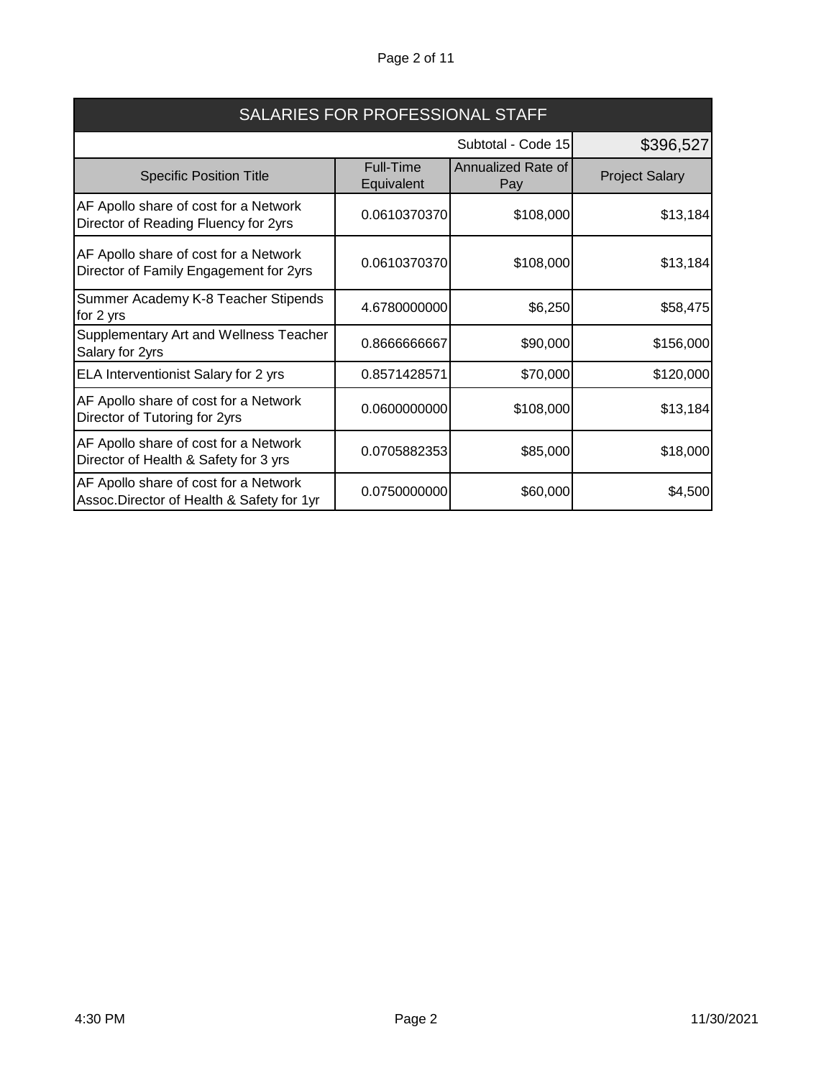# Page 2 of 11

| SALARIES FOR PROFESSIONAL STAFF                                                    |                                 |                           |                       |  |
|------------------------------------------------------------------------------------|---------------------------------|---------------------------|-----------------------|--|
|                                                                                    | Subtotal - Code 15<br>\$396,527 |                           |                       |  |
| <b>Specific Position Title</b>                                                     | <b>Full-Time</b><br>Equivalent  | Annualized Rate of<br>Pay | <b>Project Salary</b> |  |
| AF Apollo share of cost for a Network<br>Director of Reading Fluency for 2yrs      | 0.0610370370                    | \$108,000                 | \$13,184              |  |
| AF Apollo share of cost for a Network<br>Director of Family Engagement for 2yrs    | 0.0610370370                    | \$108,000                 | \$13,184              |  |
| Summer Academy K-8 Teacher Stipends<br>for 2 yrs                                   | 4.6780000000                    | \$6,250                   | \$58,475              |  |
| Supplementary Art and Wellness Teacher<br>Salary for 2yrs                          | 0.866666667                     | \$90,000                  | \$156,000             |  |
| ELA Interventionist Salary for 2 yrs                                               | 0.8571428571                    | \$70,000                  | \$120,000             |  |
| AF Apollo share of cost for a Network<br>Director of Tutoring for 2yrs             | 0.0600000000                    | \$108,000                 | \$13,184              |  |
| AF Apollo share of cost for a Network<br>Director of Health & Safety for 3 yrs     | 0.0705882353                    | \$85,000                  | \$18,000              |  |
| AF Apollo share of cost for a Network<br>Assoc.Director of Health & Safety for 1yr | 0.0750000000                    | \$60,000                  | \$4,500               |  |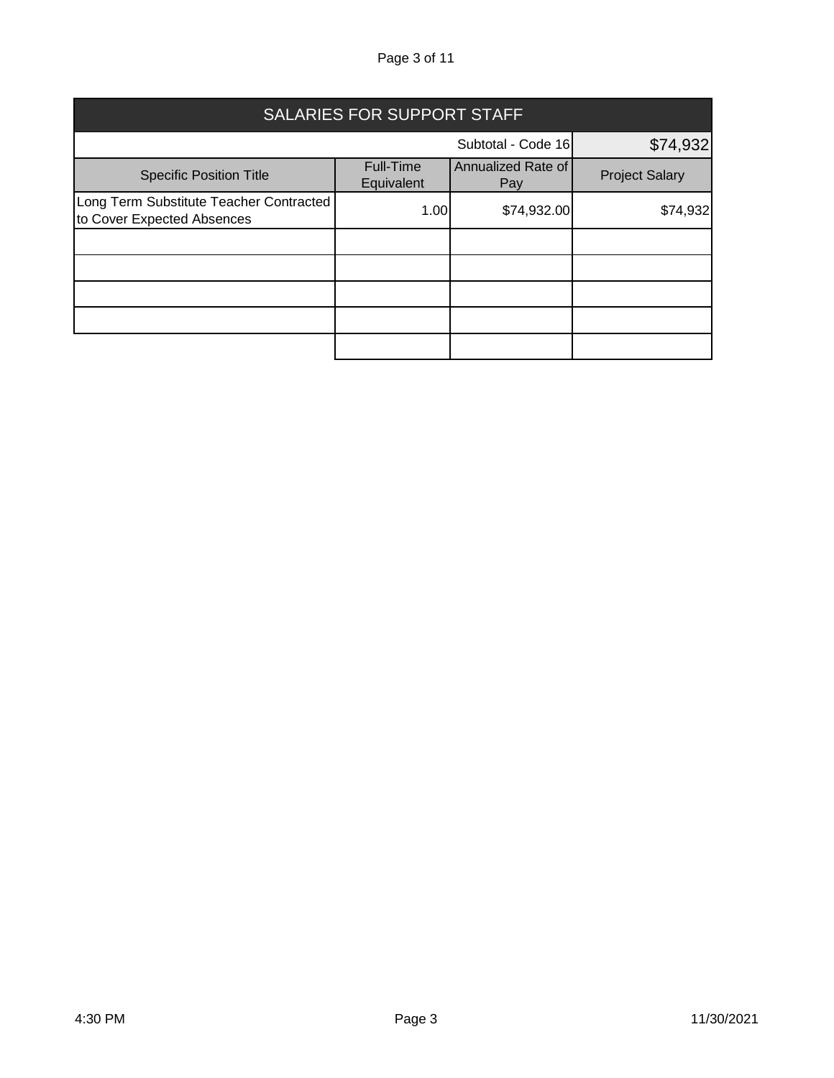# Page 3 of 11

| <b>SALARIES FOR SUPPORT STAFF</b>                                     |                         |                           |                       |  |
|-----------------------------------------------------------------------|-------------------------|---------------------------|-----------------------|--|
| \$74,932<br>Subtotal - Code 16                                        |                         |                           |                       |  |
| <b>Specific Position Title</b>                                        | Full-Time<br>Equivalent | Annualized Rate of<br>Pay | <b>Project Salary</b> |  |
| Long Term Substitute Teacher Contracted<br>to Cover Expected Absences | 1.00                    | \$74,932.00               | \$74,932              |  |
|                                                                       |                         |                           |                       |  |
|                                                                       |                         |                           |                       |  |
|                                                                       |                         |                           |                       |  |
|                                                                       |                         |                           |                       |  |
|                                                                       |                         |                           |                       |  |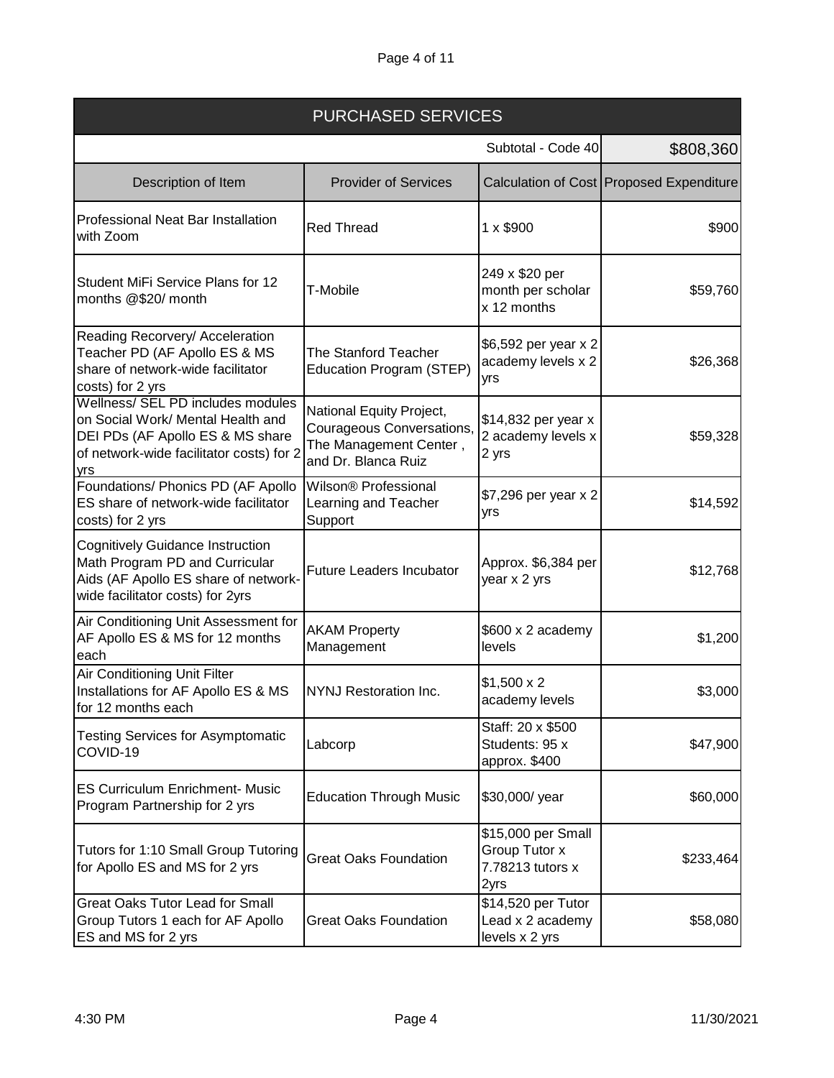| <b>PURCHASED SERVICES</b>                                                                                                                                     |                                                                                                        |                                                                 |                                            |
|---------------------------------------------------------------------------------------------------------------------------------------------------------------|--------------------------------------------------------------------------------------------------------|-----------------------------------------------------------------|--------------------------------------------|
|                                                                                                                                                               |                                                                                                        | Subtotal - Code 40                                              | \$808,360                                  |
| Description of Item                                                                                                                                           | <b>Provider of Services</b>                                                                            |                                                                 | Calculation of Cost   Proposed Expenditure |
| <b>Professional Neat Bar Installation</b><br>with Zoom                                                                                                        | <b>Red Thread</b>                                                                                      | $1 \times $900$                                                 | \$900                                      |
| Student MiFi Service Plans for 12<br>months @\$20/ month                                                                                                      | T-Mobile                                                                                               | 249 x \$20 per<br>month per scholar<br>x 12 months              | \$59,760                                   |
| Reading Recorvery/ Acceleration<br>Teacher PD (AF Apollo ES & MS<br>share of network-wide facilitator<br>costs) for 2 yrs                                     | <b>The Stanford Teacher</b><br>Education Program (STEP)                                                | \$6,592 per year x 2<br>academy levels x 2<br>yrs               | \$26,368                                   |
| Wellness/ SEL PD includes modules<br>on Social Work/ Mental Health and<br>DEI PDs (AF Apollo ES & MS share<br>of network-wide facilitator costs) for 2<br>yrs | National Equity Project,<br>Courageous Conversations,<br>The Management Center,<br>and Dr. Blanca Ruiz | \$14,832 per year x<br>2 academy levels x<br>2 yrs              | \$59,328                                   |
| Foundations/ Phonics PD (AF Apollo<br>ES share of network-wide facilitator<br>costs) for 2 yrs                                                                | Wilson® Professional<br>Learning and Teacher<br>Support                                                | \$7,296 per year x 2<br>yrs                                     | \$14,592                                   |
| <b>Cognitively Guidance Instruction</b><br>Math Program PD and Curricular<br>Aids (AF Apollo ES share of network-<br>wide facilitator costs) for 2yrs         | Future Leaders Incubator                                                                               | Approx. \$6,384 per<br>year x 2 yrs                             | \$12,768                                   |
| Air Conditioning Unit Assessment for<br>AF Apollo ES & MS for 12 months<br>each                                                                               | <b>AKAM Property</b><br>Management                                                                     | \$600 x 2 academy<br>levels                                     | \$1,200                                    |
| Air Conditioning Unit Filter<br>Installations for AF Apollo ES & MS<br>for 12 months each                                                                     | <b>NYNJ Restoration Inc.</b>                                                                           | $$1,500 \times 2$<br>academy levels                             | \$3,000                                    |
| <b>Testing Services for Asymptomatic</b><br>COVID-19                                                                                                          | Labcorp                                                                                                | Staff: 20 x \$500<br>Students: 95 x<br>approx. \$400            | \$47,900                                   |
| <b>ES Curriculum Enrichment- Music</b><br>Program Partnership for 2 yrs                                                                                       | <b>Education Through Music</b>                                                                         | \$30,000/ year                                                  | \$60,000                                   |
| Tutors for 1:10 Small Group Tutoring<br>for Apollo ES and MS for 2 yrs                                                                                        | <b>Great Oaks Foundation</b>                                                                           | \$15,000 per Small<br>Group Tutor x<br>7.78213 tutors x<br>2yrs | \$233,464                                  |
| <b>Great Oaks Tutor Lead for Small</b><br>Group Tutors 1 each for AF Apollo<br>ES and MS for 2 yrs                                                            | <b>Great Oaks Foundation</b>                                                                           | \$14,520 per Tutor<br>Lead x 2 academy<br>levels x 2 yrs        | \$58,080                                   |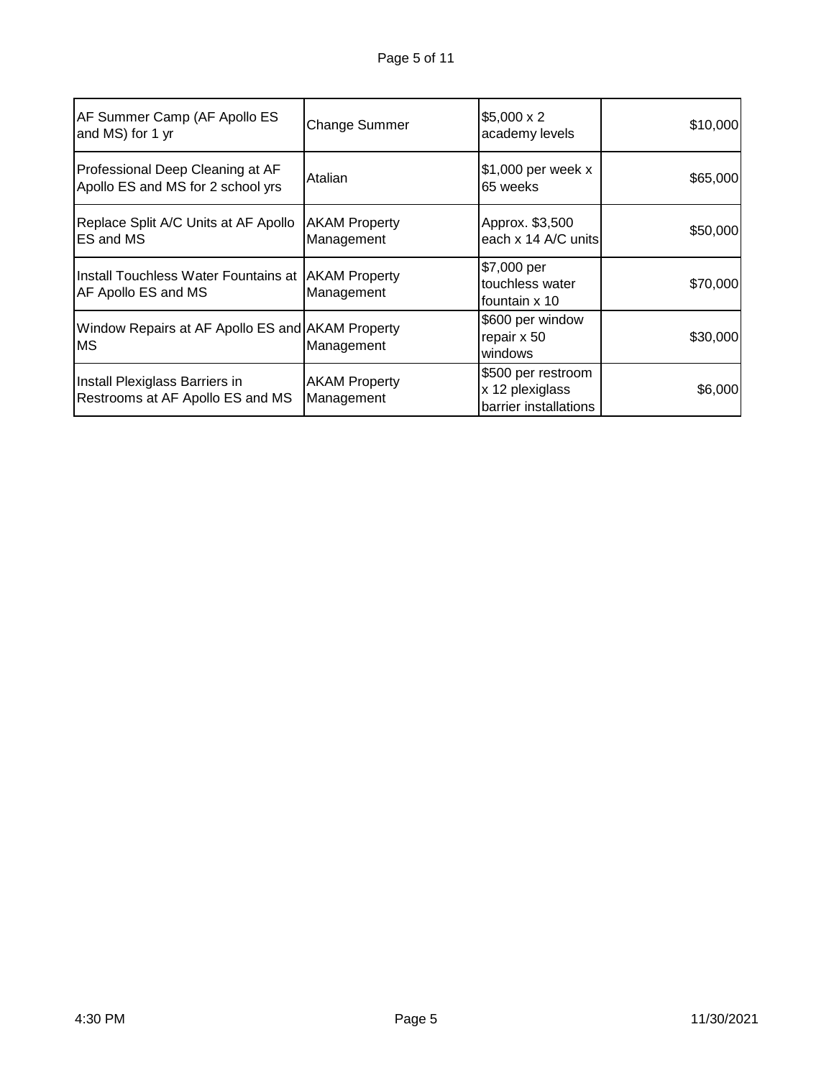| AF Summer Camp (AF Apollo ES<br>and MS) for 1 yr                            | <b>Change Summer</b>               | $$5,000 \times 2$<br>academy levels                            | \$10,000 |
|-----------------------------------------------------------------------------|------------------------------------|----------------------------------------------------------------|----------|
| Professional Deep Cleaning at AF<br>Apollo ES and MS for 2 school yrs       | Atalian                            | \$1,000 per week x<br>65 weeks                                 | \$65,000 |
| Replace Split A/C Units at AF Apollo<br><b>IES and MS</b>                   | <b>AKAM Property</b><br>Management | Approx. \$3,500<br>each x 14 A/C units                         | \$50,000 |
| Install Touchless Water Fountains at   AKAM Property<br>AF Apollo ES and MS | Management                         | \$7,000 per<br>touchless water<br>fountain x 10                | \$70,000 |
| Window Repairs at AF Apollo ES and AKAM Property<br><b>MS</b>               | Management                         | \$600 per window<br>repair x 50<br>windows                     | \$30,000 |
| Install Plexiglass Barriers in<br>Restrooms at AF Apollo ES and MS          | <b>AKAM Property</b><br>Management | \$500 per restroom<br>x 12 plexiglass<br>barrier installations | \$6,000  |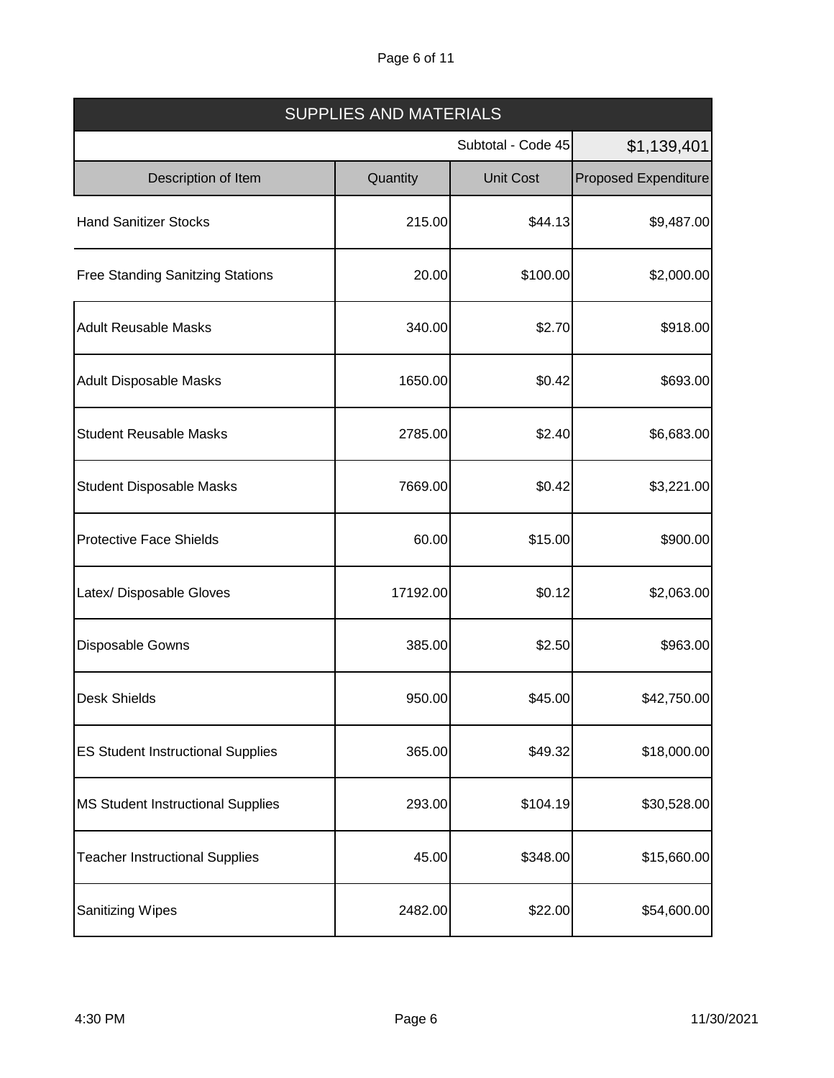# Page 6 of 11

| <b>SUPPLIES AND MATERIALS</b>            |          |                    |                             |  |
|------------------------------------------|----------|--------------------|-----------------------------|--|
|                                          |          | Subtotal - Code 45 | \$1,139,401                 |  |
| Description of Item                      | Quantity | <b>Unit Cost</b>   | <b>Proposed Expenditure</b> |  |
| <b>Hand Sanitizer Stocks</b>             | 215.00   | \$44.13            | \$9,487.00                  |  |
| <b>Free Standing Sanitzing Stations</b>  | 20.00    | \$100.00           | \$2,000.00                  |  |
| <b>Adult Reusable Masks</b>              | 340.00   | \$2.70             | \$918.00                    |  |
| <b>Adult Disposable Masks</b>            | 1650.00  | \$0.42             | \$693.00                    |  |
| <b>Student Reusable Masks</b>            | 2785.00  | \$2.40             | \$6,683.00                  |  |
| <b>Student Disposable Masks</b>          | 7669.00  | \$0.42             | \$3,221.00                  |  |
| <b>Protective Face Shields</b>           | 60.00    | \$15.00            | \$900.00                    |  |
| Latex/ Disposable Gloves                 | 17192.00 | \$0.12             | \$2,063.00                  |  |
| <b>Disposable Gowns</b>                  | 385.00   | \$2.50             | \$963.00                    |  |
| <b>Desk Shields</b>                      | 950.00   | \$45.00            | \$42,750.00                 |  |
| <b>ES Student Instructional Supplies</b> | 365.00   | \$49.32            | \$18,000.00                 |  |
| MS Student Instructional Supplies        | 293.00   | \$104.19           | \$30,528.00                 |  |
| <b>Teacher Instructional Supplies</b>    | 45.00    | \$348.00           | \$15,660.00                 |  |
| <b>Sanitizing Wipes</b>                  | 2482.00  | \$22.00            | \$54,600.00                 |  |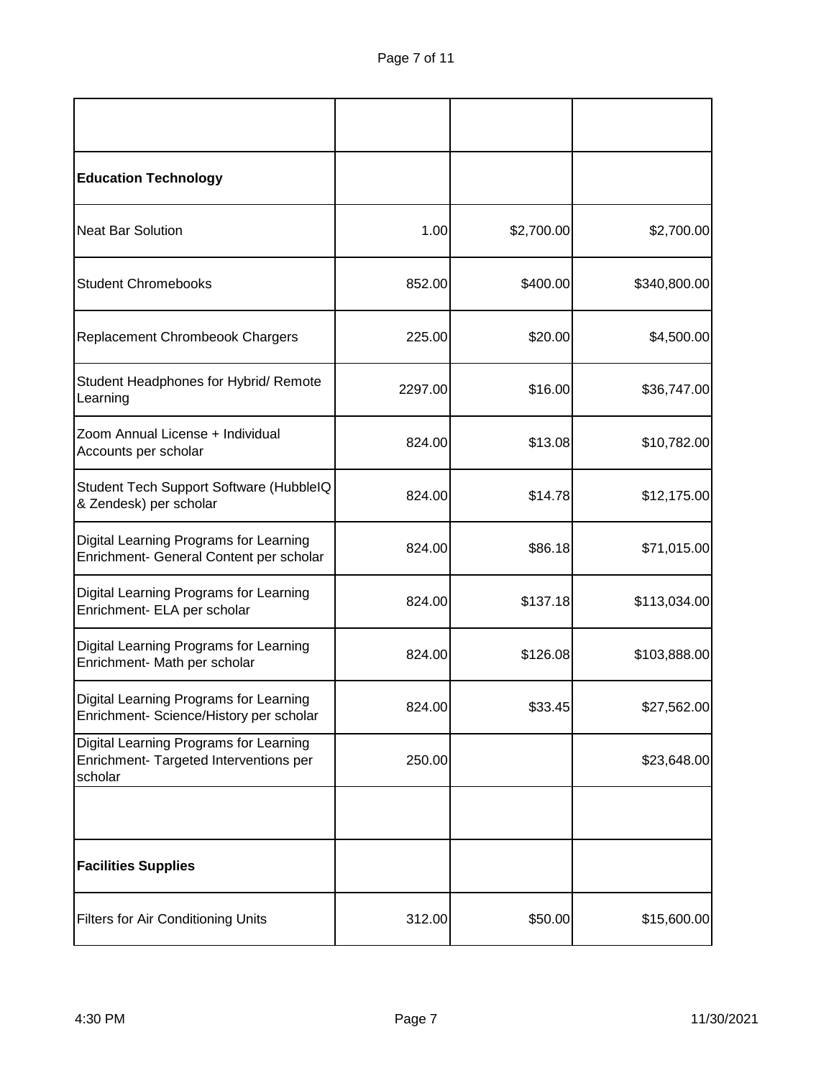| <b>Education Technology</b>                                                                 |         |            |              |
|---------------------------------------------------------------------------------------------|---------|------------|--------------|
| <b>Neat Bar Solution</b>                                                                    | 1.00    | \$2,700.00 | \$2,700.00   |
| <b>Student Chromebooks</b>                                                                  | 852.00  | \$400.00   | \$340,800.00 |
| Replacement Chrombeook Chargers                                                             | 225.00  | \$20.00    | \$4,500.00   |
| Student Headphones for Hybrid/ Remote<br>Learning                                           | 2297.00 | \$16.00    | \$36,747.00  |
| Zoom Annual License + Individual<br>Accounts per scholar                                    | 824.00  | \$13.08    | \$10,782.00  |
| Student Tech Support Software (HubbleIQ<br>& Zendesk) per scholar                           | 824.00  | \$14.78    | \$12,175.00  |
| Digital Learning Programs for Learning<br>Enrichment- General Content per scholar           | 824.00  | \$86.18    | \$71,015.00  |
| Digital Learning Programs for Learning<br>Enrichment- ELA per scholar                       | 824.00  | \$137.18   | \$113,034.00 |
| Digital Learning Programs for Learning<br>Enrichment- Math per scholar                      | 824.00  | \$126.08   | \$103,888.00 |
| Digital Learning Programs for Learning<br>Enrichment- Science/History per scholar           | 824.00  | \$33.45    | \$27,562.00  |
| Digital Learning Programs for Learning<br>Enrichment- Targeted Interventions per<br>scholar | 250.00  |            | \$23,648.00  |
|                                                                                             |         |            |              |
| <b>Facilities Supplies</b>                                                                  |         |            |              |
| <b>Filters for Air Conditioning Units</b>                                                   | 312.00  | \$50.00    | \$15,600.00  |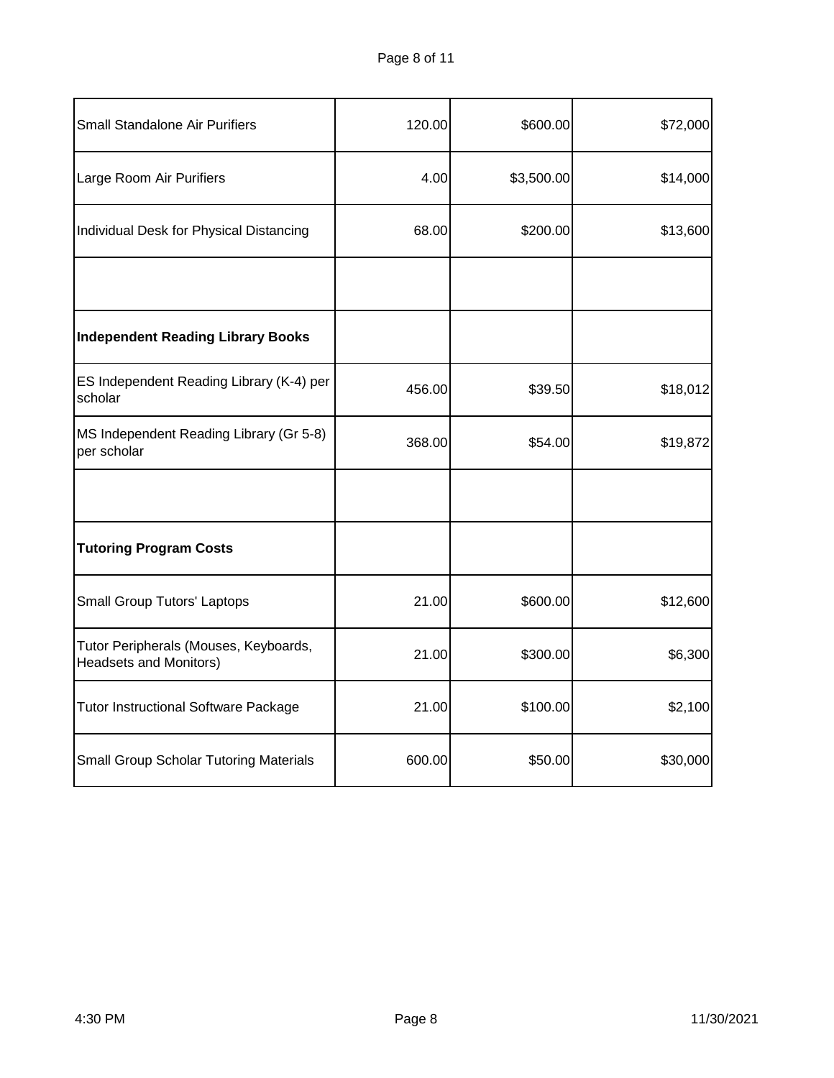| Small Standalone Air Purifiers                                         | 120.00 | \$600.00   | \$72,000 |
|------------------------------------------------------------------------|--------|------------|----------|
| Large Room Air Purifiers                                               | 4.00   | \$3,500.00 | \$14,000 |
| Individual Desk for Physical Distancing                                | 68.00  | \$200.00   | \$13,600 |
|                                                                        |        |            |          |
| Independent Reading Library Books                                      |        |            |          |
| ES Independent Reading Library (K-4) per<br>scholar                    | 456.00 | \$39.50    | \$18,012 |
| MS Independent Reading Library (Gr 5-8)<br>per scholar                 | 368.00 | \$54.00    | \$19,872 |
|                                                                        |        |            |          |
| <b>Tutoring Program Costs</b>                                          |        |            |          |
| <b>Small Group Tutors' Laptops</b>                                     | 21.00  | \$600.00   | \$12,600 |
| Tutor Peripherals (Mouses, Keyboards,<br><b>Headsets and Monitors)</b> | 21.00  | \$300.00   | \$6,300  |
| <b>Tutor Instructional Software Package</b>                            | 21.00  | \$100.00   | \$2,100  |
| <b>Small Group Scholar Tutoring Materials</b>                          | 600.00 | \$50.00    | \$30,000 |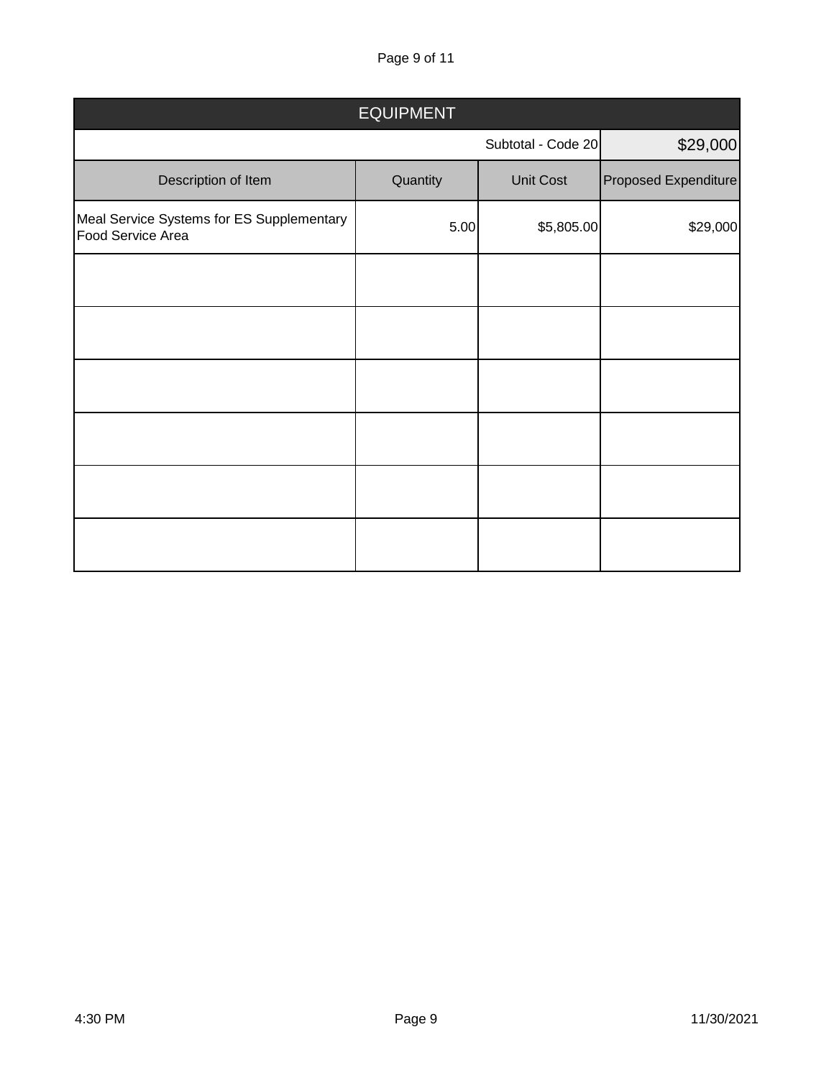Page 9 of 11

| <b>EQUIPMENT</b>                                               |          |                    |                      |  |  |  |
|----------------------------------------------------------------|----------|--------------------|----------------------|--|--|--|
|                                                                |          | Subtotal - Code 20 | \$29,000             |  |  |  |
| Description of Item                                            | Quantity | Unit Cost          | Proposed Expenditure |  |  |  |
| Meal Service Systems for ES Supplementary<br>Food Service Area | 5.00     | \$5,805.00         | \$29,000             |  |  |  |
|                                                                |          |                    |                      |  |  |  |
|                                                                |          |                    |                      |  |  |  |
|                                                                |          |                    |                      |  |  |  |
|                                                                |          |                    |                      |  |  |  |
|                                                                |          |                    |                      |  |  |  |
|                                                                |          |                    |                      |  |  |  |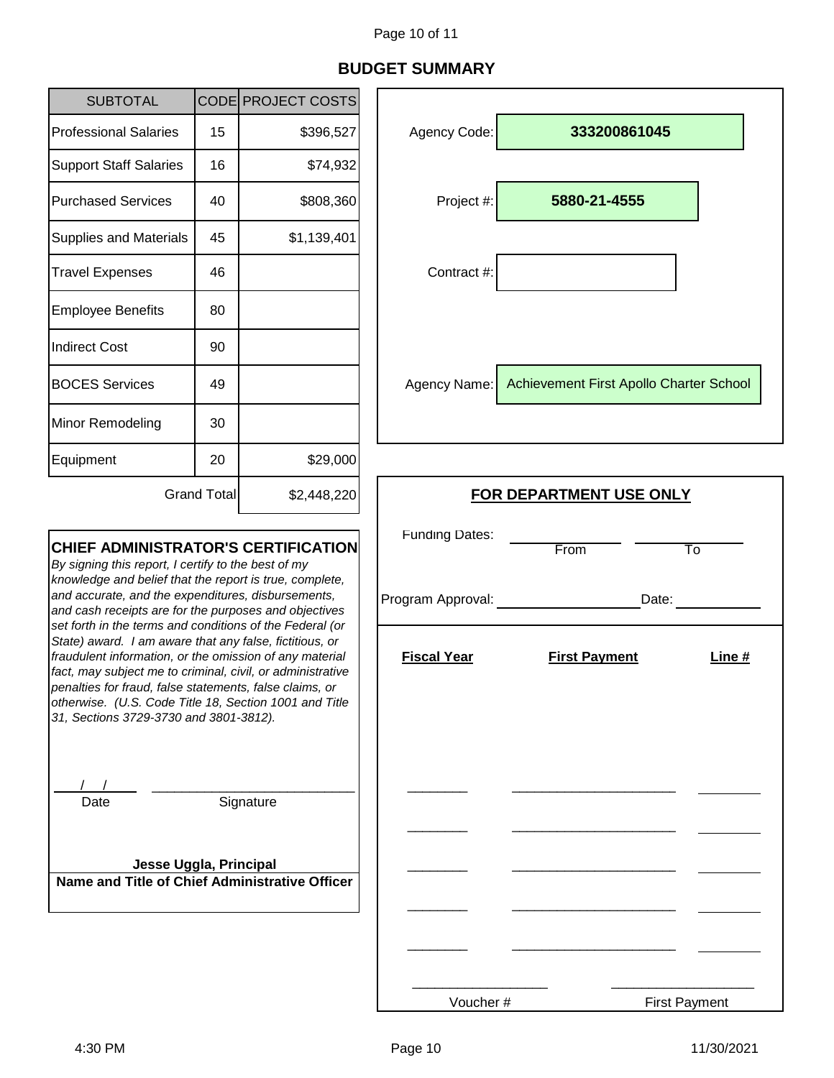# **BUDGET SUMMARY**

 $\Gamma$ 

| <b>SUBTOTAL</b>                                                                                                                                                                                                                                                                                                                                                                                                                                                                                                                                                                                                                                                                            |                    | CODE PROJECT COSTS                                               |                                                         |                                         |
|--------------------------------------------------------------------------------------------------------------------------------------------------------------------------------------------------------------------------------------------------------------------------------------------------------------------------------------------------------------------------------------------------------------------------------------------------------------------------------------------------------------------------------------------------------------------------------------------------------------------------------------------------------------------------------------------|--------------------|------------------------------------------------------------------|---------------------------------------------------------|-----------------------------------------|
| <b>Professional Salaries</b>                                                                                                                                                                                                                                                                                                                                                                                                                                                                                                                                                                                                                                                               | 15                 | \$396,527                                                        | Agency Code:                                            | 333200861045                            |
| <b>Support Staff Salaries</b>                                                                                                                                                                                                                                                                                                                                                                                                                                                                                                                                                                                                                                                              | 16                 | \$74,932                                                         |                                                         |                                         |
| <b>Purchased Services</b>                                                                                                                                                                                                                                                                                                                                                                                                                                                                                                                                                                                                                                                                  | 40                 | \$808,360                                                        | Project #:                                              | 5880-21-4555                            |
| <b>Supplies and Materials</b>                                                                                                                                                                                                                                                                                                                                                                                                                                                                                                                                                                                                                                                              | 45                 | \$1,139,401                                                      |                                                         |                                         |
| <b>Travel Expenses</b>                                                                                                                                                                                                                                                                                                                                                                                                                                                                                                                                                                                                                                                                     | 46                 |                                                                  | Contract #:                                             |                                         |
| <b>Employee Benefits</b>                                                                                                                                                                                                                                                                                                                                                                                                                                                                                                                                                                                                                                                                   | 80                 |                                                                  |                                                         |                                         |
| <b>Indirect Cost</b>                                                                                                                                                                                                                                                                                                                                                                                                                                                                                                                                                                                                                                                                       | 90                 |                                                                  |                                                         |                                         |
| <b>BOCES Services</b>                                                                                                                                                                                                                                                                                                                                                                                                                                                                                                                                                                                                                                                                      | 49                 |                                                                  | Agency Name:                                            | Achievement First Apollo Charter School |
| Minor Remodeling                                                                                                                                                                                                                                                                                                                                                                                                                                                                                                                                                                                                                                                                           | 30                 |                                                                  |                                                         |                                         |
| Equipment                                                                                                                                                                                                                                                                                                                                                                                                                                                                                                                                                                                                                                                                                  | 20                 | \$29,000                                                         |                                                         |                                         |
|                                                                                                                                                                                                                                                                                                                                                                                                                                                                                                                                                                                                                                                                                            | <b>Grand Total</b> | \$2,448,220                                                      | <b>FOR DEPARTMENT USE ONLY</b>                          |                                         |
| <b>CHIEF ADMINISTRATOR'S CERTIFICATION</b><br>By signing this report, I certify to the best of my<br>knowledge and belief that the report is true, complete,<br>and accurate, and the expenditures, disbursements,<br>and cash receipts are for the purposes and objectives<br>set forth in the terms and conditions of the Federal (or<br>State) award. I am aware that any false, fictitious, or<br>fraudulent information, or the omission of any material<br>fact, may subject me to criminal, civil, or administrative<br>penalties for fraud, false statements, false claims, or<br>otherwise. (U.S. Code Title 18, Section 1001 and Title<br>31, Sections 3729-3730 and 3801-3812). |                    | <b>Funding Dates:</b><br>Program Approval:<br><b>Fiscal Year</b> | From<br>To<br>Date:<br><b>First Payment</b><br>Line $#$ |                                         |
| Signature<br>Date<br>Jesse Uggla, Principal<br>Name and Title of Chief Administrative Officer                                                                                                                                                                                                                                                                                                                                                                                                                                                                                                                                                                                              |                    |                                                                  |                                                         |                                         |
|                                                                                                                                                                                                                                                                                                                                                                                                                                                                                                                                                                                                                                                                                            |                    |                                                                  |                                                         |                                         |

Voucher #

First Payment